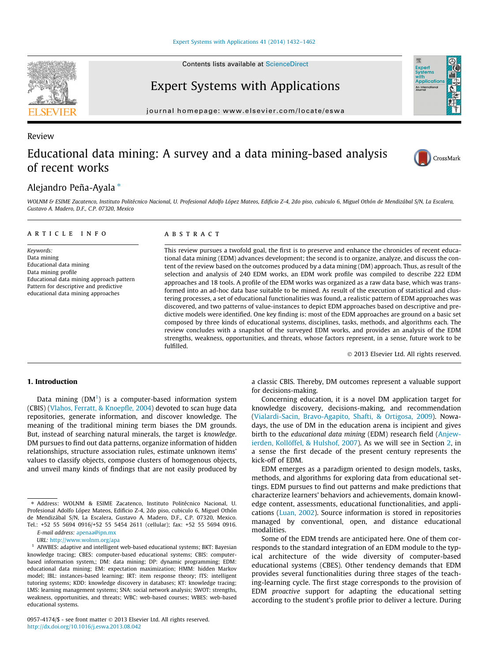Contents lists available at [ScienceDirect](http://www.sciencedirect.com/science/journal/09574174)

Expert Systems with Applications

journal homepage: [www.elsevier.com/locate/eswa](http://www.elsevier.com/locate/eswa)

# Review Educational data mining: A survey and a data mining-based analysis of recent works

# Alejandro Peña-Ayala ⇑

WOLNM & ESIME Zacatenco, Instituto Politécnico Nacional, U. Profesional Adolfo López Mateos, Edificio Z-4, 2do piso, cubiculo 6, Miguel Othón de Mendizábal S/N, La Escalera, Gustavo A. Madero, D.F., C.P. 07320, Mexico

### article info

Keywords: Data mining Educational data mining Data mining profile Educational data mining approach pattern Pattern for descriptive and predictive educational data mining approaches

## ABSTRACT

This review pursues a twofold goal, the first is to preserve and enhance the chronicles of recent educational data mining (EDM) advances development; the second is to organize, analyze, and discuss the content of the review based on the outcomes produced by a data mining (DM) approach. Thus, as result of the selection and analysis of 240 EDM works, an EDM work profile was compiled to describe 222 EDM approaches and 18 tools. A profile of the EDM works was organized as a raw data base, which was transformed into an ad-hoc data base suitable to be mined. As result of the execution of statistical and clustering processes, a set of educational functionalities was found, a realistic pattern of EDM approaches was discovered, and two patterns of value-instances to depict EDM approaches based on descriptive and predictive models were identified. One key finding is: most of the EDM approaches are ground on a basic set composed by three kinds of educational systems, disciplines, tasks, methods, and algorithms each. The review concludes with a snapshot of the surveyed EDM works, and provides an analysis of the EDM strengths, weakness, opportunities, and threats, whose factors represent, in a sense, future work to be fulfilled.

- 2013 Elsevier Ltd. All rights reserved.

# 1. Introduction

Data mining (DM<sup>1</sup>) is a computer-based information system (CBIS) [\(Vlahos, Ferratt, & Knoepfle, 2004](#page-30-0)) devoted to scan huge data repositories, generate information, and discover knowledge. The meaning of the traditional mining term biases the DM grounds. But, instead of searching natural minerals, the target is knowledge. DM pursues to find out data patterns, organize information of hidden relationships, structure association rules, estimate unknown items' values to classify objects, compose clusters of homogenous objects, and unveil many kinds of findings that are not easily produced by

⇑ Address: WOLNM & ESIME Zacatenco, Instituto Politécnico Nacional, U. Profesional Adolfo López Mateos, Edificio Z-4, 2do piso, cubiculo 6, Miguel Othón de Mendizábal S/N, La Escalera, Gustavo A. Madero, D.F., C.P. 07320, Mexico. Tel.: +52 55 5694 0916/+52 55 5454 2611 (cellular); fax: +52 55 5694 0916.

E-mail address: [apenaa@ipn.mx](mailto:apenaa@ipn.mx)

URL: <http://www.wolnm.org/apa>

a classic CBIS. Thereby, DM outcomes represent a valuable support for decisions-making.

Concerning education, it is a novel DM application target for knowledge discovery, decisions-making, and recommendation ([Vialardi-Sacin, Bravo-Agapito, Shafti, & Ortigosa, 2009](#page-30-0)). Nowadays, the use of DM in the education arena is incipient and gives birth to the educational data mining (EDM) research field [\(Anjew](#page-25-0)[ierden, Kollöffel, & Hulshof, 2007\)](#page-25-0). As we will see in Section [2,](#page-1-0) in a sense the first decade of the present century represents the kick-off of EDM.

EDM emerges as a paradigm oriented to design models, tasks, methods, and algorithms for exploring data from educational settings. EDM pursues to find out patterns and make predictions that characterize learners' behaviors and achievements, domain knowledge content, assessments, educational functionalities, and applications ([Luan, 2002\)](#page-28-0). Source information is stored in repositories managed by conventional, open, and distance educational modalities.

Some of the EDM trends are anticipated here. One of them corresponds to the standard integration of an EDM module to the typical architecture of the wide diversity of computer-based educational systems (CBES). Other tendency demands that EDM provides several functionalities during three stages of the teaching-learning cycle. The first stage corresponds to the provision of EDM proactive support for adapting the educational setting according to the student's profile prior to deliver a lecture. During

<span id="page-0-0"></span>





<sup>&</sup>lt;sup>1</sup> AIWBES: adaptive and intelligent web-based educational systems; BKT: Bayesian knowledge tracing; CBES: computer-based educational systems; CBIS: computerbased information system,; DM: data mining; DP: dynamic programming; EDM: educational data mining; EM: expectation maximization; HMM: hidden Markov model; IBL: instances-based learning; IRT: item response theory; ITS: intelligent tutoring systems; KDD: knowledge discovery in databases; KT: knowledge tracing; LMS: learning management systems; SNA: social network analysis; SWOT: strengths, weakness, opportunities, and threats; WBC: web-based courses; WBES: web-based educational systems.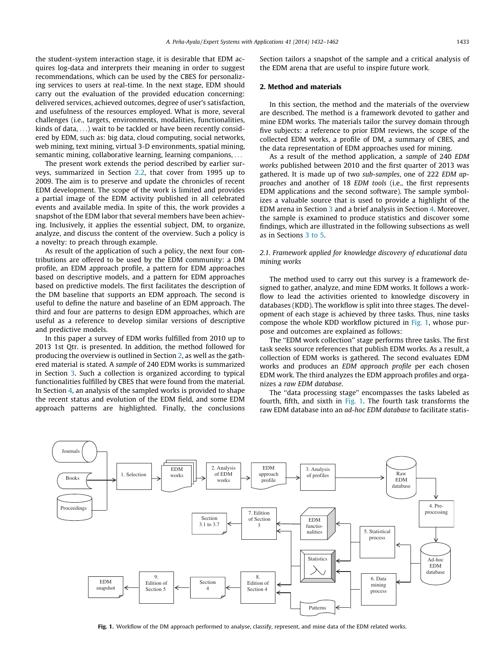<span id="page-1-0"></span>the student-system interaction stage, it is desirable that EDM acquires log-data and interprets their meaning in order to suggest recommendations, which can be used by the CBES for personalizing services to users at real-time. In the next stage, EDM should carry out the evaluation of the provided education concerning: delivered services, achieved outcomes, degree of user's satisfaction, and usefulness of the resources employed. What is more, several challenges (i.e., targets, environments, modalities, functionalities, kinds of data, ...) wait to be tackled or have been recently considered by EDM, such as: big data, cloud computing, social networks, web mining, text mining, virtual 3-D environments, spatial mining, semantic mining, collaborative learning, learning companions, ...

The present work extends the period described by earlier surveys, summarized in Section [2.2](#page-2-0), that cover from 1995 up to 2009. The aim is to preserve and update the chronicles of recent EDM development. The scope of the work is limited and provides a partial image of the EDM activity published in all celebrated events and available media. In spite of this, the work provides a snapshot of the EDM labor that several members have been achieving. Inclusively, it applies the essential subject, DM, to organize, analyze, and discuss the content of the overview. Such a policy is a novelty: to preach through example.

As result of the application of such a policy, the next four contributions are offered to be used by the EDM community: a DM profile, an EDM approach profile, a pattern for EDM approaches based on descriptive models, and a pattern for EDM approaches based on predictive models. The first facilitates the description of the DM baseline that supports an EDM approach. The second is useful to define the nature and baseline of an EDM approach. The third and four are patterns to design EDM approaches, which are useful as a reference to develop similar versions of descriptive and predictive models.

In this paper a survey of EDM works fulfilled from 2010 up to 2013 1st Qtr. is presented. In addition, the method followed for producing the overview is outlined in Section 2, as well as the gathered material is stated. A sample of 240 EDM works is summarized in Section [3.](#page-6-0) Such a collection is organized according to typical functionalities fulfilled by CBES that were found from the material. In Section [4,](#page-21-0) an analysis of the sampled works is provided to shape the recent status and evolution of the EDM field, and some EDM approach patterns are highlighted. Finally, the conclusions Section tailors a snapshot of the sample and a critical analysis of the EDM arena that are useful to inspire future work.

### 2. Method and materials

In this section, the method and the materials of the overview are described. The method is a framework devoted to gather and mine EDM works. The materials tailor the survey domain through five subjects: a reference to prior EDM reviews, the scope of the collected EDM works, a profile of DM, a summary of CBES, and the data representation of EDM approaches used for mining.

As a result of the method application, a sample of 240 EDM works published between 2010 and the first quarter of 2013 was gathered. It is made up of two sub-samples, one of 222 EDM approaches and another of 18 EDM tools (i.e., the first represents EDM applications and the second software). The sample symbolizes a valuable source that is used to provide a highlight of the EDM arena in Section [3](#page-6-0) and a brief analysis in Section [4](#page-21-0). Moreover, the sample is examined to produce statistics and discover some findings, which are illustrated in the following subsections as well as in Sections [3 to 5](#page-6-0).

# 2.1. Framework applied for knowledge discovery of educational data mining works

The method used to carry out this survey is a framework designed to gather, analyze, and mine EDM works. It follows a workflow to lead the activities oriented to knowledge discovery in databases (KDD). The workflow is split into three stages. The development of each stage is achieved by three tasks. Thus, nine tasks compose the whole KDD workflow pictured in Fig. 1, whose purpose and outcomes are explained as follows:

The ''EDM work collection'' stage performs three tasks. The first task seeks source references that publish EDM works. As a result, a collection of EDM works is gathered. The second evaluates EDM works and produces an EDM approach profile per each chosen EDM work. The third analyzes the EDM approach profiles and organizes a raw EDM database.

The ''data processing stage'' encompasses the tasks labeled as fourth, fifth, and sixth in Fig. 1. The fourth task transforms the raw EDM database into an ad-hoc EDM database to facilitate statis-



Fig. 1. Workflow of the DM approach performed to analyse, classify, represent, and mine data of the EDM related works.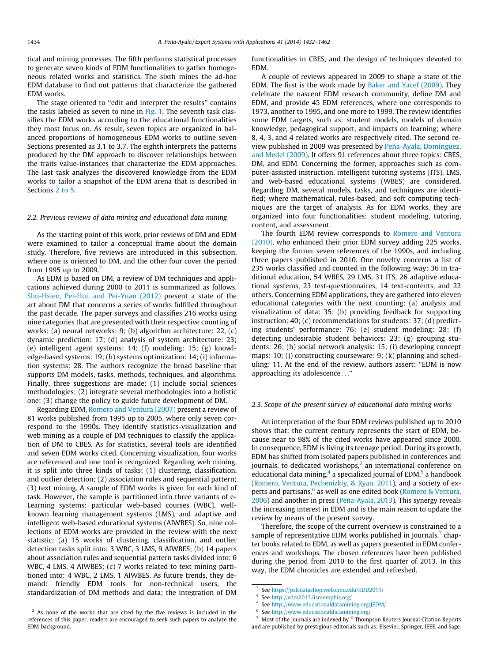<span id="page-2-0"></span>tical and mining processes. The fifth performs statistical processes to generate seven kinds of EDM functionalities to gather homogeneous related works and statistics. The sixth mines the ad-hoc EDM database to find out patterns that characterize the gathered EDM works.

The stage oriented to ''edit and interpret the results'' contains the tasks labeled as seven to nine in [Fig. 1.](#page-1-0) The seventh task classifies the EDM works according to the educational functionalities they most focus on. As result, seven topics are organized in balanced proportions of homogeneous EDM works to outline seven Sections presented as 3.1 to 3.7. The eighth interprets the patterns produced by the DM approach to discover relationships between the traits value-instances that characterize the EDM approaches. The last task analyzes the discovered knowledge from the EDM works to tailor a snapshot of the EDM arena that is described in Sections [2 to 5](#page-1-0).

#### 2.2. Previous reviews of data mining and educational data mining

As the starting point of this work, prior reviews of DM and EDM were examined to tailor a conceptual frame about the domain study. Therefore, five reviews are introduced in this subsection, where one is oriented to DM, and the other four cover the period from 1995 up to 2009.<sup>2</sup>

As EDM is based on DM, a review of DM techniques and applications achieved during 2000 to 2011 is summarized as follows. [Shu-Hsien, Pei-Hui, and Pei-Yuan \(2012\)](#page-29-0) present a state of the art about DM that concerns a series of works fulfilled throughout the past decade. The paper surveys and classifies 216 works using nine categories that are presented with their respective counting of works: (a) neural networks: 9; (b) algorithm architecture: 22, (c) dynamic prediction: 17; (d) analysis of system architecture: 23; (e) intelligent agent systems: 14; (f) modeling: 15; (g) knowledge-based systems: 19; (h) systems optimization: 14; (i) information systems: 28. The authors recognize the broad baseline that supports DM models, tasks, methods, techniques, and algorithms. Finally, three suggestions are made: (1) include social sciences methodologies; (2) integrate several methodologies into a holistic one; (3) change the policy to guide future development of DM.

Regarding EDM, [Romero and Ventura \(2007\)](#page-29-0) present a review of 81 works published from 1995 up to 2005, where only seven correspond to the 1990s. They identify statistics-visualization and web mining as a couple of DM techniques to classify the application of DM to CBES. As for statistics, several tools are identified and seven EDM works cited. Concerning visualization, four works are referenced and one tool is recognized. Regarding web mining, it is split into three kinds of tasks: (1) clustering, classification, and outlier detection; (2) association rules and sequential pattern; (3) text mining. A sample of EDM works is given for each kind of task. However, the sample is partitioned into three variants of e-Learning systems: particular web-based courses (WBC), wellknown learning management systems (LMS), and adaptive and intelligent web-based educational systems (AIWBES). So, nine collections of EDM works are provided in the review with the next statistic: (a) 15 works of clustering, classification, and outlier detection tasks split into: 3 WBC, 3 LMS, 9 AIWBES; (b) 14 papers about association rules and sequential pattern tasks divided into: 6 WBC, 4 LMS, 4 AIWBES; (c) 7 works related to text mining partitioned into: 4 WBC, 2 LMS, 1 AIWBES. As future trends, they demand: friendly EDM tools for non-technical users, the standardization of DM methods and data; the integration of DM functionalities in CBES, and the design of techniques devoted to EDM.

A couple of reviews appeared in 2009 to shape a state of the EDM. The first is the work made by [Baker and Yacef \(2009\).](#page-26-0) They celebrate the nascent EDM research community, define DM and EDM, and provide 45 EDM references, where one corresponds to 1973, another to 1995, and one more to 1999. The review identifies some EDM targets, such as: student models, models of domain knowledge, pedagogical support, and impacts on learning; where 8, 4, 3, and 4 related works are respectively cited. The second review published in 2009 was presented by [Peña-Ayala, Domínguez,](#page-29-0) [and Medel \(2009\).](#page-29-0) It offers 91 references about three topics: CBES, DM, and EDM. Concerning the former, approaches such as computer-assisted instruction, intelligent tutoring systems (ITS), LMS, and web-based educational systems (WBES) are considered. Regarding DM, several models, tasks, and techniques are identified; where mathematical, rules-based, and soft computing techniques are the target of analysis. As for EDM works, they are organized into four functionalities: student modeling, tutoring, content, and assessment.

The fourth EDM review corresponds to [Romero and Ventura](#page-29-0) [\(2010\),](#page-29-0) who enhanced their prior EDM survey adding 225 works, keeping the former seven references of the 1990s, and including three papers published in 2010. One novelty concerns a list of 235 works classified and counted in the following way: 36 in traditional education, 54 WBES, 29 LMS, 31 ITS, 26 adaptive educational systems, 23 test-questionnaires, 14 text-contents, and 22 others. Concerning EDM applications, they are gathered into eleven educational categories with the next counting: (a) analysis and visualization of data: 35; (b) providing feedback for supporting instruction: 40; (c) recommendations for students: 37; (d) predicting students' performance: 76; (e) student modeling: 28; (f) detecting undesirable student behaviors: 23; (g) grouping students: 26; (h) social network analysis: 15; (i) developing concept maps: 10; (j) constructing courseware: 9; (k) planning and scheduling: 11. At the end of the review, authors assert: ''EDM is now approaching its adolescence...''

#### 2.3. Scope of the present survey of educational data mining works

An interpretation of the four EDM reviews published up to 2010 shows that: the current century represents the start of EDM, because near to 98% of the cited works have appeared since 2000. In consequence, EDM is living its teenage period. During its growth, EDM has shifted from isolated papers published in conferences and journals, to dedicated workshops, $3$  an international conference on educational data mining, $4$  a specialized journal of EDM, $5$  a handbook ([Romero, Ventura, Pechenizkiy, & Ryan, 2011\)](#page-29-0), and a society of experts and partisans, $6$  as well as one edited book ([Romero & Ventura,](#page-29-0) [2006](#page-29-0)) and another in press ([Peña-Ayala, 2013\)](#page-29-0). This synergy reveals the increasing interest in EDM and is the main reason to update the review by means of the present survey.

Therefore, the scope of the current overview is constrained to a sample of representative EDM works published in journals, chapter books related to EDM, as well as papers presented in EDM conferences and workshops. The chosen references have been published during the period from 2010 to the first quarter of 2013. In this way, the EDM chronicles are extended and refreshed.

<sup>3</sup> See [https://pslcdatashop.web.cmu.edu/KDD2011/](https://www.pslcdatashop.web.cmu.edu/KDD2011/)

<sup>4</sup> See <http://edm2013.iismemphis.org/>

<sup>5</sup> See <http://www.educationaldatamining.org/JEDM/>

<sup>6</sup> See <http://www.educationaldatamining.org/>

As none of the works that are cited by the five reviews is included in the references of this paper, readers are encouraged to seek such papers to analyze the EDM background.

 $7$  Most of the journals are indexed by  $^{\circ}$  Thompson Reuters Journal Citation Reports and are published by prestigious editorials such as: Elsevier, Springer, IEEE, and Sage.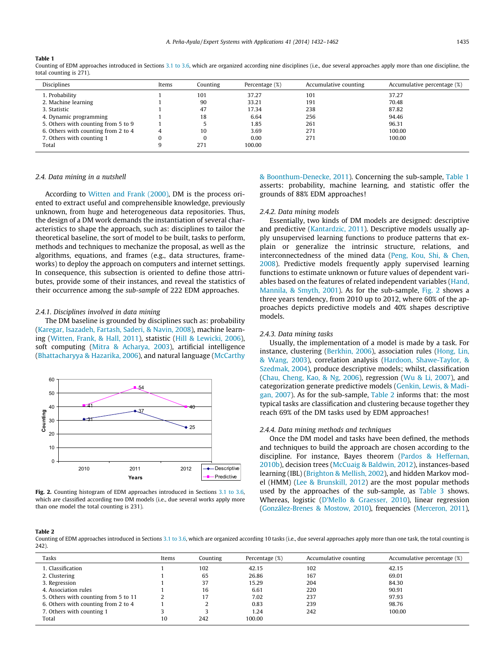<span id="page-3-0"></span>Counting of EDM approaches introduced in Sections [3.1 to 3.6,](#page-7-0) which are organized according nine disciplines (i.e., due several approaches apply more than one discipline, the total counting is 271).

| <b>Disciplines</b>                  | Items | Counting | Percentage (%) | Accumulative counting | Accumulative percentage (%) |
|-------------------------------------|-------|----------|----------------|-----------------------|-----------------------------|
| 1. Probability                      |       | 101      | 37.27          | 101                   | 37.27                       |
| 2. Machine learning                 |       | 90       | 33.21          | 191                   | 70.48                       |
| 3. Statistic                        |       | 47       | 17.34          | 238                   | 87.82                       |
| 4. Dynamic programming              |       | 18       | 6.64           | 256                   | 94.46                       |
| 5. Others with counting from 5 to 9 |       |          | 1.85           | 261                   | 96.31                       |
| 6. Others with counting from 2 to 4 |       | 10       | 3.69           | 271                   | 100.00                      |
| 7. Others with counting 1           |       | 0        | 0.00           | 271                   | 100.00                      |
| Total                               |       | 271      | 100.00         |                       |                             |

### 2.4. Data mining in a nutshell

According to [Witten and Frank \(2000\),](#page-30-0) DM is the process oriented to extract useful and comprehensible knowledge, previously unknown, from huge and heterogeneous data repositories. Thus, the design of a DM work demands the instantiation of several characteristics to shape the approach, such as: disciplines to tailor the theoretical baseline, the sort of model to be built, tasks to perform, methods and techniques to mechanize the proposal, as well as the algorithms, equations, and frames (e.g., data structures, frameworks) to deploy the approach on computers and internet settings. In consequence, this subsection is oriented to define those attributes, provide some of their instances, and reveal the statistics of their occurrence among the sub-sample of 222 EDM approaches.

#### 2.4.1. Disciplines involved in data mining

The DM baseline is grounded by disciplines such as: probability ([Karegar, Isazadeh, Fartash, Saderi, & Navin, 2008](#page-27-0)), machine learning ([Witten, Frank, & Hall, 2011\)](#page-30-0), statistic [\(Hill & Lewicki, 2006\)](#page-27-0), soft computing [\(Mitra & Acharya, 2003](#page-28-0)), artificial intelligence ([Bhattacharyya & Hazarika, 2006\)](#page-26-0), and natural language ([McCarthy](#page-28-0)



Fig. 2. Counting histogram of EDM approaches introduced in Sections [3.1 to 3.6](#page-7-0), which are classified according two DM models (i.e., due several works apply more than one model the total counting is 231).

[& Boonthum-Denecke, 2011](#page-28-0)). Concerning the sub-sample, Table 1 asserts: probability, machine learning, and statistic offer the grounds of 88% EDM approaches!

#### 2.4.2. Data mining models

Essentially, two kinds of DM models are designed: descriptive and predictive [\(Kantardzic, 2011](#page-27-0)). Descriptive models usually apply unsupervised learning functions to produce patterns that explain or generalize the intrinsic structure, relations, and interconnectedness of the mined data ([Peng, Kou, Shi, & Chen,](#page-29-0) [2008](#page-29-0)). Predictive models frequently apply supervised learning functions to estimate unknown or future values of dependent variables based on the features of related independent variables ([Hand,](#page-27-0) [Mannila, & Smyth, 2001\)](#page-27-0). As for the sub-sample, Fig. 2 shows a three years tendency, from 2010 up to 2012, where 60% of the approaches depicts predictive models and 40% shapes descriptive models.

#### 2.4.3. Data mining tasks

Usually, the implementation of a model is made by a task. For instance, clustering [\(Berkhin, 2006](#page-26-0)), association rules ([Hong, Lin,](#page-27-0) [& Wang, 2003](#page-27-0)), correlation analysis [\(Hardoon, Shawe-Taylor, &](#page-27-0) [Szedmak, 2004\)](#page-27-0), produce descriptive models; whilst, classification ([Chau, Cheng, Kao, & Ng, 2006](#page-26-0)), regression ([Wu & Li, 2007](#page-30-0)), and categorization generate predictive models [\(Genkin, Lewis, & Madi](#page-27-0)[gan, 2007\)](#page-27-0). As for the sub-sample, Table 2 informs that: the most typical tasks are classification and clustering because together they reach 69% of the DM tasks used by EDM approaches!

#### 2.4.4. Data mining methods and techniques

Once the DM model and tasks have been defined, the methods and techniques to build the approach are chosen according to the discipline. For instance, Bayes theorem ([Pardos & Heffernan,](#page-28-0) [2010b](#page-28-0)), decision trees [\(McCuaig & Baldwin, 2012](#page-28-0)), instances-based learning (IBL) [\(Brighton & Mellish, 2002](#page-26-0)), and hidden Markov model (HMM) [\(Lee & Brunskill, 2012](#page-28-0)) are the most popular methods used by the approaches of the sub-sample, as [Table 3](#page-4-0) shows. Whereas, logistic ([D'Mello & Graesser, 2010\)](#page-26-0), linear regression [\(González-Brenes & Mostow, 2010\)](#page-27-0), frequencies [\(Merceron, 2011\)](#page-28-0),

Counting of EDM approaches introduced in Sections [3.1 to 3.6,](#page-7-0) which are organized according 10 tasks (i.e., due several approaches apply more than one task, the total counting is 242).

| Tasks                                | Items | Counting | Percentage (%) | Accumulative counting | Accumulative percentage (%) |
|--------------------------------------|-------|----------|----------------|-----------------------|-----------------------------|
| 1. Classification                    |       | 102      | 42.15          | 102                   | 42.15                       |
| 2. Clustering                        |       | 65       | 26.86          | 167                   | 69.01                       |
| 3. Regression                        |       | 37       | 15.29          | 204                   | 84.30                       |
| 4. Association rules                 |       | 16       | 6.61           | 220                   | 90.91                       |
| 5. Others with counting from 5 to 11 |       |          | 7.02           | 237                   | 97.93                       |
| 6. Others with counting from 2 to 4  |       |          | 0.83           | 239                   | 98.76                       |
| 7. Others with counting 1            |       |          | 1.24           | 242                   | 100.00                      |
| Total                                | 10    | 242      | 100.00         |                       |                             |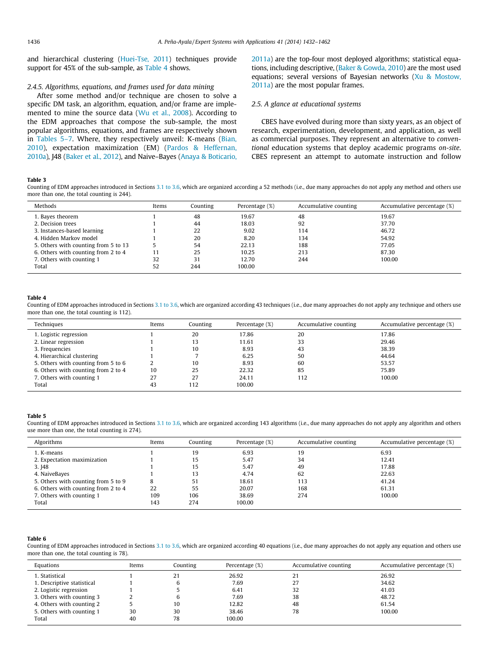<span id="page-4-0"></span>and hierarchical clustering [\(Huei-Tse, 2011](#page-27-0)) techniques provide support for 45% of the sub-sample, as Table 4 shows.

#### 2.4.5. Algorithms, equations, and frames used for data mining

After some method and/or technique are chosen to solve a specific DM task, an algorithm, equation, and/or frame are implemented to mine the source data ([Wu et al., 2008](#page-30-0)). According to the EDM approaches that compose the sub-sample, the most popular algorithms, equations, and frames are respectively shown in Tables 5–7. Where, they respectively unveil: K-means [\(Bian,](#page-26-0) [2010\)](#page-26-0), expectation maximization (EM) [\(Pardos & Heffernan,](#page-28-0) [2010a](#page-28-0)), J48 [\(Baker et al., 2012](#page-26-0)), and Naive–Bayes ([Anaya & Boticario,](#page-25-0) [2011a](#page-25-0)) are the top-four most deployed algorithms; statistical equations, including descriptive, ([Baker & Gowda, 2010](#page-26-0)) are the most used equations; several versions of Bayesian networks [\(Xu & Mostow,](#page-30-0) [2011a](#page-30-0)) are the most popular frames.

#### 2.5. A glance at educational systems

CBES have evolved during more than sixty years, as an object of research, experimentation, development, and application, as well as commercial purposes. They represent an alternative to conventional education systems that deploy academic programs on-site. CBES represent an attempt to automate instruction and follow

#### Table 3

Counting of EDM approaches introduced in Sections [3.1 to 3.6](#page-7-0), which are organized according a 52 methods (i.e., due many approaches do not apply any method and others use more than one, the total counting is 244).

| Methods                              | Items | Counting | Percentage (%) | Accumulative counting | Accumulative percentage (%) |
|--------------------------------------|-------|----------|----------------|-----------------------|-----------------------------|
| 1. Bayes theorem                     |       | 48       | 19.67          | 48                    | 19.67                       |
| 2. Decision trees                    |       | 44       | 18.03          | 92                    | 37.70                       |
| 3. Instances-based learning          |       | 22       | 9.02           | 114                   | 46.72                       |
| 4. Hidden Markov model               |       | 20       | 8.20           | 134                   | 54.92                       |
| 5. Others with counting from 5 to 13 |       | 54       | 22.13          | 188                   | 77.05                       |
| 6. Others with counting from 2 to 4  | 11    | 25       | 10.25          | 213                   | 87.30                       |
| 7. Others with counting 1            | 32    | 31       | 12.70          | 244                   | 100.00                      |
| Total                                | 52    | 244      | 100.00         |                       |                             |

#### Table 4

Counting of EDM approaches introduced in Sections [3.1 to 3.6,](#page-7-0) which are organized according 43 techniques (i.e., due many approaches do not apply any technique and others use more than one, the total counting is 112).

| Techniques                          | Items | Counting | Percentage (%)<br>Accumulative counting |     | Accumulative percentage (%) |
|-------------------------------------|-------|----------|-----------------------------------------|-----|-----------------------------|
| 1. Logistic regression              |       | 20       | 17.86                                   | 20  | 17.86                       |
| 2. Linear regression                |       | 13       | 11.61                                   | 33  | 29.46                       |
| 3. Frequencies                      |       | 10       | 8.93                                    | 43  | 38.39                       |
| 4. Hierarchical clustering          |       |          | 6.25                                    | 50  | 44.64                       |
| 5. Others with counting from 5 to 6 |       | 10       | 8.93                                    | 60  | 53.57                       |
| 6. Others with counting from 2 to 4 | 10    | 25       | 22.32                                   | 85  | 75.89                       |
| 7. Others with counting 1           | 27    | 27       | 24.11                                   | 112 | 100.00                      |
| Total                               | 43    | 112      | 100.00                                  |     |                             |

#### Table 5

Counting of EDM approaches introduced in Sections [3.1 to 3.6,](#page-7-0) which are organized according 143 algorithms (i.e., due many approaches do not apply any algorithm and others use more than one, the total counting is 274).

| Algorithms                          | Items | Counting | Percentage (%)<br>Accumulative counting |     | Accumulative percentage (%) |
|-------------------------------------|-------|----------|-----------------------------------------|-----|-----------------------------|
| 1. K-means                          |       | 19       | 6.93                                    | 19  | 6.93                        |
| 2. Expectation maximization         |       | 15       | 5.47                                    | 34  | 12.41                       |
| 3.148                               |       | 15       | 5.47                                    | 49  | 17.88                       |
| 4. NaiveBayes                       |       | 13       | 4.74                                    | 62  | 22.63                       |
| 5. Others with counting from 5 to 9 |       | 51       | 18.61                                   | 113 | 41.24                       |
| 6. Others with counting from 2 to 4 | 22    | 55       | 20.07                                   | 168 | 61.31                       |
| 7. Others with counting 1           | 109   | 106      | 38.69                                   | 274 | 100.00                      |
| Total                               | 143   | 274      | 100.00                                  |     |                             |

### Table 6

Counting of EDM approaches introduced in Sections [3.1 to 3.6,](#page-7-0) which are organized according 40 equations (i.e., due many approaches do not apply any equation and others use more than one, the total counting is 78).

| Equations                  | Items | Counting<br>Percentage (%) |        | Accumulative counting |        |  | Accumulative percentage (%) |
|----------------------------|-------|----------------------------|--------|-----------------------|--------|--|-----------------------------|
| 1. Statistical             |       | 21                         | 26.92  | 21                    | 26.92  |  |                             |
| 1. Descriptive statistical |       |                            | 7.69   | 27                    | 34.62  |  |                             |
| 2. Logistic regression     |       |                            | 6.41   | 32                    | 41.03  |  |                             |
| 3. Others with counting 3  |       |                            | 7.69   | 38                    | 48.72  |  |                             |
| 4. Others with counting 2  |       | 10                         | 12.82  | 48                    | 61.54  |  |                             |
| 5. Others with counting 1  | 30    | 30                         | 38.46  | 78                    | 100.00 |  |                             |
| Total                      | 40    | 78                         | 100.00 |                       |        |  |                             |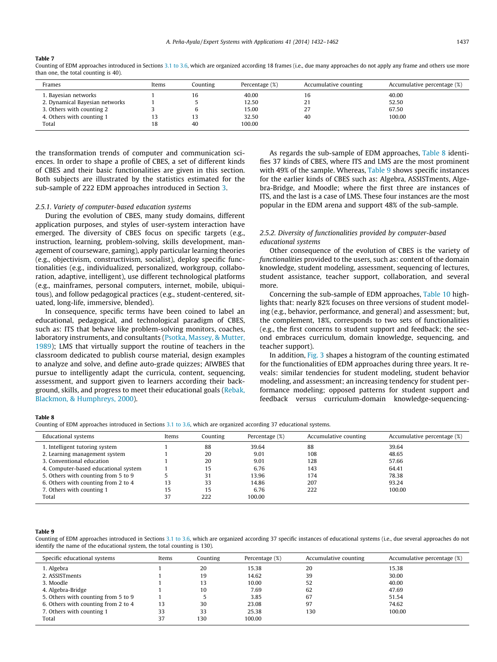<span id="page-5-0"></span>Counting of EDM approaches introduced in Sections [3.1 to 3.6,](#page-7-0) which are organized according 18 frames (i.e., due many approaches do not apply any frame and others use more than one, the total counting is 40).

| Frames                         | Items | Counting | Percentage (%) | Accumulative counting | Accumulative percentage (%) |
|--------------------------------|-------|----------|----------------|-----------------------|-----------------------------|
| 1. Bayesian networks           |       |          | 40.00          | 16                    | 40.00                       |
| 2. Dynamical Bayesian networks |       |          | 12.50          | ∠⊥                    | 52.50                       |
| 3. Others with counting 2      |       |          | 15.00          | ، ے                   | 67.50                       |
| 4. Others with counting 1      | 13    | 13       | 32.50          | 40                    | 100.00                      |
| Total                          | 18    | 40       | 100.00         |                       |                             |

the transformation trends of computer and communication sciences. In order to shape a profile of CBES, a set of different kinds of CBES and their basic functionalities are given in this section. Both subjects are illustrated by the statistics estimated for the sub-sample of 222 EDM approaches introduced in Section [3.](#page-6-0)

# 2.5.1. Variety of computer-based education systems

During the evolution of CBES, many study domains, different application purposes, and styles of user-system interaction have emerged. The diversity of CBES focus on specific targets (e.g., instruction, learning, problem-solving, skills development, management of courseware, gaming), apply particular learning theories (e.g., objectivism, constructivism, socialist), deploy specific functionalities (e.g., individualized, personalized, workgroup, collaboration, adaptive, intelligent), use different technological platforms (e.g., mainframes, personal computers, internet, mobile, ubiquitous), and follow pedagogical practices (e.g., student-centered, situated, long-life, immersive, blended).

In consequence, specific terms have been coined to label an educational, pedagogical, and technological paradigm of CBES, such as: ITS that behave like problem-solving monitors, coaches, laboratory instruments, and consultants ([Psotka, Massey, & Mutter,](#page-29-0) [1989\)](#page-29-0); LMS that virtually support the routine of teachers in the classroom dedicated to publish course material, design examples to analyze and solve, and define auto-grade quizzes; AIWBES that pursue to intelligently adapt the curricula, content, sequencing, assessment, and support given to learners according their background, skills, and progress to meet their educational goals ([Rebak,](#page-29-0) [Blackmon, & Humphreys, 2000](#page-29-0)).

As regards the sub-sample of EDM approaches, Table 8 identifies 37 kinds of CBES, where ITS and LMS are the most prominent with 49% of the sample. Whereas, Table 9 shows specific instances for the earlier kinds of CBES such as: Algebra, ASSISTments, Algebra-Bridge, and Moodle; where the first three are instances of ITS, and the last is a case of LMS. These four instances are the most popular in the EDM arena and support 48% of the sub-sample.

# 2.5.2. Diversity of functionalities provided by computer-based educational systems

Other consequence of the evolution of CBES is the variety of functionalities provided to the users, such as: content of the domain knowledge, student modeling, assessment, sequencing of lectures, student assistance, teacher support, collaboration, and several more.

Concerning the sub-sample of EDM approaches, [Table 10](#page-6-0) highlights that: nearly 82% focuses on three versions of student modeling (e.g., behavior, performance, and general) and assessment; but, the complement, 18%, corresponds to two sets of functionalities (e.g., the first concerns to student support and feedback; the second embraces curriculum, domain knowledge, sequencing, and teacher support).

In addition, [Fig. 3](#page-6-0) shapes a histogram of the counting estimated for the functionalities of EDM approaches during three years. It reveals: similar tendencies for student modeling, student behavior modeling, and assessment; an increasing tendency for student performance modeling; opposed patterns for student support and feedback versus curriculum-domain knowledge-sequencing-

#### Table 8

Counting of EDM approaches introduced in Sections [3.1 to 3.6,](#page-7-0) which are organized according 37 educational systems.

| <b>Educational systems</b>           | Items | Counting | Percentage (%) | Accumulative counting | Accumulative percentage (%) |
|--------------------------------------|-------|----------|----------------|-----------------------|-----------------------------|
| 1. Intelligent tutoring system       |       | 88       | 39.64          | 88                    | 39.64                       |
| 2. Learning management system        |       | 20       | 9.01           | 108                   | 48.65                       |
| 3. Conventional education            |       | 20       | 9.01           | 128                   | 57.66                       |
| 4. Computer-based educational system |       | 15       | 6.76           | 143                   | 64.41                       |
| 5. Others with counting from 5 to 9  |       | 31       | 13.96          | 174                   | 78.38                       |
| 6. Others with counting from 2 to 4  |       | 33       | 14.86          | 207                   | 93.24                       |
| 7. Others with counting 1            | 15    | 15       | 6.76           | 222                   | 100.00                      |
| Total                                | 37    | 222      | 100.00         |                       |                             |
|                                      |       |          |                |                       |                             |

Counting of EDM approaches introduced in Sections [3.1 to 3.6,](#page-7-0) which are organized according 37 specific instances of educational systems (i.e., due several approaches do not identify the name of the educational system, the total counting is 130).

| Specific educational systems        | Items | Counting | Accumulative counting<br>Percentage (%) |     | Accumulative percentage (%) |
|-------------------------------------|-------|----------|-----------------------------------------|-----|-----------------------------|
| 1. Algebra                          |       | 20       | 15.38                                   | 20  | 15.38                       |
| 2. ASSISTments                      |       | 19       | 14.62                                   | 39  | 30.00                       |
| 3. Moodle                           |       | 13       | 10.00                                   | 52  | 40.00                       |
| 4. Algebra-Bridge                   |       | 10       | 7.69                                    | 62  | 47.69                       |
| 5. Others with counting from 5 to 9 |       |          | 3.85                                    | 67  | 51.54                       |
| 6. Others with counting from 2 to 4 | 13    | 30       | 23.08                                   | 97  | 74.62                       |
| 7. Others with counting 1           | 33    | 33       | 25.38                                   | 130 | 100.00                      |
| Total                               | 37    | 130      | 100.00                                  |     |                             |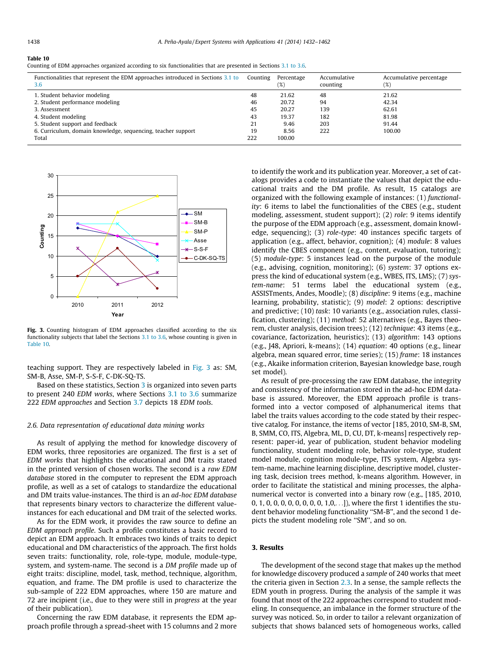<span id="page-6-0"></span>

|--|--|

Counting of EDM approaches organized according to six functionalities that are presented in Sections [3.1 to 3.6.](#page-7-0)

| Functionalities that represent the EDM approaches introduced in Sections 3.1 to<br>3.6 | Counting | Percentage<br>(%) | Accumulative<br>counting | Accumulative percentage<br>(%) |
|----------------------------------------------------------------------------------------|----------|-------------------|--------------------------|--------------------------------|
| 1. Student behavior modeling                                                           | 48       | 21.62             | 48                       | 21.62                          |
| 2. Student performance modeling                                                        | 46       | 20.72             | 94                       | 42.34                          |
| 3. Assessment                                                                          | 45       | 20.27             | 139                      | 62.61                          |
| 4. Student modeling                                                                    | 43       | 19.37             | 182                      | 81.98                          |
| 5. Student support and feedback                                                        | 21       | 9.46              | 203                      | 91.44                          |
| 6. Curriculum, domain knowledge, sequencing, teacher support                           | 19       | 8.56              | 222                      | 100.00                         |
| Total                                                                                  | 222      | 100.00            |                          |                                |



Fig. 3. Counting histogram of EDM approaches classified according to the six functionality subjects that label the Sections [3.1 to 3.6,](#page-7-0) whose counting is given in Table 10.

teaching support. They are respectively labeled in Fig. 3 as: SM, SM-B, Asse, SM-P, S-S-F, C-DK-SQ-TS.

Based on these statistics, Section 3 is organized into seven parts to present 240 EDM works, where Sections [3.1 to 3.6](#page-7-0) summarize 222 EDM approaches and Section [3.7](#page-21-0) depicts 18 EDM tools.

# 2.6. Data representation of educational data mining works

As result of applying the method for knowledge discovery of EDM works, three repositories are organized. The first is a set of EDM works that highlights the educational and DM traits stated in the printed version of chosen works. The second is a raw EDM database stored in the computer to represent the EDM approach profile, as well as a set of catalogs to standardize the educational and DM traits value-instances. The third is an ad-hoc EDM database that represents binary vectors to characterize the different valueinstances for each educational and DM trait of the selected works.

As for the EDM work, it provides the raw source to define an EDM approach profile. Such a profile constitutes a basic record to depict an EDM approach. It embraces two kinds of traits to depict educational and DM characteristics of the approach. The first holds seven traits: functionality, role, role-type, module, module-type, system, and system-name. The second is a DM profile made up of eight traits: discipline, model, task, method, technique, algorithm, equation, and frame. The DM profile is used to characterize the sub-sample of 222 EDM approaches, where 150 are mature and 72 are incipient (i.e., due to they were still in progress at the year of their publication).

Concerning the raw EDM database, it represents the EDM approach profile through a spread-sheet with 15 columns and 2 more to identify the work and its publication year. Moreover, a set of catalogs provides a code to instantiate the values that depict the educational traits and the DM profile. As result, 15 catalogs are organized with the following example of instances: (1) functionality: 6 items to label the functionalities of the CBES (e.g., student modeling, assessment, student support); (2) role: 9 items identify the purpose of the EDM approach (e.g., assessment, domain knowledge, sequencing); (3) role-type: 40 instances specific targets of application (e.g., affect, behavior, cognition); (4) module: 8 values identify the CBES component (e.g., content, evaluation, tutoring); (5) module-type: 5 instances lead on the purpose of the module (e.g., advising, cognition, monitoring); (6) system: 37 options express the kind of educational system (e.g., WBES, ITS, LMS); (7) system-name: 51 terms label the educational system (e.g., ASSISTments, Andes, Moodle); (8) discipline: 9 items (e.g., machine learning, probability, statistic); (9) model: 2 options: descriptive and predictive; (10) task: 10 variants (e.g., association rules, classification, clustering); (11) method: 52 alternatives (e.g., Bayes theorem, cluster analysis, decision trees); (12) technique: 43 items (e.g., covariance, factorization, heuristics); (13) algorithm: 143 options (e.g., J48, Apriori, k-means); (14) equation: 40 options (e.g., linear algebra, mean squared error, time series); (15) frame: 18 instances (e.g., Akaike information criterion, Bayesian knowledge base, rough set model).

As result of pre-processing the raw EDM database, the integrity and consistency of the information stored in the ad-hoc EDM database is assured. Moreover, the EDM approach profile is transformed into a vector composed of alphanumerical items that label the traits values according to the code stated by their respective catalog. For instance, the items of vector [185, 2010, SM-B, SM, B, SMM, CO, ITS, Algebra, ML, D, CU, DT, k-means] respectively represent: paper-id, year of publication, student behavior modeling functionality, student modeling role, behavior role-type, student model module, cognition module-type, ITS system, Algebra system-name, machine learning discipline, descriptive model, clustering task, decision trees method, k-means algorithm. However, in order to facilitate the statistical and mining processes, the alphanumerical vector is converted into a binary row (e.g., [185, 2010, 0, 1, 0, 0, 0, 0, 0, 0, 0, 0, 1,0,...]), where the first 1 identifies the student behavior modeling functionality ''SM-B'', and the second 1 depicts the student modeling role ''SM'', and so on.

# 3. Results

The development of the second stage that makes up the method for knowledge discovery produced a sample of 240 works that meet the criteria given in Section [2.3](#page-2-0). In a sense, the sample reflects the EDM youth in progress. During the analysis of the sample it was found that most of the 222 approaches correspond to student modeling. In consequence, an imbalance in the former structure of the survey was noticed. So, in order to tailor a relevant organization of subjects that shows balanced sets of homogeneous works, called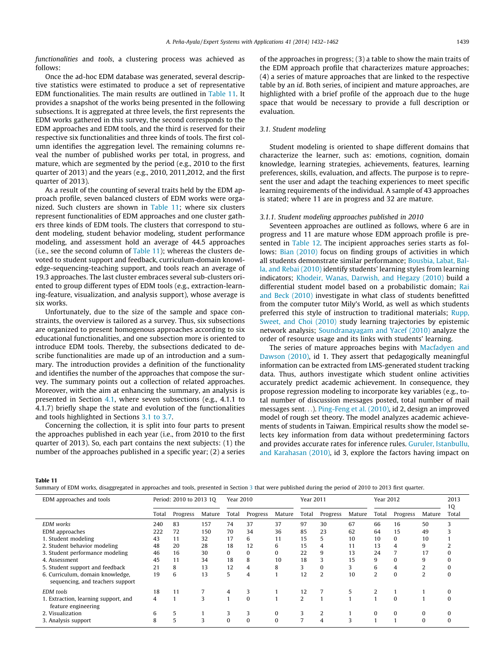<span id="page-7-0"></span>functionalities and tools, a clustering process was achieved as follows:

Once the ad-hoc EDM database was generated, several descriptive statistics were estimated to produce a set of representative EDM functionalities. The main results are outlined in Table 11. It provides a snapshot of the works being presented in the following subsections. It is aggregated at three levels, the first represents the EDM works gathered in this survey, the second corresponds to the EDM approaches and EDM tools, and the third is reserved for their respective six functionalities and three kinds of tools. The first column identifies the aggregation level. The remaining columns reveal the number of published works per total, in progress, and mature, which are segmented by the period (e.g., 2010 to the first quarter of 2013) and the years (e.g., 2010, 2011,2012, and the first quarter of 2013).

As a result of the counting of several traits held by the EDM approach profile, seven balanced clusters of EDM works were organized. Such clusters are shown in Table 11; where six clusters represent functionalities of EDM approaches and one cluster gathers three kinds of EDM tools. The clusters that correspond to student modeling, student behavior modeling, student performance modeling, and assessment hold an average of 44.5 approaches (i.e., see the second column of Table 11); whereas the clusters devoted to student support and feedback, curriculum-domain knowledge-sequencing-teaching support, and tools reach an average of 19.3 approaches. The last cluster embraces several sub-clusters oriented to group different types of EDM tools (e.g., extraction-learning-feature, visualization, and analysis support), whose average is six works.

Unfortunately, due to the size of the sample and space constraints, the overview is tailored as a survey. Thus, six subsections are organized to present homogenous approaches according to six educational functionalities, and one subsection more is oriented to introduce EDM tools. Thereby, the subsections dedicated to describe functionalities are made up of an introduction and a summary. The introduction provides a definition of the functionality and identifies the number of the approaches that compose the survey. The summary points out a collection of related approaches. Moreover, with the aim at enhancing the summary, an analysis is presented in Section [4.1](#page-22-0), where seven subsections (e.g., 4.1.1 to 4.1.7) briefly shape the state and evolution of the functionalities and tools highlighted in Sections 3.1 to 3.7.

Concerning the collection, it is split into four parts to present the approaches published in each year (i.e., from 2010 to the first quarter of 2013). So, each part contains the next subjects: (1) the number of the approaches published in a specific year; (2) a series of the approaches in progress; (3) a table to show the main traits of the EDM approach profile that characterizes mature approaches; (4) a series of mature approaches that are linked to the respective table by an id. Both series, of incipient and mature approaches, are highlighted with a brief profile of the approach due to the huge space that would be necessary to provide a full description or evaluation.

# 3.1. Student modeling

Student modeling is oriented to shape different domains that characterize the learner, such as: emotions, cognition, domain knowledge, learning strategies, achievements, features, learning preferences, skills, evaluation, and affects. The purpose is to represent the user and adapt the teaching experiences to meet specific learning requirements of the individual. A sample of 43 approaches is stated; where 11 are in progress and 32 are mature.

#### 3.1.1. Student modeling approaches published in 2010

Seventeen approaches are outlined as follows, where 6 are in progress and 11 are mature whose EDM approach profile is presented in [Table 12.](#page-8-0) The incipient approaches series starts as follows: [Bian \(2010\)](#page-26-0) focus on finding groups of activities in which all students demonstrate similar performance; [Bousbia, Labat, Bal](#page-26-0)[la, and Rebai \(2010\)](#page-26-0) identify students' learning styles from learning indicators; [Khodeir, Wanas, Darwish, and Hegazy \(2010\)](#page-27-0) build a differential student model based on a probabilistic domain; [Rai](#page-29-0) [and Beck \(2010\)](#page-29-0) investigate in what class of students benefitted from the computer tutor Mily's World, as well as which students preferred this style of instruction to traditional materials; [Rupp,](#page-29-0) [Sweet, and Choi \(2010\)](#page-29-0) study learning trajectories by epistemic network analysis; [Soundranayagam and Yacef \(2010\)](#page-29-0) analyze the order of resource usage and its links with students' learning.

The series of mature approaches begins with [Macfadyen and](#page-28-0) [Dawson \(2010\)](#page-28-0), id 1. They assert that pedagogically meaningful information can be extracted from LMS-generated student tracking data. Thus, authors investigate which student online activities accurately predict academic achievement. In consequence, they propose regression modeling to incorporate key variables (e.g., total number of discussion messages posted, total number of mail messages sent...). [Ping-Feng et al. \(2010\)](#page-29-0), id 2, design an improved model of rough set theory. The model analyzes academic achievements of students in Taiwan. Empirical results show the model selects key information from data without predetermining factors and provides accurate rates for inference rules. [Guruler, Istanbullu,](#page-27-0) [and Karahasan \(2010\),](#page-27-0) id 3, explore the factors having impact on

Summary of EDM works, disaggregated in approaches and tools, presented in Section [3](#page-6-0) that were published during the period of 2010 to 2013 first quarter.

| EDM approaches and tools                                             | Period: 2010 to 2013 10 |          | Year 2010 |          |          | <b>Year 2011</b> |                |                | Year 2012 |                |          | 2013   |             |
|----------------------------------------------------------------------|-------------------------|----------|-----------|----------|----------|------------------|----------------|----------------|-----------|----------------|----------|--------|-------------|
|                                                                      | Total                   | Progress | Mature    | Total    | Progress | Mature           | Total          | Progress       | Mature    | Total          | Progress | Mature | 1Q<br>Total |
| <b>EDM</b> works                                                     | 240                     | 83       | 157       | 74       | 37       | 37               | 97             | 30             | 67        | 66             | 16       | 50     | 3           |
| EDM approaches                                                       | 222                     | 72       | 150       | 70       | 34       | 36               | 85             | 23             | 62        | 64             | 15       | 49     |             |
| 1. Student modeling                                                  | 43                      | 11       | 32        | 17       | 6        | 11               | 15             | 5              | 10        | 10             | $\Omega$ | 10     |             |
| 2. Student behavior modeling                                         | 48                      | 20       | 28        | 18       | 12       | 6                | 15             | 4              | 11        | 13             | 4        | 9      |             |
| 3. Student performance modeling                                      | 46                      | 16       | 30        | $\Omega$ | $\Omega$ | 0                | 22             | 9              | 13        | 24             |          | 17     |             |
| 4. Assessment                                                        | 45                      | 11       | 34        | 18       | 8        | 10               | 18             | 3              | 15        | 9              | 0        | 9      |             |
| 5. Student support and feedback                                      | 21                      | 8        | 13        | 12       | 4        | 8                | 3              | $\Omega$       | 3         | 6              | 4        |        |             |
| 6. Curriculum, domain knowledge,<br>sequencing, and teachers support | 19                      | 6        | 13        | 5        | 4        |                  | 12             | $\overline{2}$ | 10        | $\overline{2}$ | $\Omega$ | 2      | C           |
| <b>EDM</b> tools                                                     | 18                      | 11       |           | 4        | 3        |                  | 12             |                | 5         |                |          |        |             |
| 1. Extraction, learning support, and<br>feature engineering          | 4                       |          | 3         |          | $\Omega$ |                  | $\overline{2}$ |                |           |                | $\Omega$ |        |             |
| 2. Visualization                                                     | 6                       | 5        |           | 3        | 3        | 0                | 3              |                |           | 0              | 0        |        |             |
| 3. Analysis support                                                  | 8                       | 5        | 3         | $\Omega$ | $\theta$ |                  |                |                | $\sim$    |                |          |        |             |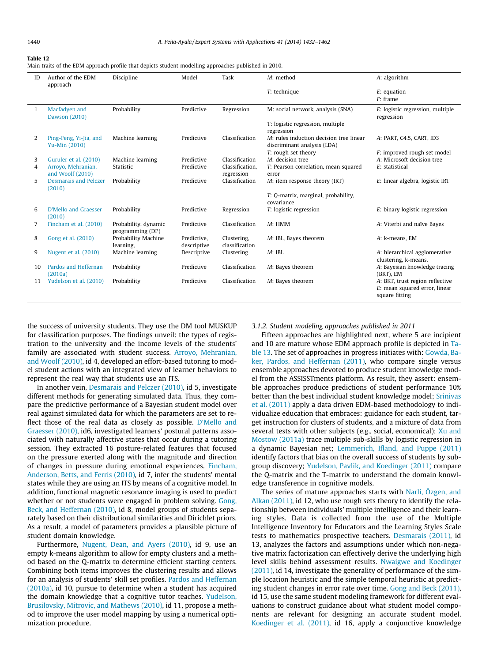<span id="page-8-0"></span>Main traits of the EDM approach profile that depicts student modelling approaches published in 2010.

| ID             | Author of the EDM<br>approach           | Discipline                               | Model       | Task            | $M:$ method                                                            | A: algorithm                                       |
|----------------|-----------------------------------------|------------------------------------------|-------------|-----------------|------------------------------------------------------------------------|----------------------------------------------------|
|                |                                         |                                          |             |                 | $T$ : technique                                                        | $E$ : equation<br>$F:$ frame                       |
| $\mathbf{1}$   | Macfadyen and<br><b>Dawson (2010)</b>   | Probability                              | Predictive  | Regression      | M: social network, analysis (SNA)                                      | E: logistic regression, multiple<br>regression     |
|                |                                         |                                          |             |                 | T: logistic regression, multiple<br>regression                         |                                                    |
| 2              | Ping-Feng, Yi-Jia, and<br>Yu-Min (2010) | Machine learning                         | Predictive  | Classification  | M: rules induction decision tree linear<br>discriminant analysis (LDA) | A: PART, C4.5, CART, ID3                           |
|                |                                         |                                          |             |                 | T: rough set theory                                                    | F: improved rough set model                        |
| 3              | Guruler et al. (2010)                   | Machine learning                         | Predictive  | Classification  | M: decision tree                                                       | A: Microsoft decision tree                         |
| $\overline{4}$ | Arroyo, Mehranian,                      | Statistic                                | Predictive  | Classification. | T: Pearson correlation, mean squared                                   | E: statistical                                     |
|                | and Woolf (2010)                        |                                          |             | regression      | error                                                                  |                                                    |
| 5              | Desmarais and Pelczer<br>(2010)         | Probability                              | Predictive  | Classification  | M: item response theory (IRT)                                          | E: linear algebra, logistic IRT                    |
|                |                                         |                                          |             |                 | T: Q-matrix, marginal, probability,<br>covariance                      |                                                    |
|                | D'Mello and Graesser                    |                                          | Predictive  |                 |                                                                        |                                                    |
| 6              | (2010)                                  | Probability                              |             | Regression      | T: logistic regression                                                 | $E$ : binary logistic regression                   |
| 7              | Fincham et al. (2010)                   | Probability, dynamic<br>programming (DP) | Predictive  | Classification  | M: HMM                                                                 | A: Viterbi and naïve Bayes                         |
| 8              | Gong et al. (2010)                      | Probability Machine                      | Predictive. | Clustering,     | M: IBL, Bayes theorem                                                  | A: k-means, EM                                     |
|                |                                         | learning,                                | descriptive | classification  |                                                                        |                                                    |
| 9              | Nugent et al. (2010)                    | Machine learning                         | Descriptive | Clustering      | $M$ : IBL                                                              | A: hierarchical agglomerative                      |
|                |                                         |                                          |             |                 |                                                                        | clustering, k-means,                               |
| 10             | Pardos and Heffernan                    | Probability                              | Predictive  | Classification  | M: Bayes theorem                                                       | A: Bayesian knowledge tracing                      |
|                | (2010a)                                 |                                          |             |                 |                                                                        | $(BKT)$ , EM                                       |
| 11             | Yudelson et al. (2010)                  | Probability                              | Predictive  | Classification  | M: Bayes theorem                                                       | A: BKT, trust region reflective                    |
|                |                                         |                                          |             |                 |                                                                        | $E$ : mean squared error, linear<br>square fitting |

the success of university students. They use the DM tool MUSKUP for classification purposes. The findings unveil: the types of registration to the university and the income levels of the students' family are associated with student success. [Arroyo, Mehranian,](#page-26-0) [and Woolf \(2010\),](#page-26-0) id 4, developed an effort-based tutoring to model student actions with an integrated view of learner behaviors to represent the real way that students use an ITS.

In another vein, [Desmarais and Pelczer \(2010\)](#page-26-0), id 5, investigate different methods for generating simulated data. Thus, they compare the predictive performance of a Bayesian student model over real against simulated data for which the parameters are set to reflect those of the real data as closely as possible. [D'Mello and](#page-26-0) [Graesser \(2010\),](#page-26-0) id6, investigated learners' postural patterns associated with naturally affective states that occur during a tutoring session. They extracted 16 posture-related features that focused on the pressure exerted along with the magnitude and direction of changes in pressure during emotional experiences. [Fincham,](#page-26-0) [Anderson, Betts, and Ferris \(2010\),](#page-26-0) id 7, infer the students' mental states while they are using an ITS by means of a cognitive model. In addition, functional magnetic resonance imaging is used to predict whether or not students were engaged in problem solving. [Gong,](#page-27-0) [Beck, and Heffernan \(2010\),](#page-27-0) id 8, model groups of students separately based on their distributional similarities and Dirichlet priors. As a result, a model of parameters provides a plausible picture of student domain knowledge.

Furthermore, [Nugent, Dean, and Ayers \(2010\),](#page-28-0) id 9, use an empty k-means algorithm to allow for empty clusters and a method based on the Q-matrix to determine efficient starting centers. Combining both items improves the clustering results and allows for an analysis of students' skill set profiles. [Pardos and Heffernan](#page-28-0) [\(2010a\),](#page-28-0) id 10, pursue to determine when a student has acquired the domain knowledge that a cognitive tutor teaches. [Yudelson,](#page-30-0) [Brusilovsky, Mitrovic, and Mathews \(2010\),](#page-30-0) id 11, propose a method to improve the user model mapping by using a numerical optimization procedure.

#### 3.1.2. Student modeling approaches published in 2011

Fifteen approaches are highlighted next, where 5 are incipient and 10 are mature whose EDM approach profile is depicted in [Ta](#page-9-0)[ble 13.](#page-9-0) The set of approaches in progress initiates with: [Gowda, Ba](#page-27-0)[ker, Pardos, and Heffernan \(2011\)](#page-27-0), who compare single versus ensemble approaches devoted to produce student knowledge model from the ASSISSTments platform. As result, they assert: ensemble approaches produce predictions of student performance 10% better than the best individual student knowledge model; [Srinivas](#page-29-0) [et al. \(2011\)](#page-29-0) apply a data driven EDM-based methodology to individualize education that embraces: guidance for each student, target instruction for clusters of students, and a mixture of data from several tests with other subjects (e.g., social, economical); [Xu and](#page-30-0) [Mostow \(2011a\)](#page-30-0) trace multiple sub-skills by logistic regression in a dynamic Bayesian net; [Lemmerich, Ifland, and Puppe \(2011\)](#page-28-0) identify factors that bias on the overall success of students by subgroup discovery; [Yudelson, Pavlik, and Koedinger \(2011\)](#page-30-0) compare the Q-matrix and the T-matrix to understand the domain knowledge transference in cognitive models.

The series of mature approaches starts with [Narli, Özgen, and](#page-28-0) [Alkan \(2011\)](#page-28-0), id 12, who use rough sets theory to identify the relationship between individuals' multiple intelligence and their learning styles. Data is collected from the use of the Multiple Intelligence Inventory for Educators and the Learning Styles Scale tests to mathematics prospective teachers. [Desmarais \(2011\),](#page-26-0) id 13, analyzes the factors and assumptions under which non-negative matrix factorization can effectively derive the underlying high level skills behind assessment results. [Nwaigwe and Koedinger](#page-28-0) [\(2011\),](#page-28-0) id 14, investigate the generality of performance of the simple location heuristic and the simple temporal heuristic at predicting student changes in error rate over time. [Gong and Beck \(2011\),](#page-27-0) id 15, use the same student modeling framework for different evaluations to construct guidance about what student model components are relevant for designing an accurate student model. [Koedinger et al. \(2011\),](#page-28-0) id 16, apply a conjunctive knowledge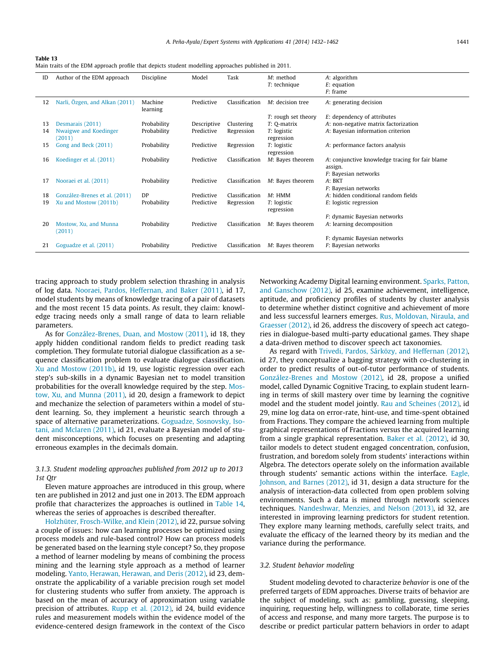<span id="page-9-0"></span>

| Table 13                                                                                             |  |
|------------------------------------------------------------------------------------------------------|--|
| Main traits of the EDM approach profile that depicts student modelling approaches published in 2011. |  |

| ID | Author of the EDM approach      | Discipline          | Model       | Task           | $M:$ method<br>$T$ : technique | A: algorithm<br>$E$ : equation<br>$F:$ frame                           |
|----|---------------------------------|---------------------|-------------|----------------|--------------------------------|------------------------------------------------------------------------|
| 12 | Narli, Özgen, and Alkan (2011)  | Machine<br>learning | Predictive  | Classification | M: decision tree               | A: generating decision                                                 |
|    |                                 |                     |             |                | T: rough set theory            | E: dependency of attributes                                            |
| 13 | Desmarais (2011)                | Probability         | Descriptive | Clustering     | T: Q-matrix                    | A: non-negative matrix factorization                                   |
| 14 | Nwaigwe and Koedinger<br>(2011) | Probability         | Predictive  | Regression     | $T$ : logistic<br>regression   | A: Bayesian information criterion                                      |
| 15 | Gong and Beck (2011)            | Probability         | Predictive  | Regression     | $T:$ logistic<br>regression    | A: performance factors analysis                                        |
| 16 | Koedinger et al. (2011)         | Probability         | Predictive  | Classification | M: Bayes theorem               | A: conjunctive knowledge tracing for fair blame<br>assign.             |
| 17 | Nooraei et al. (2011)           | Probability         | Predictive  | Classification | M: Bayes theorem               | <i>F</i> : Bayesian networks<br>A: BKT<br><i>F</i> : Bayesian networks |
| 18 | González-Brenes et al. (2011)   | DP.                 | Predictive  | Classification | M: HMM                         | A: hidden conditional random fields                                    |
| 19 | Xu and Mostow (2011b)           | Probability         | Predictive  | Regression     | $T$ : logistic<br>regression   | E: logistic regression                                                 |
|    |                                 |                     |             |                |                                | F: dynamic Bayesian networks                                           |
| 20 | Mostow, Xu, and Munna<br>(2011) | Probability         | Predictive  | Classification | M: Bayes theorem               | A: learning decomposition                                              |
|    |                                 |                     |             |                |                                | F: dynamic Bayesian networks                                           |
| 21 | Goguadze et al. (2011)          | Probability         | Predictive  | Classification | M: Bayes theorem               | F: Bayesian networks                                                   |

tracing approach to study problem selection thrashing in analysis of log data. [Nooraei, Pardos, Heffernan, and Baker \(2011\),](#page-28-0) id 17, model students by means of knowledge tracing of a pair of datasets and the most recent 15 data points. As result, they claim: knowledge tracing needs only a small range of data to learn reliable parameters.

As for [González-Brenes, Duan, and Mostow \(2011\),](#page-27-0) id 18, they apply hidden conditional random fields to predict reading task completion. They formulate tutorial dialogue classification as a sequence classification problem to evaluate dialogue classification. [Xu and Mostow \(2011b\)](#page-30-0), id 19, use logistic regression over each step's sub-skills in a dynamic Bayesian net to model transition probabilities for the overall knowledge required by the step. [Mos](#page-28-0)[tow, Xu, and Munna \(2011\),](#page-28-0) id 20, design a framework to depict and mechanize the selection of parameters within a model of student learning. So, they implement a heuristic search through a space of alternative parameterizations. [Goguadze, Sosnovsky, Iso](#page-27-0)[tani, and Mclaren \(2011\),](#page-27-0) id 21, evaluate a Bayesian model of student misconceptions, which focuses on presenting and adapting erroneous examples in the decimals domain.

# 3.1.3. Student modeling approaches published from 2012 up to 2013 1st Qtr

Eleven mature approaches are introduced in this group, where ten are published in 2012 and just one in 2013. The EDM approach profile that characterizes the approaches is outlined in [Table 14,](#page-10-0) whereas the series of approaches is described thereafter.

[Holzhüter, Frosch-Wilke, and Klein \(2012\)](#page-27-0), id 22, pursue solving a couple of issues: how can learning processes be optimized using process models and rule-based control? How can process models be generated based on the learning style concept? So, they propose a method of learner modeling by means of combining the process mining and the learning style approach as a method of learner modeling. [Yanto, Herawan, Herawan, and Deris \(2012\),](#page-30-0) id 23, demonstrate the applicability of a variable precision rough set model for clustering students who suffer from anxiety. The approach is based on the mean of accuracy of approximation using variable precision of attributes. [Rupp et al. \(2012\),](#page-29-0) id 24, build evidence rules and measurement models within the evidence model of the evidence-centered design framework in the context of the Cisco

Networking Academy Digital learning environment. [Sparks, Patton,](#page-29-0) [and Ganschow \(2012\),](#page-29-0) id 25, examine achievement, intelligence, aptitude, and proficiency profiles of students by cluster analysis to determine whether distinct cognitive and achievement of more and less successful learners emerges. [Rus, Moldovan, Niraula, and](#page-29-0) [Graesser \(2012\)](#page-29-0), id 26, address the discovery of speech act categories in dialogue-based multi-party educational games. They shape a data-driven method to discover speech act taxonomies.

As regard with [Trivedi, Pardos, Sárközy, and Heffernan \(2012\),](#page-30-0) id 27, they conceptualize a bagging strategy with co-clustering in order to predict results of out-of-tutor performance of students. [González-Brenes and Mostow \(2012\)](#page-27-0), id 28, propose a unified model, called Dynamic Cognitive Tracing, to explain student learning in terms of skill mastery over time by learning the cognitive model and the student model jointly. [Rau and Scheines \(2012\),](#page-29-0) id 29, mine log data on error-rate, hint-use, and time-spent obtained from Fractions. They compare the achieved learning from multiple graphical representations of Fractions versus the acquired learning from a single graphical representation. [Baker et al. \(2012\),](#page-26-0) id 30, tailor models to detect student engaged concentration, confusion, frustration, and boredom solely from students' interactions within Algebra. The detectors operate solely on the information available through students' semantic actions within the interface. [Eagle,](#page-26-0) [Johnson, and Barnes \(2012\),](#page-26-0) id 31, design a data structure for the analysis of interaction-data collected from open problem solving environments. Such a data is mined through network sciences techniques. [Nandeshwar, Menzies, and Nelson \(2013\),](#page-28-0) id 32, are interested in improving learning predictors for student retention. They explore many learning methods, carefully select traits, and evaluate the efficacy of the learned theory by its median and the variance during the performance.

## 3.2. Student behavior modeling

Student modeling devoted to characterize behavior is one of the preferred targets of EDM approaches. Diverse traits of behavior are the subject of modeling, such as: gambling, guessing, sleeping, inquiring, requesting help, willingness to collaborate, time series of access and response, and many more targets. The purpose is to describe or predict particular pattern behaviors in order to adapt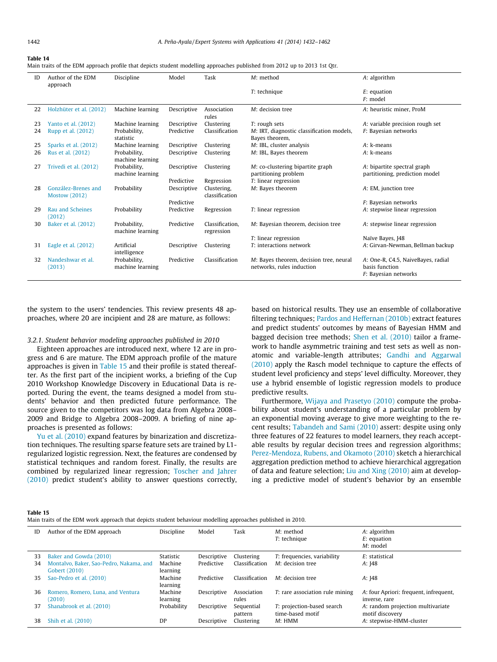<span id="page-10-0"></span>Main traits of the EDM approach profile that depicts student modelling approaches published from 2012 up to 2013 1st Qtr.

| ID | Author of the EDM<br>approach               | Discipline                       | Model       | Task                          | M: method                                                   | A: algorithm                       |
|----|---------------------------------------------|----------------------------------|-------------|-------------------------------|-------------------------------------------------------------|------------------------------------|
|    |                                             |                                  |             |                               | $T$ : technique                                             | $E$ : equation                     |
|    |                                             |                                  |             |                               |                                                             | $F:$ model                         |
| 22 | Holzhüter et al. (2012)                     | Machine learning                 | Descriptive | Association<br>rules          | M: decision tree                                            | A: heuristic miner, ProM           |
| 23 | Yanto et al. (2012)                         | Machine learning                 | Descriptive | Clustering                    | T: rough sets                                               | A: variable precision rough set    |
| 24 | Rupp et al. (2012)                          | Probability,<br>statistic        | Predictive  | Classification                | M: IRT, diagnostic classification models,<br>Bayes theorem, | F: Bayesian networks               |
| 25 | Sparks et al. (2012)                        | Machine learning                 | Descriptive | Clustering                    | M: IBL, cluster analysis                                    | A: k-means                         |
| 26 | Rus et al. (2012)                           | Probability,<br>machine learning | Descriptive | Clustering                    | M: IBL, Bayes theorem                                       | A: k-means                         |
| 27 | Trivedi et al. (2012)                       | Probability,                     | Descriptive | Clustering                    | M: co-clustering bipartite graph                            | A: bipartite spectral graph        |
|    |                                             | machine learning                 |             |                               | partitioning problem                                        | partitioning, prediction model     |
|    |                                             |                                  | Predictive  | Regression                    | T: linear regression                                        |                                    |
| 28 | González-Brenes and<br><b>Mostow (2012)</b> | Probability                      | Descriptive | Clustering,<br>classification | M: Bayes theorem                                            | A: EM, junction tree               |
|    |                                             |                                  | Predictive  |                               |                                                             | F: Bayesian networks               |
| 29 | Rau and Scheines<br>(2012)                  | Probability                      | Predictive  | Regression                    | T: linear regression                                        | A: stepwise linear regression      |
| 30 | Baker et al. (2012)                         | Probability,<br>machine learning | Predictive  | Classification.<br>regression | M: Bayesian theorem, decision tree                          | A: stepwise linear regression      |
|    |                                             |                                  |             |                               | T: linear regression                                        | Naïve Bayes, J48                   |
| 31 | Eagle et al. (2012)                         | Artificial                       | Descriptive | Clustering                    | T: interactions network                                     | A: Girvan-Newman, Bellman backup   |
|    |                                             | intelligence                     |             |                               |                                                             |                                    |
| 32 | Nandeshwar et al.                           | Probability,                     | Predictive  | Classification                | M: Bayes theorem, decision tree, neural                     | A: One-R, C4.5, NaiveBayes, radial |
|    | (2013)                                      | machine learning                 |             |                               | networks, rules induction                                   | basis function                     |
|    |                                             |                                  |             |                               |                                                             | <i>F</i> : Bayesian networks       |

the system to the users' tendencies. This review presents 48 approaches, where 20 are incipient and 28 are mature, as follows:

#### 3.2.1. Student behavior modeling approaches published in 2010

Eighteen approaches are introduced next, where 12 are in progress and 6 are mature. The EDM approach profile of the mature approaches is given in Table 15 and their profile is stated thereafter. As the first part of the incipient works, a briefing of the Cup 2010 Workshop Knowledge Discovery in Educational Data is reported. During the event, the teams designed a model from students' behavior and then predicted future performance. The source given to the competitors was log data from Algebra 2008– 2009 and Bridge to Algebra 2008–2009. A briefing of nine approaches is presented as follows:

[Yu et al. \(2010\)](#page-30-0) expand features by binarization and discretization techniques. The resulting sparse feature sets are trained by L1 regularized logistic regression. Next, the features are condensed by statistical techniques and random forest. Finally, the results are combined by regularized linear regression; [Toscher and Jahrer](#page-30-0) [\(2010\)](#page-30-0) predict student's ability to answer questions correctly, based on historical results. They use an ensemble of collaborative filtering techniques; [Pardos and Heffernan \(2010b\)](#page-28-0) extract features and predict students' outcomes by means of Bayesian HMM and bagged decision tree methods; [Shen et al. \(2010\)](#page-29-0) tailor a framework to handle asymmetric training and test sets as well as nonatomic and variable-length attributes; [Gandhi and Aggarwal](#page-27-0) [\(2010\)](#page-27-0) apply the Rasch model technique to capture the effects of student level proficiency and steps' level difficulty. Moreover, they use a hybrid ensemble of logistic regression models to produce predictive results.

Furthermore, [Wijaya and Prasetyo \(2010\)](#page-30-0) compute the probability about student's understanding of a particular problem by an exponential moving average to give more weighting to the recent results; [Tabandeh and Sami \(2010\)](#page-30-0) assert: despite using only three features of 22 features to model learners, they reach acceptable results by regular decision trees and regression algorithms; [Perez-Mendoza, Rubens, and Okamoto \(2010\)](#page-29-0) sketch a hierarchical aggregation prediction method to achieve hierarchical aggregation of data and feature selection; [Liu and Xing \(2010\)](#page-28-0) aim at developing a predictive model of student's behavior by an ensemble

#### Table 15

Main traits of the EDM work approach that depicts student behaviour modelling approaches published in 2010.

| ID | Author of the EDM approach              | Discipline  | Model       | Task           | $M:$ method                     | A: algorithm                           |
|----|-----------------------------------------|-------------|-------------|----------------|---------------------------------|----------------------------------------|
|    |                                         |             |             |                | $T$ : technique                 | $E$ : equation                         |
|    |                                         |             |             |                |                                 | M: model                               |
| 33 | Baker and Gowda (2010)                  | Statistic   | Descriptive | Clustering     | T: frequencies, variability     | E: statistical                         |
| 34 | Montalvo, Baker, Sao-Pedro, Nakama, and | Machine     | Predictive  | Classification | M: decision tree                | A: J48                                 |
|    | Gobert (2010)                           | learning    |             |                |                                 |                                        |
| 35 | Sao-Pedro et al. (2010)                 | Machine     | Predictive  | Classification | M: decision tree                | A: J48                                 |
|    |                                         | learning    |             |                |                                 |                                        |
| 36 | Romero, Romero, Luna, and Ventura       | Machine     | Descriptive | Association    | T: rare association rule mining | A: four Apriori: frequent, infrequent, |
|    | (2010)                                  | learning    |             | rules          |                                 | inverse, rare                          |
| 37 | Shanabrook et al. (2010)                | Probability | Descriptive | Sequential     | T: projection-based search      | A: random projection multivariate      |
|    |                                         |             |             | pattern        | time-based motif                | motif discovery                        |
| 38 | Shih et al. (2010)                      | DP          | Descriptive | Clustering     | M: HMM                          | A: stepwise-HMM-cluster                |
|    |                                         |             |             |                |                                 |                                        |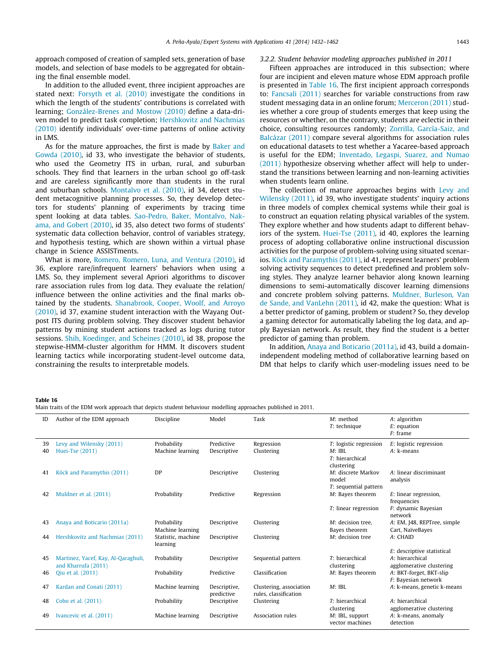approach composed of creation of sampled sets, generation of base models, and selection of base models to be aggregated for obtaining the final ensemble model.

In addition to the alluded event, three incipient approaches are stated next: [Forsyth et al. \(2010\)](#page-27-0) investigate the conditions in which the length of the students' contributions is correlated with learning; [González-Brenes and Mostow \(2010\)](#page-27-0) define a data-driven model to predict task completion; [Hershkovitz and Nachmias](#page-27-0) [\(2010\)](#page-27-0) identify individuals' over-time patterns of online activity in LMS.

As for the mature approaches, the first is made by [Baker and](#page-26-0) [Gowda \(2010\),](#page-26-0) id 33, who investigate the behavior of students, who used the Geometry ITS in urban, rural, and suburban schools. They find that learners in the urban school go off-task and are careless significantly more than students in the rural and suburban schools. [Montalvo et al. \(2010\)](#page-28-0), id 34, detect student metacognitive planning processes. So, they develop detectors for students' planning of experiments by tracing time spent looking at data tables. [Sao-Pedro, Baker, Montalvo, Nak](#page-29-0)[ama, and Gobert \(2010\),](#page-29-0) id 35, also detect two forms of students' systematic data collection behavior, control of variables strategy, and hypothesis testing, which are shown within a virtual phase change in Science ASSISTments.

What is more, [Romero, Romero, Luna, and Ventura \(2010\)](#page-29-0), id 36, explore rare/infrequent learners' behaviors when using a LMS. So, they implement several Apriori algorithms to discover rare association rules from log data. They evaluate the relation/ influence between the online activities and the final marks obtained by the students. [Shanabrook, Cooper, Woolf, and Arroyo](#page-29-0) [\(2010\)](#page-29-0), id 37, examine student interaction with the Wayang Outpost ITS during problem solving. They discover student behavior patterns by mining student actions tracked as logs during tutor sessions. [Shih, Koedinger, and Scheines \(2010\),](#page-29-0) id 38, propose the stepwise-HMM-cluster algorithm for HMM. It discovers student learning tactics while incorporating student-level outcome data, constraining the results to interpretable models.

### 3.2.2. Student behavior modeling approaches published in 2011

Fifteen approaches are introduced in this subsection; where four are incipient and eleven mature whose EDM approach profile is presented in Table 16. The first incipient approach corresponds to: [Fancsali \(2011\)](#page-26-0) searches for variable constructions from raw student messaging data in an online forum; [Merceron \(2011\)](#page-28-0) studies whether a core group of students emerges that keep using the resources or whether, on the contrary, students are eclectic in their choice, consulting resources randomly; [Zorrilla, García-Saiz, and](#page-30-0) [Balcázar \(2011\)](#page-30-0) compare several algorithms for association rules on educational datasets to test whether a Yacaree-based approach is useful for the EDM; [Inventado, Legaspi, Suarez, and Numao](#page-27-0) [\(2011\)](#page-27-0) hypothesize observing whether affect will help to understand the transitions between learning and non-learning activities when students learn online.

The collection of mature approaches begins with [Levy and](#page-28-0) [Wilensky \(2011\),](#page-28-0) id 39, who investigate students' inquiry actions in three models of complex chemical systems while their goal is to construct an equation relating physical variables of the system. They explore whether and how students adapt to different behaviors of the system. [Huei-Tse \(2011\),](#page-27-0) id 40, explores the learning process of adopting collaborative online instructional discussion activities for the purpose of problem-solving using situated scenarios. [Köck and Paramythis \(2011\)](#page-28-0), id 41, represent learners' problem solving activity sequences to detect predefined and problem solving styles. They analyze learner behavior along known learning dimensions to semi-automatically discover learning dimensions and concrete problem solving patterns. [Muldner, Burleson, Van](#page-28-0) [de Sande, and VanLehn \(2011\),](#page-28-0) id 42, make the question: What is a better predictor of gaming, problem or student? So, they develop a gaming detector for automatically labeling the log data, and apply Bayesian network. As result, they find the student is a better predictor of gaming than problem.

In addition, [Anaya and Boticario \(2011a\)](#page-25-0), id 43, build a domainindependent modeling method of collaborative learning based on DM that helps to clarify which user-modeling issues need to be

#### Table 16

Main traits of the EDM work approach that depicts student behaviour modelling approaches published in 2011.

| ID | Author of the EDM approach          | Discipline                     | Model        | Task                    | $M:$ method            | A: algorithm                            |
|----|-------------------------------------|--------------------------------|--------------|-------------------------|------------------------|-----------------------------------------|
|    |                                     |                                |              |                         | $T$ : technique        | $E$ : equation                          |
|    |                                     |                                |              |                         |                        | $F:$ frame                              |
| 39 | Levy and Wilensky (2011)            | Probability                    | Predictive   | Regression              | T: logistic regression | $E$ : logistic regression               |
| 40 | Huei-Tse (2011)                     | Machine learning               | Descriptive  | Clustering              | $M$ : IBL              | A: k-means                              |
|    |                                     |                                |              |                         | $T$ : hierarchical     |                                         |
|    |                                     |                                |              |                         | clustering             |                                         |
| 41 | Köck and Paramythis (2011)          | DP                             | Descriptive  | Clustering              | M: discrete Markov     | A: linear discriminant                  |
|    |                                     |                                |              |                         | model                  | analysis                                |
|    |                                     |                                |              |                         | T: sequential pattern  |                                         |
| 42 | Muldner et al. (2011)               | Probability                    | Predictive   | Regression              | M: Bayes theorem       | $E$ : linear regression,<br>frequencies |
|    |                                     |                                |              |                         | T: linear regression   | F: dynamic Bayesian                     |
|    |                                     |                                |              |                         |                        | network                                 |
| 43 | Anaya and Boticario (2011a)         | Probability                    | Descriptive  | Clustering              | M: decision tree.      | A: EM, J48, REPTree, simple             |
|    |                                     | Machine learning               |              |                         | Bayes theorem          | Cart, NaïveBayes                        |
| 44 | Hershkovitz and Nachmias (2011)     | Statistic, machine<br>learning | Descriptive  | Clustering              | M: decision tree       | A: CHAID                                |
|    |                                     |                                |              |                         |                        | E: descriptive statistical              |
| 45 | Martinez, Yacef, Kay, Al-Qaraghuli, | Probability                    | Descriptive  | Sequential pattern      | $T$ : hierarchical     | A: hierarchical                         |
|    | and Kharrufa (2011)                 |                                |              |                         | clustering             | agglomerative clustering                |
| 46 | Qiu et al. (2011)                   | Probability                    | Predictive   | Classification          | M: Bayes theorem       | A: BKT-forget, BKT-slip                 |
|    |                                     |                                |              |                         |                        | F: Bayesian network                     |
| 47 | Kardan and Conati (2011)            | Machine learning               | Descriptive, | Clustering, association | $M$ : IBL              | A: k-means, genetic k-means             |
|    |                                     |                                | predictive   | rules, classification   |                        |                                         |
| 48 | Cobo et al. (2011)                  | Probability                    | Descriptive  | Clustering              | T: hierarchical        | A: hierarchical                         |
|    |                                     |                                |              |                         | clustering             | agglomerative clustering                |
| 49 | Ivancevic et al. (2011)             | Machine learning               | Descriptive  | Association rules       | M: IBL, support        | A: k-means, anomaly                     |
|    |                                     |                                |              |                         | vector machines        | detection                               |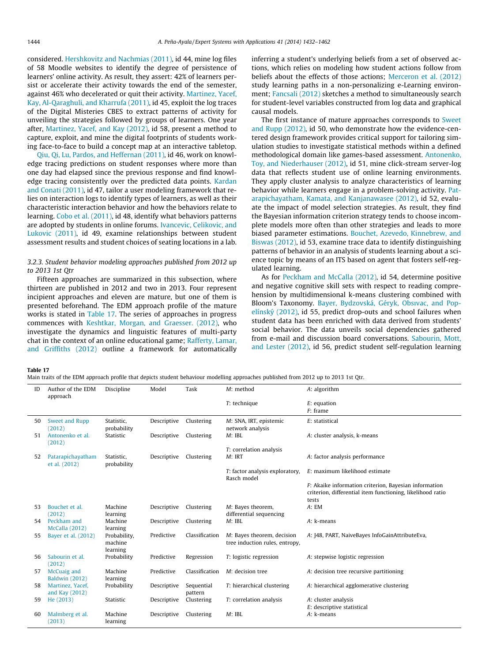considered. [Hershkovitz and Nachmias \(2011\)](#page-27-0), id 44, mine log files of 58 Moodle websites to identify the degree of persistence of learners' online activity. As result, they assert: 42% of learners persist or accelerate their activity towards the end of the semester, against 46% who decelerated or quit their activity. [Martinez, Yacef,](#page-28-0) [Kay, Al-Qaraghuli, and Kharrufa \(2011\),](#page-28-0) id 45, exploit the log traces of the Digital Misteries CBES to extract patterns of activity for unveiling the strategies followed by groups of learners. One year after, [Martinez, Yacef, and Kay \(2012\)](#page-28-0), id 58, present a method to capture, exploit, and mine the digital footprints of students working face-to-face to build a concept map at an interactive tabletop.

[Qiu, Qi, Lu, Pardos, and Heffernan \(2011\),](#page-29-0) id 46, work on knowledge tracing predictions on student responses where more than one day had elapsed since the previous response and find knowledge tracing consistently over the predicted data points. [Kardan](#page-27-0) [and Conati \(2011\)](#page-27-0), id 47, tailor a user modeling framework that relies on interaction logs to identify types of learners, as well as their characteristic interaction behavior and how the behaviors relate to learning. [Cobo et al. \(2011\)](#page-26-0), id 48, identify what behaviors patterns are adopted by students in online forums. [Ivancevic, Celikovic, and](#page-27-0) [Lukovic \(2011\),](#page-27-0) id 49, examine relationships between student assessment results and student choices of seating locations in a lab.

# 3.2.3. Student behavior modeling approaches published from 2012 up to 2013 1st Qtr

Fifteen approaches are summarized in this subsection, where thirteen are published in 2012 and two in 2013. Four represent incipient approaches and eleven are mature, but one of them is presented beforehand. The EDM approach profile of the mature works is stated in Table 17. The series of approaches in progress commences with [Keshtkar, Morgan, and Graesser. \(2012\),](#page-27-0) who investigate the dynamics and linguistic features of multi-party chat in the context of an online educational game; [Rafferty, Lamar,](#page-29-0) [and Griffiths \(2012\)](#page-29-0) outline a framework for automatically inferring a student's underlying beliefs from a set of observed actions, which relies on modeling how student actions follow from beliefs about the effects of those actions; [Merceron et al. \(2012\)](#page-28-0) study learning paths in a non-personalizing e-Learning environment; [Fancsali \(2012\)](#page-26-0) sketches a method to simultaneously search for student-level variables constructed from log data and graphical causal models.

The first instance of mature approaches corresponds to [Sweet](#page-30-0) [and Rupp \(2012\)](#page-30-0), id 50, who demonstrate how the evidence-centered design framework provides critical support for tailoring simulation studies to investigate statistical methods within a defined methodological domain like games-based assessment. [Antonenko,](#page-26-0) [Toy, and Niederhauser \(2012\),](#page-26-0) id 51, mine click-stream server-log data that reflects student use of online learning environments. They apply cluster analysis to analyze characteristics of learning behavior while learners engage in a problem-solving activity. [Pat](#page-29-0)[arapichayatham, Kamata, and Kanjanawasee \(2012\),](#page-29-0) id 52, evaluate the impact of model selection strategies. As result, they find the Bayesian information criterion strategy tends to choose incomplete models more often than other strategies and leads to more biased parameter estimations. [Bouchet, Azevedo, Kinnebrew, and](#page-26-0) [Biswas \(2012\)](#page-26-0), id 53, examine trace data to identify distinguishing patterns of behavior in an analysis of students learning about a science topic by means of an ITS based on agent that fosters self-regulated learning.

As for [Peckham and McCalla \(2012\)](#page-29-0), id 54, determine positive and negative cognitive skill sets with respect to reading comprehension by multidimensional k-means clustering combined with Bloom's Taxonomy. [Bayer, Bydzovská, Géryk, Obs](#page-26-0)ı[vac, and Pop](#page-26-0)elínský (2012), id 55, predict drop-outs and school failures when student data has been enriched with data derived from students' social behavior. The data unveils social dependencies gathered from e-mail and discussion board conversations. [Sabourin, Mott,](#page-29-0) [and Lester \(2012\)](#page-29-0), id 56, predict student self-regulation learning

|  |  | Main traits of the EDM approach profile that depicts student behaviour modelling approaches published from 2012 up to 2013 1st Qtr. |  |
|--|--|-------------------------------------------------------------------------------------------------------------------------------------|--|
|--|--|-------------------------------------------------------------------------------------------------------------------------------------|--|

| ID | Author of the EDM<br>approach        | Discipline                          | Model       | Task                  | M: method                                                    | A: algorithm                                                                                                                 |
|----|--------------------------------------|-------------------------------------|-------------|-----------------------|--------------------------------------------------------------|------------------------------------------------------------------------------------------------------------------------------|
|    |                                      |                                     |             |                       | $T$ : technique                                              | $E$ : equation<br>$F:$ frame                                                                                                 |
| 50 | Sweet and Rupp<br>(2012)             | Statistic.<br>probability           | Descriptive | Clustering            | M: SNA, IRT, epistemic<br>network analysis                   | E: statistical                                                                                                               |
| 51 | Antonenko et al.<br>(2012)           | Statistic                           | Descriptive | Clustering            | $M$ : IBL                                                    | A: cluster analysis, k-means                                                                                                 |
| 52 | Patarapichayatham<br>et al. (2012)   | Statistic,<br>probability           | Descriptive | Clustering            | T: correlation analysis<br>M: IRT                            | A: factor analysis performance                                                                                               |
|    |                                      |                                     |             |                       | T: factor analysis exploratory,<br>Rasch model               | E: maximum likelihood estimate                                                                                               |
|    |                                      |                                     |             |                       |                                                              | F: Akaike information criterion, Bayesian information<br>criterion, differential item functioning, likelihood ratio<br>tests |
| 53 | Bouchet et al.<br>(2012)             | Machine<br>learning                 | Descriptive | Clustering            | M: Bayes theorem,<br>differential sequencing                 | A:EM                                                                                                                         |
| 54 | Peckham and<br><b>McCalla (2012)</b> | Machine<br>learning                 | Descriptive | Clustering            | $M$ : IBL                                                    | A: k-means                                                                                                                   |
| 55 | Bayer et al. (2012)                  | Probability,<br>machine<br>learning | Predictive  | Classification        | M: Bayes theorem, decision<br>tree induction rules, entropy, | A: [48, PART, NaiveBayes InfoGainAttributeEva,                                                                               |
| 56 | Sabourin et al.<br>(2012)            | Probability                         | Predictive  | Regression            | T: logistic regression                                       | A: stepwise logistic regression                                                                                              |
| 57 | McCuaig and<br><b>Baldwin (2012)</b> | Machine<br>learning                 | Predictive  | Classification        | M: decision tree                                             | A: decision tree recursive partitioning                                                                                      |
| 58 | Martinez, Yacef,<br>and Kay (2012)   | Probability                         | Descriptive | Sequential<br>pattern | T: hierarchical clustering                                   | A: hierarchical agglomerative clustering                                                                                     |
| 59 | He (2013)                            | Statistic                           | Descriptive | Clustering            | T: correlation analysis                                      | A: cluster analysis<br>E: descriptive statistical                                                                            |
| 60 | Malmberg et al.<br>(2013)            | Machine<br>learning                 | Descriptive | Clustering            | $M$ : IBL                                                    | A: k-means                                                                                                                   |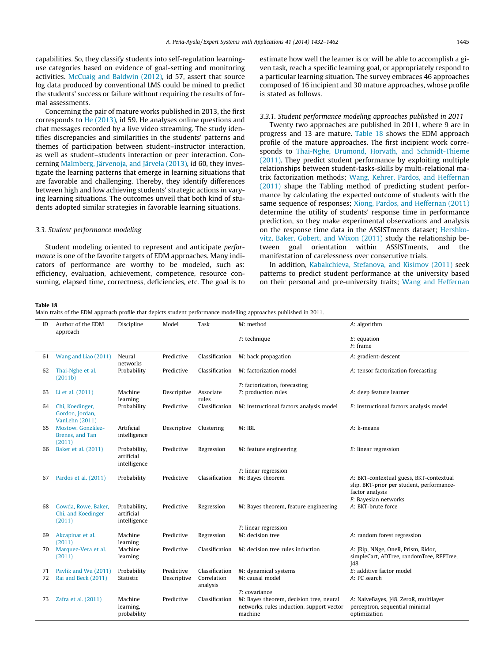<span id="page-13-0"></span>capabilities. So, they classify students into self-regulation learninguse categories based on evidence of goal-setting and monitoring activities. [McCuaig and Baldwin \(2012\)](#page-28-0), id 57, assert that source log data produced by conventional LMS could be mined to predict the students' success or failure without requiring the results of formal assessments.

Concerning the pair of mature works published in 2013, the first corresponds to [He \(2013\)](#page-27-0), id 59. He analyses online questions and chat messages recorded by a live video streaming. The study identifies discrepancies and similarities in the students' patterns and themes of participation between student–instructor interaction, as well as student–students interaction or peer interaction. Concerning [Malmberg, Järvenoja, and Järvela \(2013\)](#page-28-0), id 60, they investigate the learning patterns that emerge in learning situations that are favorable and challenging. Thereby, they identify differences between high and low achieving students' strategic actions in varying learning situations. The outcomes unveil that both kind of students adopted similar strategies in favorable learning situations.

### 3.3. Student performance modeling

Student modeling oriented to represent and anticipate performance is one of the favorite targets of EDM approaches. Many indicators of performance are worthy to be modeled, such as: efficiency, evaluation, achievement, competence, resource consuming, elapsed time, correctness, deficiencies, etc. The goal is to estimate how well the learner is or will be able to accomplish a given task, reach a specific learning goal, or appropriately respond to a particular learning situation. The survey embraces 46 approaches composed of 16 incipient and 30 mature approaches, whose profile is stated as follows.

### 3.3.1. Student performance modeling approaches published in 2011

Twenty two approaches are published in 2011, where 9 are in progress and 13 are mature. Table 18 shows the EDM approach profile of the mature approaches. The first incipient work corresponds to [Thai-Nghe, Drumond, Horvath, and Schmidt-Thieme](#page-30-0) [\(2011\).](#page-30-0) They predict student performance by exploiting multiple relationships between student-tasks-skills by multi-relational matrix factorization methods; [Wang, Kehrer, Pardos, and Heffernan](#page-30-0) [\(2011\)](#page-30-0) shape the Tabling method of predicting student performance by calculating the expected outcome of students with the same sequence of responses; [Xiong, Pardos, and Heffernan \(2011\)](#page-30-0) determine the utility of students' response time in performance prediction, so they make experimental observations and analysis on the response time data in the ASSISTments dataset; [Hershko](#page-27-0)[vitz, Baker, Gobert, and Wixon \(2011\)](#page-27-0) study the relationship between goal orientation within ASSISTments, and the manifestation of carelessness over consecutive trials.

In addition, [Kabakchieva, Stefanova, and Kisimov \(2011\)](#page-27-0) seek patterns to predict student performance at the university based on their personal and pre-university traits; [Wang and Heffernan](#page-30-0)

Main traits of the EDM approach profile that depicts student performance modelling approaches published in 2011.

| ID       | Author of the EDM<br>approach                        | Discipline                                 | Model                     | Task                                      | M: method                                                                                                        | A: algorithm                                                                                            |
|----------|------------------------------------------------------|--------------------------------------------|---------------------------|-------------------------------------------|------------------------------------------------------------------------------------------------------------------|---------------------------------------------------------------------------------------------------------|
|          |                                                      |                                            |                           |                                           | $T$ : technique                                                                                                  | $E$ : equation<br>$F:$ frame                                                                            |
| 61       | Wang and Liao (2011)                                 | Neural<br>networks                         | Predictive                | Classification                            | M: back propagation                                                                                              | A: gradient-descent                                                                                     |
| 62       | Thai-Nghe et al.<br>(2011b)                          | Probability                                | Predictive                | Classification                            | M: factorization model                                                                                           | A: tensor factorization forecasting                                                                     |
|          |                                                      |                                            |                           |                                           | T: factorization, forecasting                                                                                    |                                                                                                         |
| 63       | Li et al. (2011)                                     | Machine<br>learning                        | Descriptive               | Associate<br>rules                        | T: production rules                                                                                              | A: deep feature learner                                                                                 |
| 64       | Chi, Koedinger,<br>Gordon, Jordan,<br>VanLehn (2011) | Probability                                | Predictive                | Classification                            | M: instructional factors analysis model                                                                          | E: instructional factors analysis model                                                                 |
| 65       | Mostow, González-<br>Brenes, and Tan<br>(2011)       | Artificial<br>intelligence                 | Descriptive               | Clustering                                | $M$ : IBL                                                                                                        | A: k-means                                                                                              |
| 66       | Baker et al. (2011)                                  | Probability,<br>artificial<br>intelligence | Predictive                | Regression                                | M: feature engineering                                                                                           | $E$ : linear regression                                                                                 |
|          |                                                      |                                            |                           |                                           | T: linear regression                                                                                             |                                                                                                         |
| 67       | Pardos et al. (2011)                                 | Probability                                | Predictive                | Classification                            | M: Bayes theorem                                                                                                 | A: BKT-contextual guess, BKT-contextual<br>slip, BKT-prior per student, performance-<br>factor analysis |
|          |                                                      |                                            |                           |                                           |                                                                                                                  | F: Bayesian networks                                                                                    |
| 68       | Gowda, Rowe, Baker,<br>Chi, and Koedinger<br>(2011)  | Probability,<br>artificial<br>intelligence | Predictive                | Regression                                | M: Bayes theorem, feature engineering                                                                            | A: BKT-brute force                                                                                      |
|          |                                                      |                                            |                           |                                           | T: linear regression                                                                                             |                                                                                                         |
| 69       | Akcapinar et al.<br>(2011)                           | Machine<br>learning                        | Predictive                | Regression                                | M: decision tree                                                                                                 | A: random forest regression                                                                             |
| 70       | Marquez-Vera et al.<br>(2011)                        | Machine<br>learning                        | Predictive                | Classification                            | M: decision tree rules induction                                                                                 | A: [Rip, NNge, OneR, Prism, Ridor,<br>simpleCart, ADTree, randomTree, REPTree,<br><b>I48</b>            |
| 71<br>72 | Pavlik and Wu (2011)<br>Rai and Beck (2011)          | Probability<br>Statistic                   | Predictive<br>Descriptive | Classification<br>Correlation<br>analysis | M: dynamical systems<br>M: causal model                                                                          | E: additive factor model<br>A: PC search                                                                |
| 73       | Zafra et al. (2011)                                  | Machine<br>learning.<br>probability        | Predictive                | Classification                            | T: covariance<br>M: Bayes theorem, decision tree, neural<br>networks, rules induction, support vector<br>machine | A: NaiveBayes, J48, ZeroR, multilayer<br>perceptron, sequential minimal<br>optimization                 |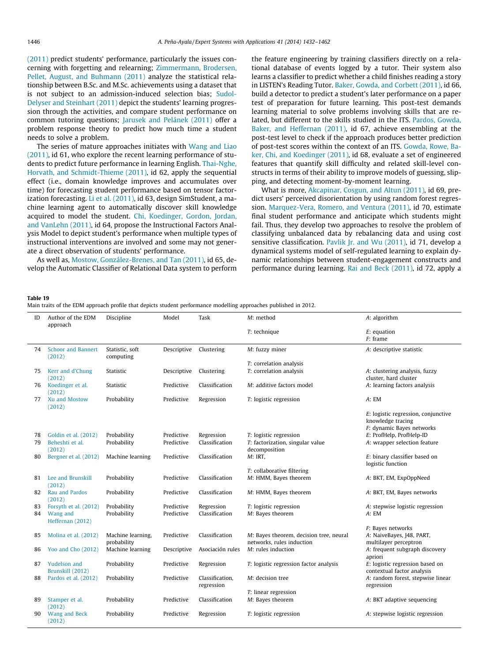<span id="page-14-0"></span>[\(2011\)](#page-30-0) predict students' performance, particularly the issues concerning with forgetting and relearning; [Zimmermann, Brodersen,](#page-30-0) [Pellet, August, and Buhmann \(2011\)](#page-30-0) analyze the statistical relationship between B.Sc. and M.Sc. achievements using a dataset that is not subject to an admission-induced selection bias; [Sudol-](#page-29-0)[Delyser and Steinhart \(2011\)](#page-29-0) depict the students' learning progression through the activities, and compare student performance on common tutoring questions; [Jarusek and Pelánek \(2011\)](#page-27-0) offer a problem response theory to predict how much time a student needs to solve a problem.

The series of mature approaches initiates with [Wang and Liao](#page-30-0) [\(2011\),](#page-30-0) id 61, who explore the recent learning performance of students to predict future performance in learning English. [Thai-Nghe,](#page-30-0) [Horvath, and Schmidt-Thieme \(2011\),](#page-30-0) id 62, apply the sequential effect (i.e., domain knowledge improves and accumulates over time) for forecasting student performance based on tensor factorization forecasting. [Li et al. \(2011\),](#page-28-0) id 63, design SimStudent, a machine learning agent to automatically discover skill knowledge acquired to model the student. [Chi, Koedinger, Gordon, Jordan,](#page-26-0) [and VanLehn \(2011\)](#page-26-0), id 64, propose the Instructional Factors Analysis Model to depict student's performance when multiple types of instructional interventions are involved and some may not generate a direct observation of students' performance.

As well as, [Mostow, González-Brenes, and Tan \(2011\)](#page-28-0), id 65, develop the Automatic Classifier of Relational Data system to perform the feature engineering by training classifiers directly on a relational database of events logged by a tutor. Their system also learns a classifier to predict whether a child finishes reading a story in LISTEN's Reading Tutor. [Baker, Gowda, and Corbett \(2011\)](#page-26-0), id 66, build a detector to predict a student's later performance on a paper test of preparation for future learning. This post-test demands learning material to solve problems involving skills that are related, but different to the skills studied in the ITS. [Pardos, Gowda,](#page-28-0) [Baker, and Heffernan \(2011\)](#page-28-0), id 67, achieve ensembling at the post-test level to check if the approach produces better prediction of post-test scores within the context of an ITS. [Gowda, Rowe, Ba](#page-27-0)[ker, Chi, and Koedinger \(2011\),](#page-27-0) id 68, evaluate a set of engineered features that quantify skill difficulty and related skill-level constructs in terms of their ability to improve models of guessing, slipping, and detecting moment-by-moment learning.

What is more, [Akcapinar, Cosgun, and Altun \(2011\),](#page-25-0) id 69, predict users' perceived disorientation by using random forest regression. [Marquez-Vera, Romero, and Ventura \(2011\),](#page-28-0) id 70, estimate final student performance and anticipate which students might fail. Thus, they develop two approaches to resolve the problem of classifying unbalanced data by rebalancing data and using cost sensitive classification. [Pavlik Jr. and Wu \(2011\)](#page-29-0), id 71, develop a dynamical systems model of self-regulated learning to explain dynamic relationships between student-engagement constructs and performance during learning. [Rai and Beck \(2011\),](#page-29-0) id 72, apply a

Main traits of the EDM approach profile that depicts student performance modelling approaches published in 2012.

| ID       | Author of the EDM                       | Discipline                 | Model                    | Task                          | M: method                                                  | A: algorithm                                                  |
|----------|-----------------------------------------|----------------------------|--------------------------|-------------------------------|------------------------------------------------------------|---------------------------------------------------------------|
|          | approach                                |                            |                          |                               |                                                            |                                                               |
|          |                                         |                            |                          |                               | $T$ : technique                                            | $E$ : equation<br>$F:$ frame                                  |
| 74       | <b>Schoor and Bannert</b>               | Statistic, soft            | Descriptive              | Clustering                    | M: fuzzy miner                                             | A: descriptive statistic                                      |
|          | (2012)                                  | computing                  |                          |                               |                                                            |                                                               |
|          |                                         |                            |                          |                               | T: correlation analysis                                    |                                                               |
| 75       | Kerr and d'Chung                        | Statistic                  | Descriptive              | Clustering                    | T: correlation analysis                                    | A: clustering analysis, fuzzy                                 |
|          | (2012)                                  |                            |                          |                               |                                                            | cluster, hard cluster                                         |
| 76       | Koedinger et al.<br>(2012)              | Statistic                  | Predictive               | Classification                | M: additive factors model                                  | A: learning factors analysis                                  |
| 77       | <b>Xu and Mostow</b><br>(2012)          | Probability                | Predictive               | Regression                    | T: logistic regression                                     | A: EM                                                         |
|          |                                         |                            |                          |                               |                                                            | E: logistic regression, conjunctive                           |
|          |                                         |                            |                          |                               |                                                            | knowledge tracing                                             |
|          |                                         |                            |                          |                               |                                                            | F: dynamic Bayes networks                                     |
| 78<br>79 | Goldin et al. (2012)<br>Beheshti et al. | Probability<br>Probability | Predictive<br>Predictive | Regression<br>Classification  | T: logistic regression<br>T: factorization, singular value | E: ProfHelp, ProfHelp-ID<br>A: wrapper selection feature      |
|          | (2012)                                  |                            |                          |                               | decomposition                                              |                                                               |
| 80       | Bergner et al. (2012)                   | Machine learning           | Predictive               | Classification                | $M$ : IRT,                                                 | E: binary classifier based on                                 |
|          |                                         |                            |                          |                               |                                                            | logistic function                                             |
|          |                                         |                            |                          |                               | T: collaborative filtering                                 |                                                               |
| 81       | Lee and Brunskill<br>(2012)             | Probability                | Predictive               | Classification                | M: HMM, Bayes theorem                                      | A: BKT, EM, ExpOppNeed                                        |
| 82       | <b>Rau and Pardos</b><br>(2012)         | Probability                | Predictive               | Classification                | M: HMM, Bayes theorem                                      | A: BKT, EM, Bayes networks                                    |
| 83       | Forsyth et al. (2012)                   | Probability                | Predictive               | Regression                    | T: logistic regression                                     | A: stepwise logistic regression                               |
| 84       | Wang and<br>Heffernan (2012)            | Probability                | Predictive               | Classification                | M: Bayes theorem                                           | A: EM                                                         |
|          |                                         |                            |                          |                               |                                                            | F: Bayes networks                                             |
| 85       | Molina et al. (2012)                    | Machine learning,          | Predictive               | Classification                | M: Bayes theorem, decision tree, neural                    | A: NaiveBayes, J48, PART,                                     |
|          |                                         | probability                |                          |                               | networks, rules induction                                  | multilayer perceptron                                         |
| 86       | Yoo and Cho (2012)                      | Machine learning           | Descriptive              | Asociación rules              | M: rules induction                                         | A: frequent subgraph discovery<br>apriori                     |
| 87       | Yudelson and<br>Brunskill (2012)        | Probability                | Predictive               | Regression                    | T: logistic regression factor analysis                     | E: logistic regression based on<br>contextual factor analysis |
| 88       | Pardos et al. (2012)                    | Probability                | Predictive               | Classification,<br>regression | M: decision tree                                           | A: random forest, stepwise linear<br>regression               |
|          |                                         |                            |                          |                               | T: linear regression                                       |                                                               |
| 89       | Stamper et al.<br>(2012)                | Probability                | Predictive               | Classification                | M: Bayes theorem                                           | A: BKT adaptive sequencing                                    |
| 90       | Wang and Beck<br>(2012)                 | Probability                | Predictive               | Regression                    | T: logistic regression                                     | A: stepwise logistic regression                               |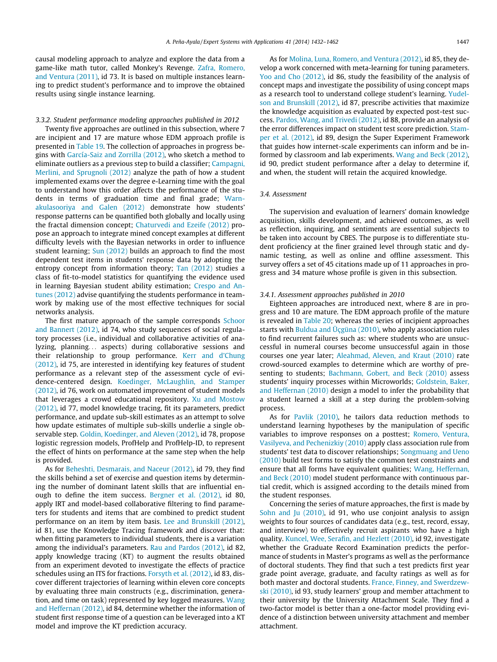<span id="page-15-0"></span>causal modeling approach to analyze and explore the data from a game-like math tutor, called Monkey's Revenge. [Zafra, Romero,](#page-30-0) [and Ventura \(2011\),](#page-30-0) id 73. It is based on multiple instances learning to predict student's performance and to improve the obtained results using single instance learning.

#### 3.3.2. Student performance modeling approaches published in 2012

Twenty five approaches are outlined in this subsection, where 7 are incipient and 17 are mature whose EDM approach profile is presented in [Table 19.](#page-14-0) The collection of approaches in progress begins with [García-Saiz and Zorrilla \(2012\)](#page-27-0), who sketch a method to eliminate outliers as a previous step to build a classifier; [Campagni,](#page-26-0) [Merlini, and Sprugnoli \(2012\)](#page-26-0) analyze the path of how a student implemented exams over the degree e-Learning time with the goal to understand how this order affects the performance of the students in terms of graduation time and final grade; [Warn](#page-30-0)[akulasooriya and Galen \(2012\)](#page-30-0) demonstrate how students' response patterns can be quantified both globally and locally using the fractal dimension concept; [Chaturvedi and Ezeife \(2012\)](#page-26-0) propose an approach to integrate mined concept examples at different difficulty levels with the Bayesian networks in order to influence student learning; [Sun \(2012\)](#page-30-0) builds an approach to find the most dependent test items in students' response data by adopting the entropy concept from information theory; [Tan \(2012\)](#page-30-0) studies a class of fit-to-model statistics for quantifying the evidence used in learning Bayesian student ability estimation; [Crespo and An](#page-26-0)[tunes \(2012\)](#page-26-0) advise quantifying the students performance in teamwork by making use of the most effective techniques for social networks analysis.

The first mature approach of the sample corresponds [Schoor](#page-29-0) [and Bannert \(2012\)](#page-29-0), id 74, who study sequences of social regulatory processes (i.e., individual and collaborative activities of analyzing, planning... aspects) during collaborative sessions and their relationship to group performance. [Kerr and d'Chung](#page-27-0) [\(2012\),](#page-27-0) id 75, are interested in identifying key features of student performance as a relevant step of the assessment cycle of evidence-centered design. [Koedinger, McLaughlin, and Stamper](#page-28-0) [\(2012\),](#page-28-0) id 76, work on automated improvement of student models that leverages a crowd educational repository. [Xu and Mostow](#page-30-0) [\(2012\),](#page-30-0) id 77, model knowledge tracing, fit its parameters, predict performance, and update sub-skill estimates as an attempt to solve how update estimates of multiple sub-skills underlie a single observable step. [Goldin, Koedinger, and Aleven \(2012\)](#page-27-0), id 78, propose logistic regression models, ProfHelp and ProfHelp-ID, to represent the effect of hints on performance at the same step when the help is provided.

As for [Beheshti, Desmarais, and Naceur \(2012\),](#page-26-0) id 79, they find the skills behind a set of exercise and question items by determining the number of dominant latent skills that are influential enough to define the item success. [Bergner et al. \(2012\),](#page-26-0) id 80, apply IRT and model-based collaborative filtering to find parameters for students and items that are combined to predict student performance on an item by item basis. [Lee and Brunskill \(2012\),](#page-28-0) id 81, use the Knowledge Tracing framework and discover that: when fitting parameters to individual students, there is a variation among the individual's parameters. [Rau and Pardos \(2012\)](#page-29-0), id 82, apply knowledge tracing (KT) to augment the results obtained from an experiment devoted to investigate the effects of practice schedules using an ITS for fractions. [Forsyth et al. \(2012\),](#page-27-0) id 83, discover different trajectories of learning within eleven core concepts by evaluating three main constructs (e.g., discrimination, generation, and time on task) represented by key logged measures. [Wang](#page-30-0) [and Heffernan \(2012\)](#page-30-0), id 84, determine whether the information of student first response time of a question can be leveraged into a KT model and improve the KT prediction accuracy.

As for [Molina, Luna, Romero, and Ventura \(2012\)](#page-28-0), id 85, they develop a work concerned with meta-learning for tuning parameters. [Yoo and Cho \(2012\)](#page-30-0), id 86, study the feasibility of the analysis of concept maps and investigate the possibility of using concept maps as a research tool to understand college student's learning. [Yudel](#page-30-0)[son and Brunskill \(2012\)](#page-30-0), id 87, prescribe activities that maximize the knowledge acquisition as evaluated by expected post-test success. [Pardos, Wang, and Trivedi \(2012\)](#page-28-0), id 88, provide an analysis of the error differences impact on student test score prediction. [Stam](#page-29-0)[per et al. \(2012\)](#page-29-0), id 89, design the Super Experiment Framework that guides how internet-scale experiments can inform and be informed by classroom and lab experiments. [Wang and Beck \(2012\),](#page-30-0) id 90, predict student performance after a delay to determine if, and when, the student will retain the acquired knowledge.

### 3.4. Assessment

The supervision and evaluation of learners' domain knowledge acquisition, skills development, and achieved outcomes, as well as reflection, inquiring, and sentiments are essential subjects to be taken into account by CBES. The purpose is to differentiate student proficiency at the finer grained level through static and dynamic testing, as well as online and offline assessment. This survey offers a set of 45 citations made up of 11 approaches in progress and 34 mature whose profile is given in this subsection.

#### 3.4.1. Assessment approaches published in 2010

Eighteen approaches are introduced next, where 8 are in progress and 10 are mature. The EDM approach profile of the mature is revealed in [Table 20](#page-16-0); whereas the series of incipient approaches starts with [Buldua and Üçgüna \(2010\)](#page-26-0), who apply association rules to find recurrent failures such as: where students who are unsuccessful in numeral courses become unsuccessful again in those courses one year later; [Aleahmad, Aleven, and Kraut \(2010\)](#page-25-0) rate crowd-sourced examples to determine which are worthy of presenting to students; [Bachmann, Gobert, and Beck \(2010\)](#page-26-0) assess students' inquiry processes within Microworlds; [Goldstein, Baker,](#page-27-0) [and Heffernan \(2010\)](#page-27-0) design a model to infer the probability that a student learned a skill at a step during the problem-solving process.

As for [Pavlik \(2010\)](#page-29-0), he tailors data reduction methods to understand learning hypotheses by the manipulation of specific variables to improve responses on a posttest; [Romero, Ventura,](#page-29-0) [Vasilyeva, and Pechenizkiy \(2010\)](#page-29-0) apply class association rule from students' test data to discover relationships; [Songmuang and Ueno](#page-29-0) [\(2010\)](#page-29-0) build test forms to satisfy the common test constraints and ensure that all forms have equivalent qualities; [Wang, Heffernan,](#page-30-0) [and Beck \(2010\)](#page-30-0) model student performance with continuous partial credit, which is assigned according to the details mined from the student responses.

Concerning the series of mature approaches, the first is made by [Sohn and Ju \(2010\),](#page-29-0) id 91, who use conjoint analysis to assign weights to four sources of candidates data (e.g., test, record, essay, and interview) to effectively recruit aspirants who have a high quality. [Kuncel, Wee, Serafin, and Hezlett \(2010\)](#page-28-0), id 92, investigate whether the Graduate Record Examination predicts the performance of students in Master's programs as well as the performance of doctoral students. They find that such a test predicts first year grade point average, graduate, and faculty ratings as well as for both master and doctoral students. [France, Finney, and Swerdzew](#page-27-0)[ski \(2010\)](#page-27-0), id 93, study learners' group and member attachment to their university by the University Attachment Scale. They find a two-factor model is better than a one-factor model providing evidence of a distinction between university attachment and member attachment.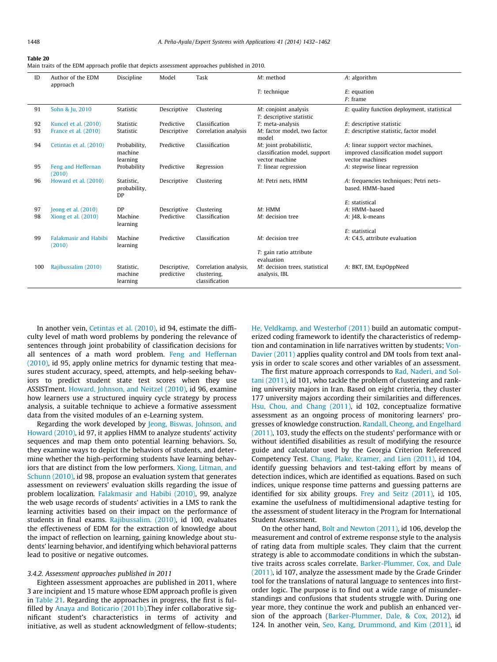<span id="page-16-0"></span>Main traits of the EDM approach profile that depicts assessment approaches published in 2010.

| ID  | Author of the EDM<br>approach          | Discipline                              | Model                      | Task                                                   | M: method                                                                  | A: algorithm                                                                                   |
|-----|----------------------------------------|-----------------------------------------|----------------------------|--------------------------------------------------------|----------------------------------------------------------------------------|------------------------------------------------------------------------------------------------|
|     |                                        |                                         |                            |                                                        | $T$ : technique                                                            | $E$ : equation<br>$F:$ frame                                                                   |
| 91  | Sohn & Ju, 2010                        | Statistic                               | Descriptive                | Clustering                                             | M: conjoint analysis<br>T: descriptive statistic                           | E: quality function deployment, statistical                                                    |
| 92  | Kuncel et al. (2010)                   | Statistic                               | Predictive                 | Classification                                         | T: meta-analysis                                                           | $E$ : descriptive statistic                                                                    |
| 93  | France et al. (2010)                   | Statistic                               | Descriptive                | Correlation analysis                                   | M: factor model, two factor<br>model                                       | E: descriptive statistic, factor model                                                         |
| 94  | Cetintas et al. (2010)                 | Probability,<br>machine<br>learning     | Predictive                 | Classification                                         | M: joint probabilistic,<br>classification model, support<br>vector machine | A: linear support vector machines,<br>improved classification model support<br>vector machines |
| 95  | Feng and Heffernan<br>(2010)           | Probability                             | Predictive                 | Regression                                             | T: linear regression                                                       | A: stepwise linear regression                                                                  |
| 96  | Howard et al. (2010)                   | Statistic,<br>probability,<br><b>DP</b> | Descriptive                | Clustering                                             | M: Petri nets, HMM                                                         | A: frequencies techniques; Petri nets-<br>based. HMM-based                                     |
|     |                                        |                                         |                            |                                                        |                                                                            | $E$ : statistical                                                                              |
| 97  | Jeong et al. (2010)                    | <b>DP</b>                               | Descriptive                | Clustering                                             | M: HMM                                                                     | A: HMM-based                                                                                   |
| 98  | Xiong et al. (2010)                    | Machine<br>learning                     | Predictive                 | Classification                                         | M: decision tree                                                           | A: [48, k-means]                                                                               |
|     |                                        |                                         |                            |                                                        |                                                                            | $E$ : statistical                                                                              |
| 99  | <b>Falakmasir and Habibi</b><br>(2010) | Machine<br>learning                     | Predictive                 | Classification                                         | M: decision tree                                                           | A: C4.5, attribute evaluation                                                                  |
|     |                                        |                                         |                            |                                                        | T: gain ratio attribute<br>evaluation                                      |                                                                                                |
| 100 | Rajibussalim (2010)                    | Statistic,<br>machine<br>learning       | Descriptive,<br>predictive | Correlation analysis,<br>clustering.<br>classification | M: decision trees, statistical<br>analysis, IBL                            | A: BKT, EM, ExpOppNeed                                                                         |

In another vein, [Cetintas et al. \(2010\),](#page-26-0) id 94, estimate the difficulty level of math word problems by pondering the relevance of sentences through joint probability of classification decisions for all sentences of a math word problem. [Feng and Heffernan](#page-26-0) [\(2010\),](#page-26-0) id 95, apply online metrics for dynamic testing that measures student accuracy, speed, attempts, and help-seeking behaviors to predict student state test scores when they use ASSISTment. [Howard, Johnson, and Neitzel \(2010\),](#page-27-0) id 96, examine how learners use a structured inquiry cycle strategy by process analysis, a suitable technique to achieve a formative assessment data from the visited modules of an e-Learning system.

Regarding the work developed by [Jeong, Biswas, Johnson, and](#page-27-0) [Howard \(2010\)](#page-27-0), id 97, it applies HMM to analyze students' activity sequences and map them onto potential learning behaviors. So, they examine ways to depict the behaviors of students, and determine whether the high-performing students have learning behaviors that are distinct from the low performers. [Xiong, Litman, and](#page-30-0) [Schunn \(2010\),](#page-30-0) id 98, propose an evaluation system that generates assessment on reviewers' evaluation skills regarding the issue of problem localization. [Falakmasir and Habibi \(2010\)](#page-26-0), 99, analyze the web usage records of students' activities in a LMS to rank the learning activities based on their impact on the performance of students in final exams. [Rajibussalim. \(2010\),](#page-29-0) id 100, evaluates the effectiveness of EDM for the extraction of knowledge about the impact of reflection on learning, gaining knowledge about students' learning behavior, and identifying which behavioral patterns lead to positive or negative outcomes.

#### 3.4.2. Assessment approaches published in 2011

Eighteen assessment approaches are published in 2011, where 3 are incipient and 15 mature whose EDM approach profile is given in [Table 21.](#page-17-0) Regarding the approaches in progress, the first is fulfilled by [Anaya and Boticario \(2011b\)](#page-25-0).They infer collaborative significant student's characteristics in terms of activity and initiative, as well as student acknowledgment of fellow-students; [He, Veldkamp, and Westerhof \(2011\)](#page-27-0) build an automatic computerized coding framework to identify the characteristics of redemption and contamination in life narratives written by students; [Von-](#page-30-0)[Davier \(2011\)](#page-30-0) applies quality control and DM tools from text analysis in order to scale scores and other variables of an assessment.

The first mature approach corresponds to [Rad, Naderi, and Sol](#page-29-0)[tani \(2011\),](#page-29-0) id 101, who tackle the problem of clustering and ranking university majors in Iran. Based on eight criteria, they cluster 177 university majors according their similarities and differences. [Hsu, Chou, and Chang \(2011\)](#page-27-0), id 102, conceptualize formative assessment as an ongoing process of monitoring learners' progresses of knowledge construction. [Randall, Cheong, and Engelhard](#page-29-0) [\(2011\),](#page-29-0) 103, study the effects on the students' performance with or without identified disabilities as result of modifying the resource guide and calculator used by the Georgia Criterion Referenced Competency Test. [Chang, Plake, Kramer, and Lien \(2011\),](#page-26-0) id 104, identify guessing behaviors and test-taking effort by means of detection indices, which are identified as equations. Based on such indices, unique response time patterns and guessing patterns are identified for six ability groups. [Frey and Seitz \(2011\),](#page-27-0) id 105, examine the usefulness of multidimensional adaptive testing for the assessment of student literacy in the Program for International Student Assessment.

On the other hand, [Bolt and Newton \(2011\),](#page-26-0) id 106, develop the measurement and control of extreme response style to the analysis of rating data from multiple scales. They claim that the current strategy is able to accommodate conditions in which the substantive traits across scales correlate. [Barker-Plummer, Cox, and Dale](#page-26-0) [\(2011\),](#page-26-0) id 107, analyze the assessment made by the Grade Grinder tool for the translations of natural language to sentences into firstorder logic. The purpose is to find out a wide range of misunderstandings and confusions that students struggle with. During one year more, they continue the work and publish an enhanced version of the approach ([Barker-Plummer, Dale, & Cox, 2012\)](#page-26-0), id 124. In another vein, [Seo, Kang, Drummond, and Kim \(2011\)](#page-29-0), id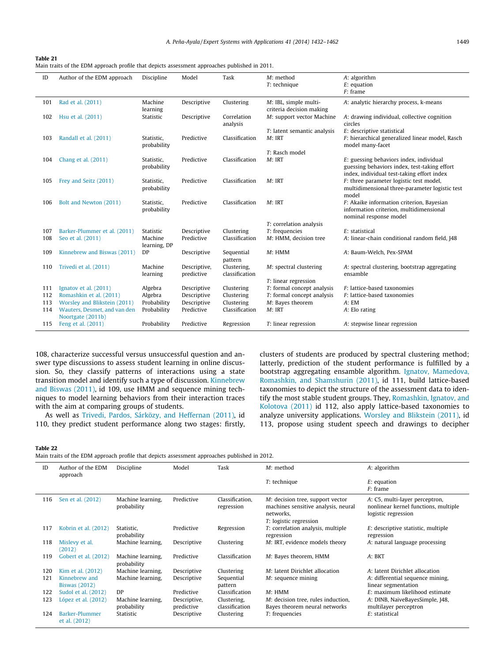<span id="page-17-0"></span>Main traits of the EDM approach profile that depicts assessment approaches published in 2011.

| ID  | Author of the EDM approach                        | Discipline                | Model                      | Task                          | M: method<br>$T$ : technique                      | A: algorithm<br>$E$ : equation<br>$F:$ frame                                                                                          |
|-----|---------------------------------------------------|---------------------------|----------------------------|-------------------------------|---------------------------------------------------|---------------------------------------------------------------------------------------------------------------------------------------|
| 101 | Rad et al. (2011)                                 | Machine<br>learning       | Descriptive                | Clustering                    | M: IBL, simple multi-<br>criteria decision making | A: analytic hierarchy process, k-means                                                                                                |
| 102 | Hsu et al. (2011)                                 | Statistic                 | Descriptive                | Correlation<br>analysis       | M: support vector Machine                         | A: drawing individual, collective cognition<br>circles                                                                                |
| 103 | Randall et al. (2011)                             | Statistic,<br>probability | Predictive                 | Classification                | T: latent semantic analysis<br>$M$ : IRT          | E: descriptive statistical<br>F: hierarchical generalized linear model, Rasch<br>model many-facet                                     |
| 104 | Chang et al. (2011)                               | Statistic,<br>probability | Predictive                 | Classification                | T: Rasch model<br>M: IRT                          | E: guessing behaviors index, individual<br>guessing behaviors index, test-taking effort<br>index, individual test-taking effort index |
| 105 | Frey and Seitz (2011)                             | Statistic.<br>probability | Predictive                 | Classification                | M: IRT                                            | F: three parameter logistic test model,<br>multidimensional three-parameter logistic test<br>model                                    |
| 106 | Bolt and Newton (2011)                            | Statistic.<br>probability | Predictive                 | Classification                | $M$ : IRT                                         | F: Akaike information criterion, Bayesian<br>information criterion, multidimensional<br>nominal response model                        |
|     |                                                   |                           |                            |                               | T: correlation analysis                           |                                                                                                                                       |
| 107 | Barker-Plummer et al. (2011)                      | Statistic                 | Descriptive                | Clustering                    | T: frequencies                                    | E: statistical                                                                                                                        |
| 108 | Seo et al. (2011)                                 | Machine<br>learning, DP   | Predictive                 | Classification                | M: HMM, decision tree                             | A: linear-chain conditional random field, [48                                                                                         |
| 109 | Kinnebrew and Biswas (2011)                       | DP                        | Descriptive                | Sequential<br>pattern         | $M$ : HMM                                         | A: Baum-Welch, Pex-SPAM                                                                                                               |
| 110 | Trivedi et al. (2011)                             | Machine<br>learning       | Descriptive,<br>predictive | Clustering.<br>classification | M: spectral clustering<br>T: linear regression    | A: spectral clustering, bootstrap aggregating<br>ensamble                                                                             |
| 111 | Ignatov et al. (2011)                             | Algebra                   | Descriptive                | Clustering                    | T: formal concept analysis                        | F: lattice-based taxonomies                                                                                                           |
| 112 | Romashkin et al. (2011)                           | Algebra                   | Descriptive                | Clustering                    | T: formal concept analysis                        | F: lattice-based taxonomies                                                                                                           |
| 113 | Worsley and Blikstein (2011)                      | Probability               | Descriptive                | Clustering                    | M: Bayes theorem                                  | A: EM                                                                                                                                 |
| 114 | Wauters, Desmet, and van den<br>Noortgate (2011b) | Probability               | Predictive                 | Classification                | M: IRT                                            | A: Elo rating                                                                                                                         |
| 115 | Feng et al. (2011)                                | Probability               | Predictive                 | Regression                    | T: linear regression                              | A: stepwise linear regression                                                                                                         |

108, characterize successful versus unsuccessful question and answer type discussions to assess student learning in online discussion. So, they classify patterns of interactions using a state transition model and identify such a type of discussion. [Kinnebrew](#page-28-0) [and Biswas \(2011\),](#page-28-0) id 109, use HMM and sequence mining techniques to model learning behaviors from their interaction traces with the aim at comparing groups of students.

As well as [Trivedi, Pardos, Sárközy, and Heffernan \(2011\),](#page-30-0) id 110, they predict student performance along two stages: firstly, clusters of students are produced by spectral clustering method; latterly, prediction of the student performance is fulfilled by a bootstrap aggregating ensamble algorithm. [Ignatov, Mamedova,](#page-27-0) [Romashkin, and Shamshurin \(2011\)](#page-27-0), id 111, build lattice-based taxonomies to depict the structure of the assessment data to identify the most stable student groups. They, [Romashkin, Ignatov, and](#page-29-0) [Kolotova \(2011\)](#page-29-0) id 112, also apply lattice-based taxonomies to analyze university applications. [Worsley and Blikstein \(2011\),](#page-30-0) id 113, propose using student speech and drawings to decipher

#### Table 22

Main traits of the EDM approach profile that depicts assessment approaches published in 2012.

| ID  | Author of the EDM<br>Discipline<br>approach |                                  | Task<br>Model              |                               | M: method                                                                                                      | A: algorithm                                                                                  |
|-----|---------------------------------------------|----------------------------------|----------------------------|-------------------------------|----------------------------------------------------------------------------------------------------------------|-----------------------------------------------------------------------------------------------|
|     |                                             |                                  |                            |                               | $T$ : technique                                                                                                | $E$ : equation                                                                                |
|     |                                             |                                  |                            |                               |                                                                                                                | <i>F</i> : frame                                                                              |
| 116 | Sen et al. (2012)                           | Machine learning,<br>probability | Predictive                 | Classification.<br>regression | M: decision tree, support vector<br>machines sensitive analysis, neural<br>networks.<br>T: logistic regression | A: C5, multi-layer perceptron,<br>nonlinear kernel functions, multiple<br>logistic regression |
| 117 | Kobrin et al. (2012)                        | Statistic,<br>probability        | Predictive                 | Regression                    | T: correlation analysis, multiple<br>regression                                                                | E: descriptive statistic, multiple<br>regression                                              |
| 118 | Mislevy et al.<br>(2012)                    | Machine learning,                | Descriptive                | Clustering                    | M: IRT, evidence models theory                                                                                 | A: natural language processing                                                                |
| 119 | Gobert et al. (2012)                        | Machine learning,<br>probability | Predictive                 | Classification                | M: Bayes theorem, HMM                                                                                          | A: BKT                                                                                        |
| 120 | Kim et al. (2012)                           | Machine learning,                | Descriptive                | Clustering                    | M: latent Dirichlet allocation                                                                                 | A: latent Dirichlet allocation                                                                |
| 121 | Kinnebrew and<br><b>Biswas (2012)</b>       | Machine learning,                | Descriptive                | Sequential<br>pattern         | <i>M</i> : sequence mining                                                                                     | A: differential sequence mining,<br>linear segmentation                                       |
| 122 | Sudol et al. (2012)                         | DP                               | Predictive                 | Classification                | M: HMM                                                                                                         | $E$ : maximum likelihood estimate                                                             |
| 123 | López et al. (2012)                         | Machine learning,<br>probability | Descriptive,<br>predictive | Clustering,<br>classification | M: decision tree, rules induction,<br>Bayes theorem neural networks                                            | A: DINB, NaiveBayesSimple, J48,<br>multilayer perceptron                                      |
| 124 | Barker-Plummer<br>et al. (2012)             | Statistic                        | Descriptive                | Clustering                    | T: frequencies                                                                                                 | E: statistical                                                                                |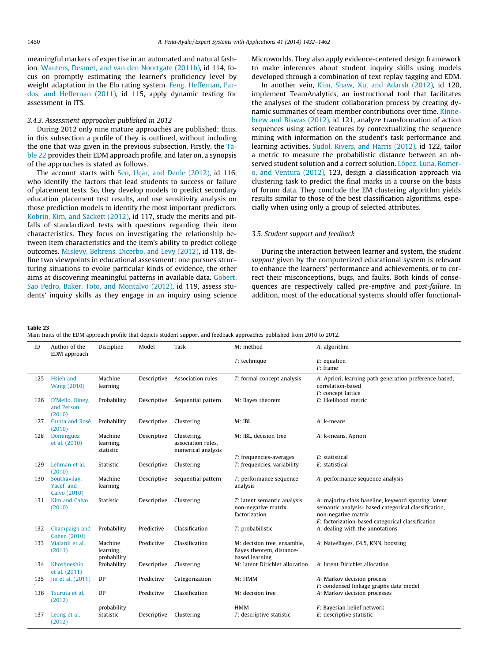<span id="page-18-0"></span>meaningful markers of expertise in an automated and natural fashion. [Wauters, Desmet, and van den Noortgate \(2011b\)](#page-30-0), id 114, focus on promptly estimating the learner's proficiency level by weight adaptation in the Elo rating system. [Feng, Heffernan, Par](#page-26-0)[dos, and Heffernan \(2011\)](#page-26-0), id 115, apply dynamic testing for assessment in ITS.

### 3.4.3. Assessment approaches published in 2012

During 2012 only nine mature approaches are published; thus, in this subsection a profile of they is outlined, without including the one that was given in the previous subsection. Firstly, the [Ta](#page-17-0)[ble 22](#page-17-0) provides their EDM approach profile, and later on, a synopsis of the approaches is stated as follows.

The account starts with [Sen, Uçar, and Denle \(2012\)](#page-29-0), id 116, who identify the factors that lead students to success or failure of placement tests. So, they develop models to predict secondary education placement test results, and use sensitivity analysis on those prediction models to identify the most important predictors. [Kobrin, Kim, and Sackett \(2012\)](#page-28-0), id 117, study the merits and pitfalls of standardized tests with questions regarding their item characteristics. They focus on investigating the relationship between item characteristics and the item's ability to predict college outcomes. [Mislevy, Behrens, Dicerbo, and Levy \(2012\),](#page-28-0) id 118, define two viewpoints in educational assessment: one pursues structuring situations to evoke particular kinds of evidence, the other aims at discovering meaningful patterns in available data. [Gobert,](#page-27-0) [Sao Pedro, Baker, Toto, and Montalvo \(2012\),](#page-27-0) id 119, assess students' inquiry skills as they engage in an inquiry using science Microworlds. They also apply evidence-centered design framework to make inferences about student inquiry skills using models developed through a combination of text replay tagging and EDM.

In another vein, [Kim, Shaw, Xu, and Adarsh \(2012\)](#page-28-0), id 120, implement TeamAnalytics, an instructional tool that facilitates the analyses of the student collaboration process by creating dynamic summaries of team member contributions over time. [Kinne](#page-28-0)[brew and Biswas \(2012\)](#page-28-0), id 121, analyze transformation of action sequences using action features by contextualizing the sequence mining with information on the student's task performance and learning activities. [Sudol, Rivers, and Harris \(2012\),](#page-29-0) id 122, tailor a metric to measure the probabilistic distance between an ob-served student solution and a correct solution. [López, Luna, Romer](#page-28-0)[o, and Ventura \(2012\),](#page-28-0) 123, design a classification approach via clustering task to predict the final marks in a course on the basis of forum data. They conclude the EM clustering algorithm yields results similar to those of the best classification algorithms, especially when using only a group of selected attributes.

### 3.5. Student support and feedback

During the interaction between learner and system, the student support given by the computerized educational system is relevant to enhance the learners' performance and achievements, or to correct their misconceptions, bugs, and faults. Both kinds of consequences are respectively called pre-emptive and post-failure. In addition, most of the educational systems should offer functional-

Table 23

Main traits of the EDM approach profile that depicts student support and feedback approaches published from 2010 to 2012.

| ID  | Author of the                              | Discipline                          | Model       | Task                                                    | $M:$ method                                                               | A: algorithm                                                                                                                                                                             |
|-----|--------------------------------------------|-------------------------------------|-------------|---------------------------------------------------------|---------------------------------------------------------------------------|------------------------------------------------------------------------------------------------------------------------------------------------------------------------------------------|
|     | EDM approach                               |                                     |             |                                                         | $T$ : technique                                                           | $E$ : equation<br>$F:$ frame                                                                                                                                                             |
| 125 | <b>Hsieh and</b><br><b>Wang (2010)</b>     | Machine<br>learning                 | Descriptive | Association rules                                       | T: formal concept analysis                                                | A: Apriori, learning path generation preference-based,<br>correlation-based<br>F: concept lattice                                                                                        |
| 126 | D'Mello, Olney,<br>and Person<br>(2010)    | Probability                         | Descriptive | Sequential pattern                                      | M: Bayes theorem                                                          | E: likelihood metric                                                                                                                                                                     |
| 127 | <b>Gupta and Rosé</b><br>(2010)            | Probability                         | Descriptive | Clustering                                              | $M$ : IBL                                                                 | A: k-means                                                                                                                                                                               |
| 128 | Dominguez<br>et al. (2010)                 | Machine<br>learning,<br>statistic   | Descriptive | Clustering,<br>association rules,<br>numerical analysis | M: IBL, decision tree                                                     | A: k-means, Apriori                                                                                                                                                                      |
|     |                                            |                                     |             |                                                         | T: frequencies-averages                                                   | E: statistical                                                                                                                                                                           |
| 129 | Lehman et al.<br>(2010)                    | Statistic                           | Descriptive | Clustering                                              | T: frequencies, variability                                               | E: statistical                                                                                                                                                                           |
| 130 | Southavilay,<br>Yacef, and<br>Calvo (2010) | Machine<br>learning                 | Descriptive | Sequential pattern                                      | T: performance sequence<br>analysis                                       | A: performance sequence analysis                                                                                                                                                         |
| 131 | Kim and Calvo<br>(2010)                    | Statistic                           | Descriptive | Clustering                                              | T: latent semantic analysis<br>non-negative matrix<br>factorization       | A: majority class baseline, keyword spotting, latent<br>semantic analysis- based categorical classification,<br>non-negative matrix<br>E: factorization-based categorical classification |
| 132 | Champaign and<br>Cohen (2010)              | Probability                         | Predictive  | Classification                                          | T: probabilistic                                                          | A: dealing with the annotations                                                                                                                                                          |
| 133 | Vialardi et al.<br>(2011)                  | Machine<br>learning,<br>probability | Predictive  | Classification                                          | M: decision tree, ensamble,<br>Bayes theorem, distance-<br>based learning | A: NaiveBayes, C4.5, KNN, boosting                                                                                                                                                       |
| 134 | Khoshneshin<br>et al. (2011)               | Probability                         | Descriptive | Clustering                                              | M: latent Dirichlet allocation                                            | A: latent Dirichlet allocation                                                                                                                                                           |
| 135 | Jin et al. (2011)                          | DP                                  | Predictive  | Categorization                                          | M: HMM                                                                    | A: Markov decision process<br>F: condensed linkage graphs data model                                                                                                                     |
| 136 | Tsuruta et al.<br>(2012)                   | DP                                  | Predictive  | Classification                                          | M: decision tree                                                          | A: Markov decision processes                                                                                                                                                             |
| 137 | Leong et al.<br>(2012)                     | probability<br>Statistic            | Descriptive | Clustering                                              | <b>HMM</b><br>T: descriptive statistic                                    | F: Bayesian belief network<br>$E$ : descriptive statistic                                                                                                                                |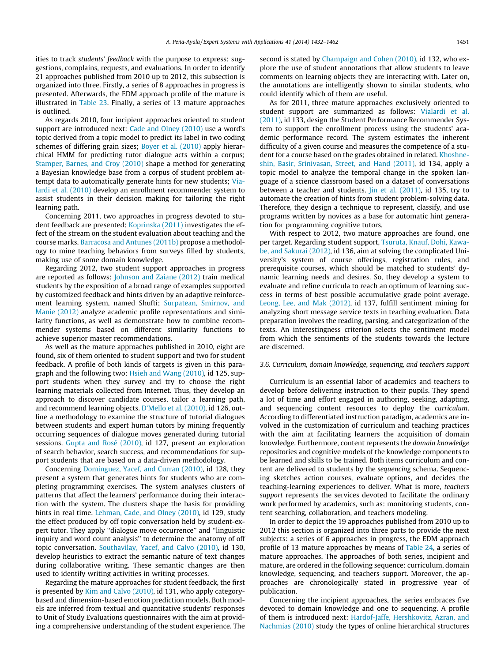<span id="page-19-0"></span>ities to track students' feedback with the purpose to express: suggestions, complains, requests, and evaluations. In order to identify 21 approaches published from 2010 up to 2012, this subsection is organized into three. Firstly, a series of 8 approaches in progress is presented. Afterwards, the EDM approach profile of the mature is illustrated in [Table 23](#page-18-0). Finally, a series of 13 mature approaches is outlined.

As regards 2010, four incipient approaches oriented to student support are introduced next: [Cade and Olney \(2010\)](#page-26-0) use a word's topic derived from a topic model to predict its label in two coding schemes of differing grain sizes; [Boyer et al. \(2010\)](#page-26-0) apply hierarchical HMM for predicting tutor dialogue acts within a corpus; [Stamper, Barnes, and Croy \(2010\)](#page-29-0) shape a method for generating a Bayesian knowledge base from a corpus of student problem attempt data to automatically generate hints for new students; [Via](#page-30-0)[lardi et al. \(2010\)](#page-30-0) develop an enrollment recommender system to assist students in their decision making for tailoring the right learning path.

Concerning 2011, two approaches in progress devoted to student feedback are presented: [Koprinska \(2011\)](#page-28-0) investigates the effect of the stream on the student evaluation about teaching and the course marks. [Barracosa and Antunes \(2011b\)](#page-26-0) propose a methodology to mine teaching behaviors from surveys filled by students, making use of some domain knowledge.

Regarding 2012, two student support approaches in progress are reported as follows: [Johnson and Zaiane \(2012\)](#page-27-0) train medical students by the exposition of a broad range of examples supported by customized feedback and hints driven by an adaptive reinforcement learning system, named Shufti; [Surpatean, Smirnov, and](#page-30-0) [Manie \(2012\)](#page-30-0) analyze academic profile representations and similarity functions, as well as demonstrate how to combine recommender systems based on different similarity functions to achieve superior master recommendations.

As well as the mature approaches published in 2010, eight are found, six of them oriented to student support and two for student feedback. A profile of both kinds of targets is given in this paragraph and the following two: [Hsieh and Wang \(2010\),](#page-27-0) id 125, support students when they survey and try to choose the right learning materials collected from Internet. Thus, they develop an approach to discover candidate courses, tailor a learning path, and recommend learning objects. [D'Mello et al. \(2010\)](#page-26-0), id 126, outline a methodology to examine the structure of tutorial dialogues between students and expert human tutors by mining frequently occurring sequences of dialogue moves generated during tutorial sessions. [Gupta and Rosé \(2010\)](#page-27-0), id 127, present an exploration of search behavior, search success, and recommendations for support students that are based on a data-driven methodology.

Concerning [Dominguez, Yacef, and Curran \(2010\),](#page-26-0) id 128, they present a system that generates hints for students who are completing programming exercises. The system analyses clusters of patterns that affect the learners' performance during their interaction with the system. The clusters shape the basis for providing hints in real time. [Lehman, Cade, and Olney \(2010\),](#page-28-0) id 129, study the effect produced by off topic conversation held by student-expert tutor. They apply ''dialogue move occurrence'' and ''linguistic inquiry and word count analysis'' to determine the anatomy of off topic conversation. [Southavilay, Yacef, and Calvo \(2010\)](#page-29-0), id 130, develop heuristics to extract the semantic nature of text changes during collaborative writing. These semantic changes are then used to identify writing activities in writing processes.

Regarding the mature approaches for student feedback, the first is presented by [Kim and Calvo \(2010\),](#page-28-0) id 131, who apply categorybased and dimension-based emotion prediction models. Both models are inferred from textual and quantitative students' responses to Unit of Study Evaluations questionnaires with the aim at providing a comprehensive understanding of the student experience. The second is stated by [Champaign and Cohen \(2010\),](#page-26-0) id 132, who explore the use of student annotations that allow students to leave comments on learning objects they are interacting with. Later on, the annotations are intelligently shown to similar students, who could identify which of them are useful.

As for 2011, three mature approaches exclusively oriented to student support are summarized as follows: [Vialardi et al.](#page-30-0) [\(2011\),](#page-30-0) id 133, design the Student Performance Recommender System to support the enrollment process using the students' academic performance record. The system estimates the inherent difficulty of a given course and measures the competence of a student for a course based on the grades obtained in related. [Khoshne](#page-28-0)[shin, Basir, Srinivasan, Street, and Hand \(2011\),](#page-28-0) id 134, apply a topic model to analyze the temporal change in the spoken language of a science classroom based on a dataset of conversations between a teacher and students.  $\overline{\text{lin}}$  et al. (2011), id 135, try to automate the creation of hints from student problem-solving data. Therefore, they design a technique to represent, classify, and use programs written by novices as a base for automatic hint generation for programming cognitive tutors.

With respect to 2012, two mature approaches are found, one per target. Regarding student support, [Tsuruta, Knauf, Dohi, Kawa](#page-30-0)[be, and Sakurai \(2012\)](#page-30-0), id 136, aim at solving the complicated University's system of course offerings, registration rules, and prerequisite courses, which should be matched to students' dynamic learning needs and desires. So, they develop a system to evaluate and refine curricula to reach an optimum of learning success in terms of best possible accumulative grade point average. [Leong, Lee, and Mak \(2012\),](#page-28-0) id 137, fulfill sentiment mining for analyzing short message service texts in teaching evaluation. Data preparation involves the reading, parsing, and categorization of the texts. An interestingness criterion selects the sentiment model from which the sentiments of the students towards the lecture are discerned.

### 3.6. Curriculum, domain knowledge, sequencing, and teachers support

Curriculum is an essential labor of academics and teachers to develop before delivering instruction to their pupils. They spend a lot of time and effort engaged in authoring, seeking, adapting, and sequencing content resources to deploy the curriculum. According to differentiated instruction paradigm, academics are involved in the customization of curriculum and teaching practices with the aim at facilitating learners the acquisition of domain knowledge. Furthermore, content represents the domain knowledge repositories and cognitive models of the knowledge components to be learned and skills to be trained. Both items curriculum and content are delivered to students by the sequencing schema. Sequencing sketches action courses, evaluate options, and decides the teaching-learning experiences to deliver. What is more, teachers support represents the services devoted to facilitate the ordinary work performed by academics, such as: monitoring students, content searching, collaboration, and teachers modeling.

In order to depict the 19 approaches published from 2010 up to 2012 this section is organized into three parts to provide the next subjects: a series of 6 approaches in progress, the EDM approach profile of 13 mature approaches by means of [Table 24](#page-20-0), a series of mature approaches. The approaches of both series, incipient and mature, are ordered in the following sequence: curriculum, domain knowledge, sequencing, and teachers support. Moreover, the approaches are chronologically stated in progressive year of publication.

Concerning the incipient approaches, the series embraces five devoted to domain knowledge and one to sequencing. A profile of them is introduced next: [Hardof-Jaffe, Hershkovitz, Azran, and](#page-27-0) [Nachmias \(2010\)](#page-27-0) study the types of online hierarchical structures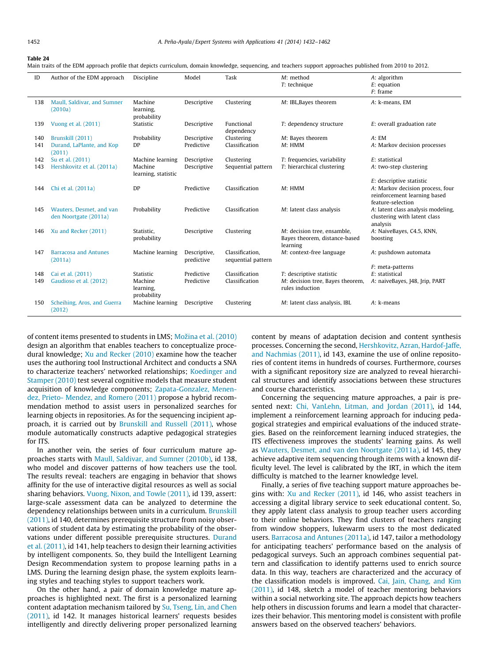<span id="page-20-0"></span>Main traits of the EDM approach profile that depicts curriculum, domain knowledge, sequencing, and teachers support approaches published from 2010 to 2012.

| ID         | Author of the EDM approach                        | Discipline                                       | Model                      | Task                                  | $M:$ method<br>$T$ : technique                                                  | A: algorithm<br>$E$ : equation<br>$F:$ frame                                                                         |
|------------|---------------------------------------------------|--------------------------------------------------|----------------------------|---------------------------------------|---------------------------------------------------------------------------------|----------------------------------------------------------------------------------------------------------------------|
| 138        | Maull, Saldivar, and Sumner<br>(2010a)            | Machine<br>learning,<br>probability              | Descriptive                | Clustering                            | M: IBL, Bayes theorem                                                           | A: k-means, EM                                                                                                       |
| 139        | Vuong et al. (2011)                               | Statistic                                        | Descriptive                | Functional<br>dependency              | T: dependency structure                                                         | $E$ : overall graduation rate                                                                                        |
| 140        | Brunskill (2011)                                  | Probability                                      | Descriptive                | Clustering                            | M: Bayes theorem                                                                | A: EM                                                                                                                |
| 141        | Durand, LaPlante, and Kop<br>(2011)               | DP                                               | Predictive                 | Classification                        | M: HMM                                                                          | A: Markov decision processes                                                                                         |
| 142        | Su et al. (2011)                                  | Machine learning                                 | Descriptive                | Clustering                            | T: frequencies, variability                                                     | $E$ : statistical                                                                                                    |
| 143        | Hershkovitz et al. (2011a)                        | Machine<br>learning, statistic                   | Descriptive                | Sequential pattern                    | T: hierarchical clustering                                                      | A: two-step clustering                                                                                               |
| 144        | Chi et al. (2011a)                                | DP                                               | Predictive                 | Classification                        | M: HMM                                                                          | $E$ : descriptive statistic<br>A: Markov decision process, four<br>reinforcement learning based<br>feature-selection |
| 145        | Wauters, Desmet, and van<br>den Noortgate (2011a) | Probability                                      | Predictive                 | Classification                        | M: latent class analysis                                                        | A: latent class analysis modeling,<br>clustering with latent class<br>analysis                                       |
| 146        | Xu and Recker (2011)                              | Statistic.<br>probability                        | Descriptive                | Clustering                            | M: decision tree, ensamble,<br>Bayes theorem, distance-based<br>learning        | A: NaiveBayes, C4.5, KNN,<br>boosting                                                                                |
| 147        | <b>Barracosa and Antunes</b><br>(2011a)           | Machine learning                                 | Descriptive,<br>predictive | Classification.<br>sequential pattern | M: context-free language                                                        | A: pushdown automata                                                                                                 |
|            |                                                   |                                                  | Predictive                 | Classification                        |                                                                                 | $F$ : meta-patterns<br>E: statistical                                                                                |
| 148<br>149 | Cai et al. (2011)<br>Gaudioso et al. (2012)       | Statistic<br>Machine<br>learning,<br>probability | Predictive                 | Classification                        | T: descriptive statistic<br>M: decision tree, Bayes theorem,<br>rules induction | A: naiveBayes, J48, Jrip, PART                                                                                       |
| 150        | Scheihing, Aros, and Guerra<br>(2012)             | Machine learning                                 | Descriptive                | Clustering                            | M: latent class analysis, IBL                                                   | A: k-means                                                                                                           |

of content items presented to students in LMS; Možina et al. (2010) design an algorithm that enables teachers to conceptualize procedural knowledge; [Xu and Recker \(2010\)](#page-30-0) examine how the teacher uses the authoring tool Instructional Architect and conducts a SNA to characterize teachers' networked relationships; [Koedinger and](#page-28-0) [Stamper \(2010\)](#page-28-0) test several cognitive models that measure student acquisition of knowledge components; [Zapata-Gonzalez, Menen](#page-30-0)[dez, Prieto- Mendez, and Romero \(2011\)](#page-30-0) propose a hybrid recommendation method to assist users in personalized searches for learning objects in repositories. As for the sequencing incipient approach, it is carried out by [Brunskill and Russell \(2011\),](#page-26-0) whose module automatically constructs adaptive pedagogical strategies for ITS.

In another vein, the series of four curriculum mature approaches starts with [Maull, Saldivar, and Sumner \(2010b\),](#page-28-0) id 138, who model and discover patterns of how teachers use the tool. The results reveal: teachers are engaging in behavior that shows affinity for the use of interactive digital resources as well as social sharing behaviors. [Vuong, Nixon, and Towle \(2011\)](#page-30-0), id 139, assert: large-scale assessment data can be analyzed to determine the dependency relationships between units in a curriculum. [Brunskill](#page-26-0) [\(2011\),](#page-26-0) id 140, determines prerequisite structure from noisy observations of student data by estimating the probability of the observations under different possible prerequisite structures. [Durand](#page-26-0) [et al. \(2011\),](#page-26-0) id 141, help teachers to design their learning activities by intelligent components. So, they build the Intelligent Learning Design Recommendation system to propose learning paths in a LMS. During the learning design phase, the system exploits learning styles and teaching styles to support teachers work.

On the other hand, a pair of domain knowledge mature approaches is highlighted next. The first is a personalized learning content adaptation mechanism tailored by [Su, Tseng, Lin, and Chen](#page-29-0) [\(2011\),](#page-29-0) id 142. It manages historical learners' requests besides intelligently and directly delivering proper personalized learning content by means of adaptation decision and content synthesis processes. Concerning the second, [Hershkovitz, Azran, Hardof-Jaffe,](#page-27-0) [and Nachmias \(2011\)](#page-27-0), id 143, examine the use of online repositories of content items in hundreds of courses. Furthermore, courses with a significant repository size are analyzed to reveal hierarchical structures and identify associations between these structures and course characteristics.

Concerning the sequencing mature approaches, a pair is pre-sented next: [Chi, VanLehn, Litman, and Jordan \(2011\)](#page-26-0), id 144, implement a reinforcement learning approach for inducing pedagogical strategies and empirical evaluations of the induced strategies. Based on the reinforcement learning induced strategies, the ITS effectiveness improves the students' learning gains. As well as [Wauters, Desmet, and van den Noortgate \(2011a\)](#page-30-0), id 145, they achieve adaptive item sequencing through items with a known difficulty level. The level is calibrated by the IRT, in which the item difficulty is matched to the learner knowledge level.

Finally, a series of five teaching support mature approaches begins with: [Xu and Recker \(2011\),](#page-30-0) id 146, who assist teachers in accessing a digital library service to seek educational content. So, they apply latent class analysis to group teacher users according to their online behaviors. They find clusters of teachers ranging from window shoppers, lukewarm users to the most dedicated users. [Barracosa and Antunes \(2011a\),](#page-26-0) id 147, tailor a methodology for anticipating teachers' performance based on the analysis of pedagogical surveys. Such an approach combines sequential pattern and classification to identify patterns used to enrich source data. In this way, teachers are characterized and the accuracy of the classification models is improved. [Cai, Jain, Chang, and Kim](#page-26-0) [\(2011\),](#page-26-0) id 148, sketch a model of teacher mentoring behaviors within a social networking site. The approach depicts how teachers help others in discussion forums and learn a model that characterizes their behavior. This mentoring model is consistent with profile answers based on the observed teachers' behaviors.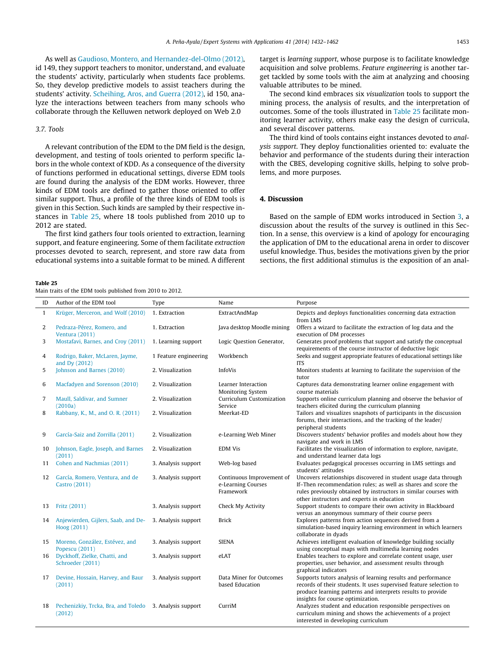<span id="page-21-0"></span>As well as [Gaudioso, Montero, and Hernandez-del-Olmo \(2012\),](#page-27-0) id 149, they support teachers to monitor, understand, and evaluate the students' activity, particularly when students face problems. So, they develop predictive models to assist teachers during the students' activity. [Scheihing, Aros, and Guerra \(2012\)](#page-29-0), id 150, analyze the interactions between teachers from many schools who collaborate through the Kelluwen network deployed on Web 2.0

### 3.7. Tools

A relevant contribution of the EDM to the DM field is the design, development, and testing of tools oriented to perform specific labors in the whole context of KDD. As a consequence of the diversity of functions performed in educational settings, diverse EDM tools are found during the analysis of the EDM works. However, three kinds of EDM tools are defined to gather those oriented to offer similar support. Thus, a profile of the three kinds of EDM tools is given in this Section. Such kinds are sampled by their respective instances in Table 25, where 18 tools published from 2010 up to 2012 are stated.

The first kind gathers four tools oriented to extraction, learning support, and feature engineering. Some of them facilitate extraction processes devoted to search, represent, and store raw data from educational systems into a suitable format to be mined. A different target is learning support, whose purpose is to facilitate knowledge acquisition and solve problems. Feature engineering is another target tackled by some tools with the aim at analyzing and choosing valuable attributes to be mined.

The second kind embraces six visualization tools to support the mining process, the analysis of results, and the interpretation of outcomes. Some of the tools illustrated in Table 25 facilitate monitoring learner activity, others make easy the design of curricula, and several discover patterns.

The third kind of tools contains eight instances devoted to analysis support. They deploy functionalities oriented to: evaluate the behavior and performance of the students during their interaction with the CBES, developing cognitive skills, helping to solve problems, and more purposes.

# 4. Discussion

Based on the sample of EDM works introduced in Section [3](#page-6-0), a discussion about the results of the survey is outlined in this Section. In a sense, this overview is a kind of apology for encouraging the application of DM to the educational arena in order to discover useful knowledge. Thus, besides the motivations given by the prior sections, the first additional stimulus is the exposition of an anal-

#### Table 25

Main traits of the EDM tools published from 2010 to 2012.

| $\mathsf{ID}$ | Author of the EDM tool                                            | Type                  | Name                                                         | Purpose                                                                                                                                                                                                                                            |
|---------------|-------------------------------------------------------------------|-----------------------|--------------------------------------------------------------|----------------------------------------------------------------------------------------------------------------------------------------------------------------------------------------------------------------------------------------------------|
| $\mathbf{1}$  | Krüger, Merceron, and Wolf (2010)                                 | 1. Extraction         | ExtractAndMap                                                | Depicts and deploys functionalities concerning data extraction<br>from LMS                                                                                                                                                                         |
| 2             | Pedraza-Pérez, Romero, and<br><b>Ventura</b> (2011)               | 1. Extraction         | Java desktop Moodle mining                                   | Offers a wizard to facilitate the extraction of log data and the<br>execution of DM processes                                                                                                                                                      |
| 3             | Mostafavi, Barnes, and Croy (2011)                                | 1. Learning support   | Logic Question Generator,                                    | Generates proof problems that support and satisfy the conceptual<br>requirements of the course instructor of deductive logic                                                                                                                       |
| 4             | Rodrigo, Baker, McLaren, Jayme,<br>and Dy $(2012)$                | 1 Feature engineering | Workbench                                                    | Seeks and suggest appropriate features of educational settings like<br><b>ITS</b>                                                                                                                                                                  |
| 5             | Johnson and Barnes (2010)                                         | 2. Visualization      | InfoVis                                                      | Monitors students at learning to facilitate the supervision of the<br>tutor                                                                                                                                                                        |
| 6             | Macfadyen and Sorenson (2010)                                     | 2. Visualization      | Learner Interaction<br><b>Monitoring System</b>              | Captures data demonstrating learner online engagement with<br>course materials                                                                                                                                                                     |
| 7             | Maull, Saldivar, and Sumner<br>(2010a)                            | 2. Visualization      | Curriculum Customization<br>Service                          | Supports online curriculum planning and observe the behavior of<br>teachers elicited during the curriculum planning                                                                                                                                |
| 8             | Rabbany, K., M., and O. R. (2011)                                 | 2. Visualization      | Meerkat-ED                                                   | Tailors and visualizes snapshots of participants in the discussion<br>forums, their interactions, and the tracking of the leader/<br>peripheral students                                                                                           |
| 9             | García-Saiz and Zorrilla (2011)                                   | 2. Visualization      | e-Learning Web Miner                                         | Discovers students' behavior profiles and models about how they<br>navigate and work in LMS                                                                                                                                                        |
| 10            | Johnson, Eagle, Joseph, and Barnes<br>(2011)                      | 2. Visualization      | <b>EDM Vis</b>                                               | Facilitates the visualization of information to explore, navigate,<br>and understand learner data logs                                                                                                                                             |
| 11            | Cohen and Nachmias (2011)                                         | 3. Analysis support   | Web-log based                                                | Evaluates pedagogical processes occurring in LMS settings and<br>students' attitudes                                                                                                                                                               |
| 12            | García, Romero, Ventura, and de<br>Castro (2011)                  | 3. Analysis support   | Continuous Improvement of<br>e-Learning Courses<br>Framework | Uncovers relationships discovered in student usage data through<br>If-Then recommendation rules; as well as shares and score the<br>rules previously obtained by instructors in similar courses with<br>other instructors and experts in education |
| 13            | Fritz (2011)                                                      | 3. Analysis support   | Check My Activity                                            | Support students to compare their own activity in Blackboard<br>versus an anonymous summary of their course peers                                                                                                                                  |
| 14            | Anjewierden, Gijlers, Saab, and De-<br>Hoog (2011)                | 3. Analysis support   | <b>Brick</b>                                                 | Explores patterns from action sequences derived from a<br>simulation-based inquiry learning environment in which learners<br>collaborate in dyads                                                                                                  |
| 15            | Moreno, González, Estévez, and<br>Popescu (2011)                  | 3. Analysis support   | <b>SIENA</b>                                                 | Achieves intelligent evaluation of knowledge building socially<br>using conceptual maps with multimedia learning nodes                                                                                                                             |
| 16            | Dyckhoff, Zielke, Chatti, and<br>Schroeder (2011)                 | 3. Analysis support   | eLAT                                                         | Enables teachers to explore and correlate content usage, user<br>properties, user behavior, and assessment results through<br>graphical indicators                                                                                                 |
| 17            | Devine, Hossain, Harvey, and Baur<br>(2011)                       | 3. Analysis support   | Data Miner for Outcomes<br>based Education                   | Supports tutors analysis of learning results and performance<br>records of their students. It uses supervised feature selection to<br>produce learning patterns and interprets results to provide<br>insights for course optimization.             |
| 18            | Pechenizkiy, Trcka, Bra, and Toledo 3. Analysis support<br>(2012) |                       | CurriM                                                       | Analyzes student and education responsible perspectives on<br>curriculum mining and shows the achievements of a project<br>interested in developing curriculum                                                                                     |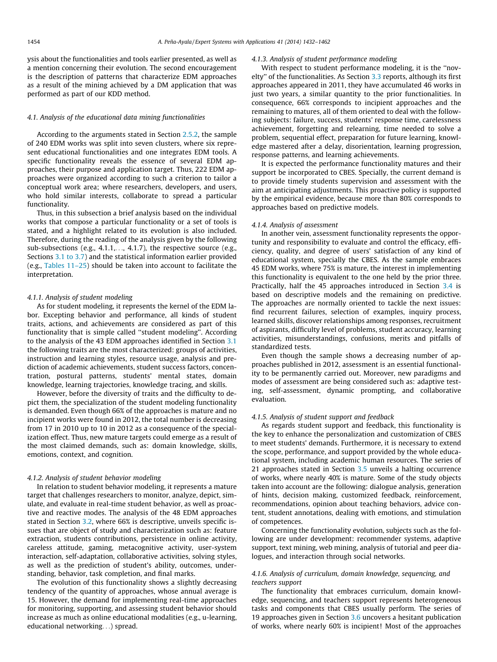<span id="page-22-0"></span>ysis about the functionalities and tools earlier presented, as well as a mention concerning their evolution. The second encouragement is the description of patterns that characterize EDM approaches as a result of the mining achieved by a DM application that was performed as part of our KDD method.

#### 4.1. Analysis of the educational data mining functionalities

According to the arguments stated in Section [2.5.2](#page-5-0), the sample of 240 EDM works was split into seven clusters, where six represent educational functionalities and one integrates EDM tools. A specific functionality reveals the essence of several EDM approaches, their purpose and application target. Thus, 222 EDM approaches were organized according to such a criterion to tailor a conceptual work area; where researchers, developers, and users, who hold similar interests, collaborate to spread a particular functionality.

Thus, in this subsection a brief analysis based on the individual works that compose a particular functionality or a set of tools is stated, and a highlight related to its evolution is also included. Therefore, during the reading of the analysis given by the following sub-subsections (e.g., 4.1.1,..., 4.1.7), the respective source (e.g., Sections [3.1 to 3.7](#page-7-0)) and the statistical information earlier provided (e.g., [Tables 11–25\)](#page-7-0) should be taken into account to facilitate the interpretation.

#### 4.1.1. Analysis of student modeling

As for student modeling, it represents the kernel of the EDM labor. Excepting behavior and performance, all kinds of student traits, actions, and achievements are considered as part of this functionality that is simple called ''student modeling''. According to the analysis of the 43 EDM approaches identified in Section [3.1](#page-7-0) the following traits are the most characterized: groups of activities, instruction and learning styles, resource usage, analysis and prediction of academic achievements, student success factors, concentration, postural patterns, students' mental states, domain knowledge, learning trajectories, knowledge tracing, and skills.

However, before the diversity of traits and the difficulty to depict them, the specialization of the student modeling functionality is demanded. Even though 66% of the approaches is mature and no incipient works were found in 2012, the total number is decreasing from 17 in 2010 up to 10 in 2012 as a consequence of the specialization effect. Thus, new mature targets could emerge as a result of the most claimed demands, such as: domain knowledge, skills, emotions, context, and cognition.

### 4.1.2. Analysis of student behavior modeling

In relation to student behavior modeling, it represents a mature target that challenges researchers to monitor, analyze, depict, simulate, and evaluate in real-time student behavior, as well as proactive and reactive modes. The analysis of the 48 EDM approaches stated in Section [3.2](#page-9-0), where 66% is descriptive, unveils specific issues that are object of study and characterization such as: feature extraction, students contributions, persistence in online activity, careless attitude, gaming, metacognitive activity, user-system interaction, self-adaptation, collaborative activities, solving styles, as well as the prediction of student's ability, outcomes, understanding, behavior, task completion, and final marks.

The evolution of this functionality shows a slightly decreasing tendency of the quantity of approaches, whose annual average is 15. However, the demand for implementing real-time approaches for monitoring, supporting, and assessing student behavior should increase as much as online educational modalities (e.g., u-learning, educational networking...) spread.

#### 4.1.3. Analysis of student performance modeling

With respect to student performance modeling, it is the ''novelty'' of the functionalities. As Section [3.3](#page-13-0) reports, although its first approaches appeared in 2011, they have accumulated 46 works in just two years, a similar quantity to the prior functionalities. In consequence, 66% corresponds to incipient approaches and the remaining to matures, all of them oriented to deal with the following subjects: failure, success, students' response time, carelessness achievement, forgetting and relearning, time needed to solve a problem, sequential effect, preparation for future learning, knowledge mastered after a delay, disorientation, learning progression, response patterns, and learning achievements.

It is expected the performance functionality matures and their support be incorporated to CBES. Specially, the current demand is to provide timely students supervision and assessment with the aim at anticipating adjustments. This proactive policy is supported by the empirical evidence, because more than 80% corresponds to approaches based on predictive models.

### 4.1.4. Analysis of assessment

In another vein, assessment functionality represents the opportunity and responsibility to evaluate and control the efficacy, efficiency, quality, and degree of users' satisfaction of any kind of educational system, specially the CBES. As the sample embraces 45 EDM works, where 75% is mature, the interest in implementing this functionality is equivalent to the one held by the prior three. Practically, half the 45 approaches introduced in Section [3.4](#page-15-0) is based on descriptive models and the remaining on predictive. The approaches are normally oriented to tackle the next issues: find recurrent failures, selection of examples, inquiry process, learned skills, discover relationships among responses, recruitment of aspirants, difficulty level of problems, student accuracy, learning activities, misunderstandings, confusions, merits and pitfalls of standardized tests.

Even though the sample shows a decreasing number of approaches published in 2012, assessment is an essential functionality to be permanently carried out. Moreover, new paradigms and modes of assessment are being considered such as: adaptive testing, self-assessment, dynamic prompting, and collaborative evaluation.

### 4.1.5. Analysis of student support and feedback

As regards student support and feedback, this functionality is the key to enhance the personalization and customization of CBES to meet students' demands. Furthermore, it is necessary to extend the scope, performance, and support provided by the whole educational system, including academic human resources. The series of 21 approaches stated in Section [3.5](#page-18-0) unveils a halting occurrence of works, where nearly 40% is mature. Some of the study objects taken into account are the following: dialogue analysis, generation of hints, decision making, customized feedback, reinforcement, recommendations, opinion about teaching behaviors, advice content, student annotations, dealing with emotions, and stimulation of competences.

Concerning the functionality evolution, subjects such as the following are under development: recommender systems, adaptive support, text mining, web mining, analysis of tutorial and peer dialogues, and interaction through social networks.

# 4.1.6. Analysis of curriculum, domain knowledge, sequencing, and teachers support

The functionality that embraces curriculum, domain knowledge, sequencing, and teachers support represents heterogeneous tasks and components that CBES usually perform. The series of 19 approaches given in Section [3.6](#page-19-0) uncovers a hesitant publication of works, where nearly 60% is incipient! Most of the approaches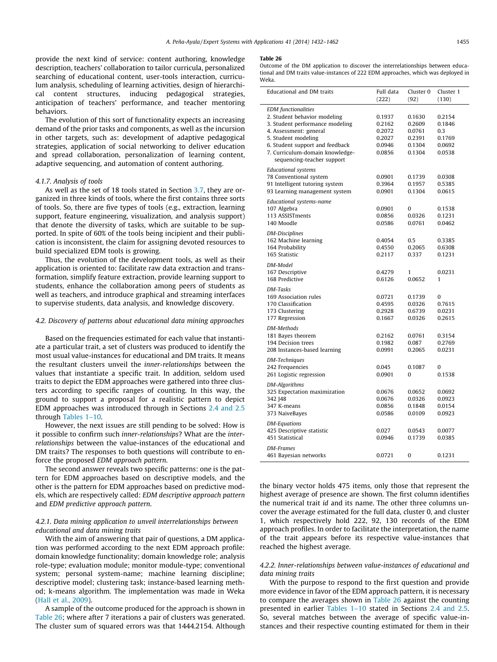<span id="page-23-0"></span>provide the next kind of service: content authoring, knowledge description, teachers' collaboration to tailor curricula, personalized searching of educational content, user-tools interaction, curriculum analysis, scheduling of learning activities, design of hierarchical content structures, inducing pedagogical strategies, anticipation of teachers' performance, and teacher mentoring behaviors.

The evolution of this sort of functionality expects an increasing demand of the prior tasks and components, as well as the incursion in other targets, such as: development of adaptive pedagogical strategies, application of social networking to deliver education and spread collaboration, personalization of learning content, adaptive sequencing, and automation of content authoring.

# 4.1.7. Analysis of tools

As well as the set of 18 tools stated in Section [3.7](#page-21-0), they are organized in three kinds of tools, where the first contains three sorts of tools. So, there are five types of tools (e.g., extraction, learning support, feature engineering, visualization, and analysis support) that denote the diversity of tasks, which are suitable to be supported. In spite of 60% of the tools being incipient and their publication is inconsistent, the claim for assigning devoted resources to build specialized EDM tools is growing.

Thus, the evolution of the development tools, as well as their application is oriented to: facilitate raw data extraction and transformation, simplify feature extraction, provide learning support to students, enhance the collaboration among peers of students as well as teachers, and introduce graphical and streaming interfaces to supervise students, data analysis, and knowledge discovery.

#### 4.2. Discovery of patterns about educational data mining approaches

Based on the frequencies estimated for each value that instantiate a particular trait, a set of clusters was produced to identify the most usual value-instances for educational and DM traits. It means the resultant clusters unveil the inner-relationships between the values that instantiate a specific trait. In addition, seldom used traits to depict the EDM approaches were gathered into three clusters according to specific ranges of counting. In this way, the ground to support a proposal for a realistic pattern to depict EDM approaches was introduced through in Sections [2.4 and 2.5](#page-3-0) through [Tables 1–10.](#page-3-0)

However, the next issues are still pending to be solved: How is it possible to confirm such inner-relationships? What are the interrelationships between the value-instances of the educational and DM traits? The responses to both questions will contribute to enforce the proposed EDM approach pattern.

The second answer reveals two specific patterns: one is the pattern for EDM approaches based on descriptive models, and the other is the pattern for EDM approaches based on predictive models, which are respectively called: EDM descriptive approach pattern and EDM predictive approach pattern.

## 4.2.1. Data mining application to unveil interrelationships between educational and data mining traits

With the aim of answering that pair of questions, a DM application was performed according to the next EDM approach profile: domain knowledge functionality; domain knowledge role; analysis role-type; evaluation module; monitor module-type; conventional system; personal system-name; machine learning discipline; descriptive model; clustering task; instance-based learning method; k-means algorithm. The implementation was made in Weka ([Hall et al., 2009\)](#page-27-0).

A sample of the outcome produced for the approach is shown in Table 26; where after 7 iterations a pair of clusters was generated. The cluster sum of squared errors was that 1444.2154. Although

#### Table 26

Outcome of the DM application to discover the interrelationships between educational and DM traits value-instances of 222 EDM approaches, which was deployed in Weka.

| Educational and DM traits                                                                                                                                                                                                                          | Full data<br>(222)                                       | Cluster 0<br>(92)                                        | Cluster 1<br>(130)                                    |
|----------------------------------------------------------------------------------------------------------------------------------------------------------------------------------------------------------------------------------------------------|----------------------------------------------------------|----------------------------------------------------------|-------------------------------------------------------|
| <b>EDM</b> functionalities<br>2. Student behavior modeling<br>3. Student performance modeling<br>4. Assessment: general<br>5. Student modeling<br>6. Student support and feedback<br>7. Curriculum-domain knowledge-<br>sequencing-teacher support | 0.1937<br>0.2162<br>0.2072<br>0.2027<br>0.0946<br>0.0856 | 0.1630<br>0.2609<br>0.0761<br>0.2391<br>0.1304<br>0.1304 | 0.2154<br>0.1846<br>0.3<br>0.1769<br>0.0692<br>0.0538 |
| <b>Educational systems</b><br>78 Conventional system<br>91 Intelligent tutoring system<br>93 Learning management system                                                                                                                            | 0.0901<br>0.3964<br>0.0901                               | 0.1739<br>0.1957<br>0.1304                               | 0.0308<br>0.5385<br>0.0615                            |
| Educational systems-name<br>107 Algebra<br>113 ASSISTments<br>140 Moodle                                                                                                                                                                           | 0.0901<br>0.0856<br>0.0586                               | 0<br>0.0326<br>0.0761                                    | 0.1538<br>0.1231<br>0.0462                            |
| <b>DM-Disciplines</b><br>162 Machine learning<br>164 Probability<br>165 Statistic                                                                                                                                                                  | 0.4054<br>0.4550<br>0.2117                               | 0.5<br>0.2065<br>0.337                                   | 0.3385<br>0.6308<br>0.1231                            |
| DM-Model<br>167 Descriptive<br>168 Predictive                                                                                                                                                                                                      | 0.4279<br>0.6126                                         | 1<br>0.0652                                              | 0.0231<br>1                                           |
| DM-Tasks<br>169 Association rules<br>170 Classification<br>173 Clustering<br>177 Regression                                                                                                                                                        | 0.0721<br>0.4595<br>0.2928<br>0.1667                     | 0.1739<br>0.0326<br>0.6739<br>0.0326                     | 0<br>0.7615<br>0.0231<br>0.2615                       |
| DM-Methods<br>181 Bayes theorem<br>194 Decision trees<br>208 Instances-based learning                                                                                                                                                              | 0.2162<br>0.1982<br>0.0991                               | 0.0761<br>0.087<br>0.2065                                | 0.3154<br>0.2769<br>0.0231                            |
| DM-Techniques<br>242 Frequencies<br>261 Logistic regression                                                                                                                                                                                        | 0.045<br>0.0901                                          | 0.1087<br>0                                              | 0<br>0.1538                                           |
| DM-Algorithms<br>325 Expectation maximization<br>342 [48<br>347 K-means<br>373 NaiveBayes                                                                                                                                                          | 0.0676<br>0.0676<br>0.0856<br>0.0586                     | 0.0652<br>0.0326<br>0.1848<br>0.0109                     | 0.0692<br>0.0923<br>0.0154<br>0.0923                  |
| <b>DM-Equations</b><br>425 Descriptive statistic<br>451 Statistical                                                                                                                                                                                | 0.027<br>0.0946                                          | 0.0543<br>0.1739                                         | 0.0077<br>0.0385                                      |
| <b>DM-Frames</b><br>461 Bayesian networks                                                                                                                                                                                                          | 0.0721                                                   | $\Omega$                                                 | 0.1231                                                |

the binary vector holds 475 items, only those that represent the highest average of presence are shown. The first column identifies the numerical trait id and its name. The other three columns uncover the average estimated for the full data, cluster 0, and cluster 1, which respectively hold 222, 92, 130 records of the EDM approach profiles. In order to facilitate the interpretation, the name of the trait appears before its respective value-instances that reached the highest average.

# 4.2.2. Inner-relationships between value-instances of educational and data mining traits

With the purpose to respond to the first question and provide more evidence in favor of the EDM approach pattern, it is necessary to compare the averages shown in Table 26 against the counting presented in earlier [Tables 1–10](#page-3-0) stated in Sections [2.4 and 2.5.](#page-3-0) So, several matches between the average of specific value-instances and their respective counting estimated for them in their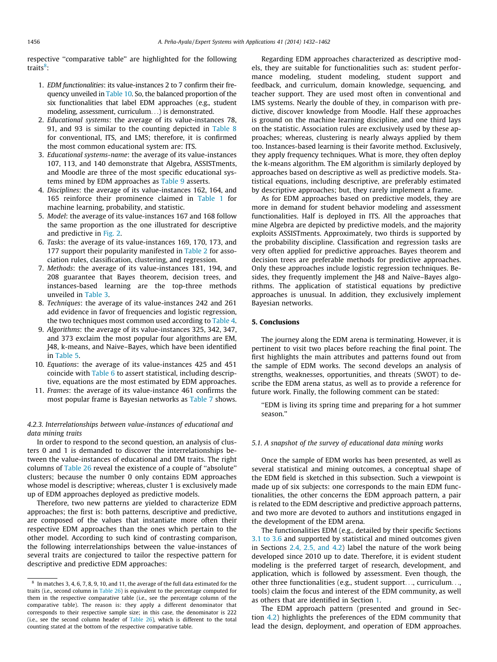respective ''comparative table'' are highlighted for the following traits<sup>8</sup>:

- 1. EDM functionalities: its value-instances 2 to 7 confirm their frequency unveiled in [Table 10.](#page-6-0) So, the balanced proportion of the six functionalities that label EDM approaches (e.g., student modeling, assessment, curriculum...) is demonstrated.
- 2. Educational systems: the average of its value-instances 78, 91, and 93 is similar to the counting depicted in [Table 8](#page-5-0) for conventional, ITS, and LMS; therefore, it is confirmed the most common educational system are: ITS.
- 3. Educational systems-name: the average of its value-instances 107, 113, and 140 demonstrate that Algebra, ASSISTments, and Moodle are three of the most specific educational systems mined by EDM approaches as [Table 9](#page-5-0) asserts.
- 4. Disciplines: the average of its value-instances 162, 164, and 165 reinforce their prominence claimed in [Table 1](#page-3-0) for machine learning, probability, and statistic.
- 5. Model: the average of its value-instances 167 and 168 follow the same proportion as the one illustrated for descriptive and predictive in [Fig. 2](#page-3-0).
- 6. Tasks: the average of its value-instances 169, 170, 173, and 177 support their popularity manifested in [Table 2](#page-3-0) for association rules, classification, clustering, and regression.
- 7. Methods: the average of its value-instances 181, 194, and 208 guarantee that Bayes theorem, decision trees, and instances-based learning are the top-three methods unveiled in [Table 3.](#page-4-0)
- 8. Techniques: the average of its value-instances 242 and 261 add evidence in favor of frequencies and logistic regression, the two techniques most common used according to [Table 4.](#page-4-0)
- 9. Algorithms: the average of its value-instances 325, 342, 347, and 373 exclaim the most popular four algorithms are EM, J48, k-means, and Naive–Bayes, which have been identified in [Table 5](#page-4-0).
- 10. Equations: the average of its value-instances 425 and 451 coincide with [Table 6](#page-4-0) to assert statistical, including descriptive, equations are the most estimated by EDM approaches.
- 11. Frames: the average of its value-instance 461 confirms the most popular frame is Bayesian networks as [Table 7](#page-5-0) shows.

### 4.2.3. Interrelationships between value-instances of educational and data mining traits

In order to respond to the second question, an analysis of clusters 0 and 1 is demanded to discover the interrelationships between the value-instances of educational and DM traits. The right columns of [Table 26](#page-23-0) reveal the existence of a couple of ''absolute'' clusters; because the number 0 only contains EDM approaches whose model is descriptive; whereas, cluster 1 is exclusively made up of EDM approaches deployed as predictive models.

Therefore, two new patterns are yielded to characterize EDM approaches; the first is: both patterns, descriptive and predictive, are composed of the values that instantiate more often their respective EDM approaches than the ones which pertain to the other model. According to such kind of contrasting comparison, the following interrelationships between the value-instances of several traits are conjectured to tailor the respective pattern for descriptive and predictive EDM approaches:

Regarding EDM approaches characterized as descriptive models, they are suitable for functionalities such as: student performance modeling, student modeling, student support and feedback, and curriculum, domain knowledge, sequencing, and teacher support. They are used most often in conventional and LMS systems. Nearly the double of they, in comparison with predictive, discover knowledge from Moodle. Half these approaches is ground on the machine learning discipline, and one third lays on the statistic. Association rules are exclusively used by these approaches; whereas, clustering is nearly always applied by them too. Instances-based learning is their favorite method. Exclusively, they apply frequency techniques. What is more, they often deploy the k-means algorithm. The EM algorithm is similarly deployed by approaches based on descriptive as well as predictive models. Statistical equations, including descriptive, are preferably estimated by descriptive approaches; but, they rarely implement a frame.

As for EDM approaches based on predictive models, they are more in demand for student behavior modeling and assessment functionalities. Half is deployed in ITS. All the approaches that mine Algebra are depicted by predictive models, and the majority exploits ASSISTments. Approximately, two thirds is supported by the probability discipline. Classification and regression tasks are very often applied for predictive approaches. Bayes theorem and decision trees are preferable methods for predictive approaches. Only these approaches include logistic regression techniques. Besides, they frequently implement the J48 and Naïve–Bayes algorithms. The application of statistical equations by predictive approaches is unusual. In addition, they exclusively implement Bayesian networks.

# 5. Conclusions

The journey along the EDM arena is terminating. However, it is pertinent to visit two places before reaching the final point. The first highlights the main attributes and patterns found out from the sample of EDM works. The second develops an analysis of strengths, weaknesses, opportunities, and threats (SWOT) to describe the EDM arena status, as well as to provide a reference for future work. Finally, the following comment can be stated:

''EDM is living its spring time and preparing for a hot summer season.''

#### 5.1. A snapshot of the survey of educational data mining works

Once the sample of EDM works has been presented, as well as several statistical and mining outcomes, a conceptual shape of the EDM field is sketched in this subsection. Such a viewpoint is made up of six subjects: one corresponds to the main EDM functionalities, the other concerns the EDM approach pattern, a pair is related to the EDM descriptive and predictive approach patterns, and two more are devoted to authors and institutions engaged in the development of the EDM arena.

The functionalities EDM (e.g., detailed by their specific Sections [3.1 to 3.6](#page-7-0) and supported by statistical and mined outcomes given in Sections [2.4, 2.5, and 4.2](#page-3-0)) label the nature of the work being developed since 2010 up to date. Therefore, it is evident student modeling is the preferred target of research, development, and application, which is followed by assessment. Even though, the other three functionalities (e.g., student support..., curriculum..., tools) claim the focus and interest of the EDM community, as well as others that are identified in Section [1](#page-0-0).

The EDM approach pattern (presented and ground in Section [4.2\)](#page-23-0) highlights the preferences of the EDM community that lead the design, deployment, and operation of EDM approaches.

 $^8\,$  In matches 3, 4, 6, 7, 8, 9, 10, and 11, the average of the full data estimated for the traits (i.e., second column in [Table 26\)](#page-23-0) is equivalent to the percentage computed for them in the respective comparative table (i.e., see the percentage column of the comparative table). The reason is: they apply a different denominator that corresponds to their respective sample size; in this case, the denominator is 222 (i.e., see the second column header of [Table 26](#page-23-0)), which is different to the total counting stated at the bottom of the respective comparative table.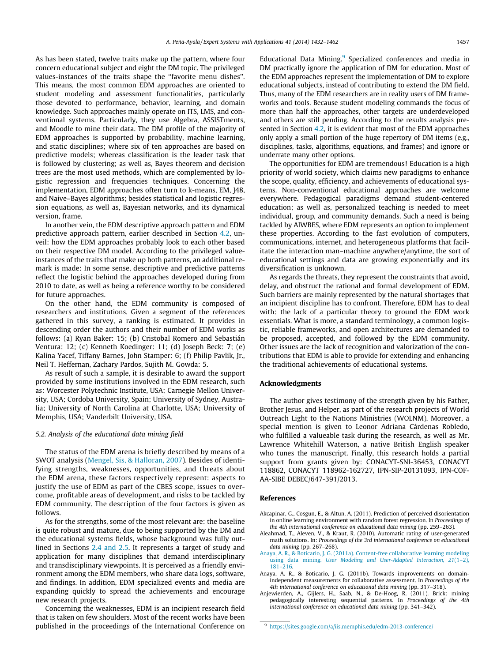<span id="page-25-0"></span>As has been stated, twelve traits make up the pattern, where four concern educational subject and eight the DM topic. The privileged values-instances of the traits shape the ''favorite menu dishes''. This means, the most common EDM approaches are oriented to student modeling and assessment functionalities, particularly those devoted to performance, behavior, learning, and domain knowledge. Such approaches mainly operate on ITS, LMS, and conventional systems. Particularly, they use Algebra, ASSISTments, and Moodle to mine their data. The DM profile of the majority of EDM approaches is supported by probability, machine learning, and static disciplines; where six of ten approaches are based on predictive models; whereas classification is the leader task that is followed by clustering; as well as, Bayes theorem and decision trees are the most used methods, which are complemented by logistic regression and frequencies techniques. Concerning the implementation, EDM approaches often turn to k-means, EM, J48, and Naive–Bayes algorithms; besides statistical and logistic regression equations, as well as, Bayesian networks, and its dynamical version, frame.

In another vein, the EDM descriptive approach pattern and EDM predictive approach pattern, earlier described in Section [4.2](#page-23-0), unveil: how the EDM approaches probably look to each other based on their respective DM model. According to the privileged valueinstances of the traits that make up both patterns, an additional remark is made: In some sense, descriptive and predictive patterns reflect the logistic behind the approaches developed during from 2010 to date, as well as being a reference worthy to be considered for future approaches.

On the other hand, the EDM community is composed of researchers and institutions. Given a segment of the references gathered in this survey, a ranking is estimated. It provides in descending order the authors and their number of EDM works as follows: (a) Ryan Baker: 15; (b) Cristobal Romero and Sebastián Ventura: 12; (c) Kenneth Koedinger: 11; (d) Joseph Beck: 7; (e) Kalina Yacef, Tiffany Barnes, John Stamper: 6; (f) Philip Pavlik, Jr., Neil T. Heffernan, Zachary Pardos, Sujith M. Gowda: 5.

As result of such a sample, it is desirable to award the support provided by some institutions involved in the EDM research, such as: Worcester Polytechnic Institute, USA; Carnegie Mellon University, USA; Cordoba University, Spain; University of Sydney, Australia; University of North Carolina at Charlotte, USA; University of Memphis, USA; Vanderbilt University, USA.

### 5.2. Analysis of the educational data mining field

The status of the EDM arena is briefly described by means of a SWOT analysis [\(Mengel, Sis, & Halloran, 2007\)](#page-28-0). Besides of identifying strengths, weaknesses, opportunities, and threats about the EDM arena, these factors respectively represent: aspects to justify the use of EDM as part of the CBES scope, issues to overcome, profitable areas of development, and risks to be tackled by EDM community. The description of the four factors is given as follows.

As for the strengths, some of the most relevant are: the baseline is quite robust and mature, due to being supported by the DM and the educational systems fields, whose background was fully outlined in Sections [2.4 and 2.5.](#page-3-0) It represents a target of study and application for many disciplines that demand interdisciplinary and transdisciplinary viewpoints. It is perceived as a friendly environment among the EDM members, who share data logs, software, and findings. In addition, EDM specialized events and media are expanding quickly to spread the achievements and encourage new research projects.

Concerning the weaknesses, EDM is an incipient research field that is taken on few shoulders. Most of the recent works have been published in the proceedings of the International Conference on Educational Data Mining.<sup>9</sup> Specialized conferences and media in DM practically ignore the application of DM for education. Most of the EDM approaches represent the implementation of DM to explore educational subjects, instead of contributing to extend the DM field. Thus, many of the EDM researchers are in reality users of DM frameworks and tools. Because student modeling commands the focus of more than half the approaches, other targets are underdeveloped and others are still pending. According to the results analysis presented in Section [4.2](#page-23-0), it is evident that most of the EDM approaches only apply a small portion of the huge repertory of DM items (e.g., disciplines, tasks, algorithms, equations, and frames) and ignore or underrate many other options.

The opportunities for EDM are tremendous! Education is a high priority of world society, which claims new paradigms to enhance the scope, quality, efficiency, and achievements of educational systems. Non-conventional educational approaches are welcome everywhere. Pedagogical paradigms demand student-centered education; as well as, personalized teaching is needed to meet individual, group, and community demands. Such a need is being tackled by AIWBES, where EDM represents an option to implement these properties. According to the fast evolution of computers, communications, internet, and heterogeneous platforms that facilitate the interaction man–machine anywhere/anytime, the sort of educational settings and data are growing exponentially and its diversification is unknown.

As regards the threats, they represent the constraints that avoid, delay, and obstruct the rational and formal development of EDM. Such barriers are mainly represented by the natural shortages that an incipient discipline has to confront. Therefore, EDM has to deal with: the lack of a particular theory to ground the EDM work essentials. What is more, a standard terminology, a common logistic, reliable frameworks, and open architectures are demanded to be proposed, accepted, and followed by the EDM community. Other issues are the lack of recognition and valorization of the contributions that EDM is able to provide for extending and enhancing the traditional achievements of educational systems.

### Acknowledgments

The author gives testimony of the strength given by his Father, Brother Jesus, and Helper, as part of the research projects of World Outreach Light to the Nations Ministries (WOLNM). Moreover, a special mention is given to Leonor Adriana Cárdenas Robledo, who fulfilled a valueable task during the research, as well as Mr. Lawrence Whitehill Waterson, a native British English speaker who tunes the manuscript. Finally, this research holds a partial support from grants given by: CONACYT-SNI-36453, CONACYT 118862, CONACYT 118962-162727, IPN-SIP-20131093, IPN-COF-AA-SIBE DEBEC/647-391/2013.

#### References

- Akcapinar, G., Cosgun, E., & Altun, A. (2011). Prediction of perceived disorientation in online learning environment with random forest regression. In Proceedings of the 4th international conference on educational data mining (pp. 259–263).
- Aleahmad, T., Aleven, V., & Kraut, R. (2010). Automatic rating of user-generated math solutions. In: Proceedings of the 3rd international conference on educational data mining (pp. 267–268).
- [Anaya, A. R., & Boticario, J. G. \(2011a\). Content-free collaborative learning modeling](http://refhub.elsevier.com/S0957-4174(13)00663-5/h0005) using data mining. [User Modeling and User-Adapted Interaction, 21](http://refhub.elsevier.com/S0957-4174(13)00663-5/h0005)(1–2), [181–216](http://refhub.elsevier.com/S0957-4174(13)00663-5/h0005).
- Anaya, A. R., & Boticario, J. G. (2011b). Towards improvements on domainindependent measurements for collaborative assessment. In Proceedings of the 4th international conference on educational data mining (pp. 317–318).
- Anjewierden, A., Gijlers, H., Saab, N., & De-Hoog, R. (2011). Brick: mining pedagogically interesting sequential patterns. In Proceedings of the 4th international conference on educational data mining (pp. 341–342).

<sup>9</sup> [https://sites.google.com/a/iis.memphis.edu/edm-2013-conference/](https://www.sites.google.com/a/iis.memphis.edu/edm-2013-conference/)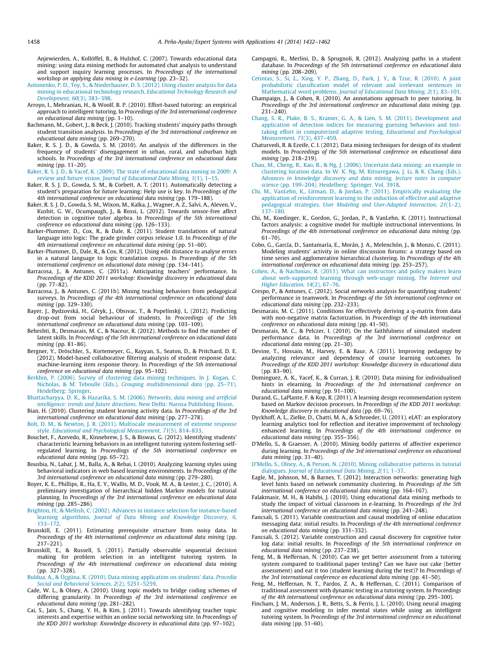<span id="page-26-0"></span>Anjewierden, A., Kollöffel, B., & Hulshof, C. (2007). Towards educational data mining: using data mining methods for automated chat analysis to understand and support inquiry learning processes. In Proceedings of the international workshop on applying data mining in e-Learning (pp. 23–32).

- [Antonenko, P. D., Toy, S., & Niederhauser, D. S. \(2012\). Using cluster analysis for data](http://refhub.elsevier.com/S0957-4174(13)00663-5/h0010) [mining in educational technology research.](http://refhub.elsevier.com/S0957-4174(13)00663-5/h0010) Educational Technology Research and [Development, 60](http://refhub.elsevier.com/S0957-4174(13)00663-5/h0010)(3), 383–398.
- Arroyo, I., Mehranian, H., & Woolf, B. P. (2010). Effort-based tutoring: an empirical approach to intelligent tutoring. In Proceedings of the 3rd international conference on educational data mining (pp. 1–10).
- Bachmann, M., Gobert, J., & Beck, J. (2010). Tracking students' inquiry paths through student transition analysis. In Proceedings of the 3rd international conference on educational data mining (pp. 269–270).
- Baker, R. S. J. D., & Gowda, S. M. (2010). An analysis of the differences in the frequency of students' disengagement in urban, rural, and suburban high schools. In Proceedings of the 3rd international conference on educational data mining (pp. 11–20).
- [Baker, R. S. J. D., & Yacef, K. \(2009\). The state of educational data mining in 2009: A](http://refhub.elsevier.com/S0957-4174(13)00663-5/h0015) review and future vision. [Journal of Educational Data Mining, 1](http://refhub.elsevier.com/S0957-4174(13)00663-5/h0015)(1), 1–15.
- Baker, R. S. J. D., Gowda, S. M., & Corbett, A. T. (2011). Automatically detecting a student's preparation for future learning: Help use is key. In Proceedings of the 4th international conference on educational data mining (pp. 179–188).
- Baker, R. S. J. D., Gowda, S. M., Wixon, M., Kalka, J., Wagner, A. Z., Salvi, A., Aleven, V., Kusbit, G. W., Ocumpaugh, J., & Rossi, L. (2012). Towards sensor-free affect detection in cognitive tutor algebra. In Proceedings of the 5th international conference on educational data mining (pp. 126–133).
- Barker-Plummer, D., Cox, R., & Dale, R. (2011). Student translations of natural language into logic: The grade grinder corpus release 1.0. In Proceedings of the 4th international conference on educational data mining (pp. 51–60).
- Barker-Plummer, D., Dale, R., & Cox, R. (2012). Using edit distance to analyse errors in a natural language to logic translation corpus. In Proceedings of the 5th international conference on educational data mining (pp. 134–141).
- Barracosa, J., & Antunes, C. (2011a). Anticipating teachers' performance. In Proceedings of the KDD 2011 workshop: Knowledge discovery in educational data (pp. 77–82).
- Barracosa, J., & Antunes, C. (2011b). Mining teaching behaviors from pedagogical surveys. In Proceedings of the 4th international conference on educational data mining (pp. 329–330).
- Bayer, J., Bydzovská, H., Géryk, J., Obsıvac, T., & Popelínský, L. (2012). Predicting drop-out from social behaviour of students. In Proceedings of the 5th international conference on educational data mining (pp. 103–109).
- Beheshti, B., Desmarais, M. C., & Naceur, R. (2012). Methods to find the number of latent skills. In Proceedings of the 5th international conference on educational data mining (pp. 81–86).
- Bergner, Y., Dröschler, S., Kortemeyer, G., Rayyan, S., Seaton, D., & Pritchard, D. E. (2012). Model-based collaborative filtering analysis of student response data: machine-learning item response theory. In Proceedings of the 5th international conference on educational data mining (pp. 95–102).
- [Berkhin, P. \(2006\). Survey of clustering data mining techniques. In J. Kogan, C.](http://refhub.elsevier.com/S0957-4174(13)00663-5/h0020) [Nicholas, & M. Teboulle \(Eds.\),](http://refhub.elsevier.com/S0957-4174(13)00663-5/h0020) Grouping multidimensional data (pp. 25–71). [Heidelberg: Springer.](http://refhub.elsevier.com/S0957-4174(13)00663-5/h0020)
- [Bhattacharyya, D. K., & Hazarika, S. M. \(2006\).](http://refhub.elsevier.com/S0957-4174(13)00663-5/h0025) Networks, data mining and artificial [intelligence: trends and future directions](http://refhub.elsevier.com/S0957-4174(13)00663-5/h0025). New Delhi: Narosa Publishing House.
- Bian, H. (2010). Clustering student learning activity data. In Proceedings of the 3rd international conference on educational data mining (pp. 277–278).
- [Bolt, D. M., & Newton, J. R. \(2011\). Multiscale measurement of extreme response](http://refhub.elsevier.com/S0957-4174(13)00663-5/h0030) style. [Educational and Psychological Measurement, 71](http://refhub.elsevier.com/S0957-4174(13)00663-5/h0030)(5), 814–833.
- Bouchet, F., Azevedo, R., Kinnebrew, J. S., & Biswas, G. (2012). Identifying students' characteristic learning behaviors in an intelligent tutoring system fostering selfregulated learning. In Proceedings of the 5th international conference on educational data mining (pp. 65–72).
- Bousbia, N., Labat, J. M., Balla, A., & Rebai, I. (2010). Analyzing learning styles using behavioral indicators in web based learning environments. In Proceedings of the 3rd international conference on educational data mining (pp. 279–280).
- Boyer, K. E., Phillips, R., Ha, E. Y., Wallis, M. D., Vouk, M. A., & Lester, J. C., (2010). A preliminary investigation of hierarchical hidden Markov models for tutorial planning. In Proceedings of the 3rd international conference on educational data mining (pp. 285–286).
- [Brighton, H., & Mellish, C. \(2002\). Advances in instance selection for instance-based](http://refhub.elsevier.com/S0957-4174(13)00663-5/h0035) learning algorithms. [Journal of Data Mining and Knowledge Discovery, 6](http://refhub.elsevier.com/S0957-4174(13)00663-5/h0035), [153–172](http://refhub.elsevier.com/S0957-4174(13)00663-5/h0035).
- Brunskill, E. (2011). Estimating prerequisite structure from noisy data. In Proceedings of the 4th international conference on educational data mining (pp. 217–221).
- Brunskill, E., & Russell, S. (2011). Partially observable sequential decision making for problem selection in an intelligent tutoring system. In Proceedings of the 4th international conference on educational data mining (pp. 327–328).
- [Buldua, A., & Üçgüna, K. \(2010\). Data mining application on students' data.](http://refhub.elsevier.com/S0957-4174(13)00663-5/h0040) Procedia [Social and Behavioral Sciences, 2](http://refhub.elsevier.com/S0957-4174(13)00663-5/h0040)(2), 5251–5259.
- Cade, W. L., & Olney, A. (2010). Using topic models to bridge coding schemes of differing granularity. In Proceedings of the 3rd international conference on educational data mining (pp. 281–282).
- Cai, S., Jain, S., Chang, Y. H., & Kim, J. (2011). Towards identifying teacher topic interests and expertise within an online social networking site. In Proceedings of the KDD 2011 workshop: Knowledge discovery in educational data (pp. 97–102).
- Campagni, R., Merlini, D., & Sprugnoli, R. (2012). Analyzing paths in a student database. In Proceedings of the 5th international conference on educational data mining (pp. 208–209).
- [Cetintas, S., Si, L., Xing, Y. P., Zhang, D., Park, J. Y., & Tzur, R. \(2010\). A joint](http://refhub.elsevier.com/S0957-4174(13)00663-5/h0045) [probabilistic classification model of relevant and irrelevant sentences in](http://refhub.elsevier.com/S0957-4174(13)00663-5/h0045) Mathematical word problems. [Journal of Educational Data Mining, 2](http://refhub.elsevier.com/S0957-4174(13)00663-5/h0045)(1), 83–101.
- Champaign, J., & Cohen, R. (2010). An annotations approach to peer tutoring. In Proceedings of the 3rd international conference on educational data mining (pp. 231–240).
- [Chang, S. R., Plake, B. S., Kramer, G. A., & Lien, S. M. \(2011\). Development and](http://refhub.elsevier.com/S0957-4174(13)00663-5/h0050) [application of detection indices for measuring guessing behaviors and test](http://refhub.elsevier.com/S0957-4174(13)00663-5/h0050)[taking effort in computerized adaptive testing.](http://refhub.elsevier.com/S0957-4174(13)00663-5/h0050) Educational and Psychological [Measurement, 71](http://refhub.elsevier.com/S0957-4174(13)00663-5/h0050)(3), 437–459.
- Chaturvedi, R. & Ezeife, C. I. (2012). Data mining techniques for design of its student models. In Proceedings of the 5th international conference on educational data mining (pp. 218–219).
- [Chau, M., Cheng, R., Kao, B., & Ng, J. \(2006\). Uncertain data mining: an example in](http://refhub.elsevier.com/S0957-4174(13)00663-5/h0055) [clustering location data. In W. K. Ng, M. Kitsuregawa, J. Li, & K. Chang \(Eds.\),](http://refhub.elsevier.com/S0957-4174(13)00663-5/h0055) [Advances in knowledge discovery and data mining, lecture notes in computer](http://refhub.elsevier.com/S0957-4174(13)00663-5/h0055) science [\(pp. 199–204\). Heidelberg: Springer. Vol. 3918](http://refhub.elsevier.com/S0957-4174(13)00663-5/h0055).
- [Chi, M., VanLehn, K., Litman, D., & Jordan, P. \(2011\). Empirically evaluating the](http://refhub.elsevier.com/S0957-4174(13)00663-5/h0060) [application of reinforcement learning to the induction of effective and adaptive](http://refhub.elsevier.com/S0957-4174(13)00663-5/h0060) pedagogical strategies. [User Modeling and User-Adapted Interaction, 21](http://refhub.elsevier.com/S0957-4174(13)00663-5/h0060)(1–2), [137–180](http://refhub.elsevier.com/S0957-4174(13)00663-5/h0060).
- Chi, M., Koedinger, K., Gordon, G., Jordan, P., & VanLehn, K. (2011). Instructional factors analysis: a cognitive model for multiple instructional interventions. In Proceedings of the 4th international conference on educational data mining (pp. 61–70).
- Cobo, G., García, D., Santamaría, E., Morán, J. A., Melenchón, J., & Monzo, C. (2011). Modeling students' activity in online discussion forums: a strategy based on time series and agglomerative hierarchical clustering. In Proceedings of the 4th international conference on educational data mining (pp. 253–257).
- [Cohen, A., & Nachmias, R. \(2011\). What can instructors and policy makers learn](http://refhub.elsevier.com/S0957-4174(13)00663-5/h0065) [about web-supported learning through web-usage mining.](http://refhub.elsevier.com/S0957-4174(13)00663-5/h0065) The Internet and [Higher Education, 14](http://refhub.elsevier.com/S0957-4174(13)00663-5/h0065)(2), 67–76.
- Crespo, P., & Antunes, C. (2012). Social networks analysis for quantifying students' performance in teamwork. In Proceedings of the 5th international conference on educational data mining (pp. 232–233).
- Desmarais, M. C. (2011). Conditions for effectively deriving a q-matrix from data with non-negative matrix factorization. In Proceedings of the 4th international conference on educational data mining (pp. 41–50).
- Desmarais, M. C., & Pelczer, I. (2010). On the faithfulness of simulated student performance data. In Proceedings of the 3rd international conference on educational data mining (pp. 21–30).
- Devine, T., Hossain, M., Harvey, E. & Baur, A. (2011). Improving pedagogy by analyzing relevance and dependency of course learning outcomes. In Proceedings of the KDD 2011 workshop: Knowledge discovery in educational data (pp. 83–90).
- Dominguez, A. K., Yacef, K., & Curran, J. R. (2010). Data mining for individualised hints in elearning. In Proceedings of the 3rd international conference on educational data mining (pp. 91–100).
- Durand, G., LaPlante, F. & Kop, R. (2011). A learning design recommendation system based on Markov decision processes. In Proceedings of the KDD 2011 workshop: Knowledge discovery in educational data (pp. 69–76).
- Dyckhoff, A. L., Zielke, D., Chatti, M. A., & Schroeder, U. (2011). eLAT: an exploratory learning analytics tool for reflection and iterative improvement of technology enhanced learning. In Proceedings of the 4th international conference on educational data mining (pp. 355–356).
- D'Mello, S., & Graesser, A. (2010). Mining bodily patterns of affective experience during learning. In Proceedings of the 3rd international conference on educational data mining (pp. 31–40).
- [D'Mello, S., Olney, A., & Person, N. \(2010\). Mining collaborative patterns in tutorial](http://refhub.elsevier.com/S0957-4174(13)00663-5/h0070) dialogues. [Journal of Educational Data Mining, 2](http://refhub.elsevier.com/S0957-4174(13)00663-5/h0070)(1), 1–37.
- Eagle, M., Johnson, M., & Barnes, T. (2012). Interaction networks: generating high level hints based on network community clustering. In Proceedings of the 5th international conference on educational data mining (pp. 164–167).
- Falakmasir, M. H., & Habibi, J. (2010). Using educational data mining methods to study the impact of virtual classroom in e-learning. In Proceedings of the 3rd international conference on educational data mining (pp. 241–248).
- Fancsali, S. (2011). Variable construction and causal modeling of online education messaging data: initial results. In Proceedings of the 4th international conference on educational data mining (pp. 331–332).
- Fancsali, S. (2012). Variable construction and causal discovery for cognitive tutor log data: initial results. In Proceedings of the 5th international conference on educational data mining (pp. 237–238).
- Feng, M., & Heffernan, N. (2010). Can we get better assessment from a tutoring system compared to traditional paper testing? Can we have our cake (better assessment) and eat it too (student learning during the test)? In Proceedings of the 3rd international conference on educational data mining (pp. 41–50).
- Feng, M., Heffernan, N. T., Pardos, Z. A., & Heffernan, C. (2011). Comparison of traditional assessment with dynamic testing in a tutoring system. In Proceedings of the 4th international conference on educational data mining (pp. 295–300).
- Fincham, J. M., Anderson, J. R., Betts, S., & Ferris, J. L. (2010). Using neural imaging and cognitive modeling to infer mental states while using an intelligent tutoring system. In Proceedings of the 3rd international conference on educational data mining (pp. 51–60).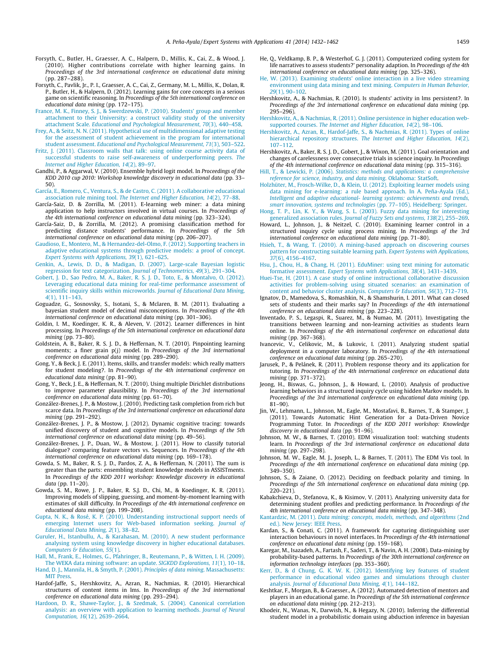- <span id="page-27-0"></span>Forsyth, C., Butler, H., Graesser, A. C., Halpern, D., Millis, K., Cai, Z., & Wood, J. (2010). Higher contributions correlate with higher learning gains. In Proceedings of the 3rd international conference on educational data mining (pp. 287–288).
- Forsyth, C., Pavlik, Jr., P. I., Graesser, A. C., Cai, Z., Germany, M. L., Millis, K., Dolan, R. P., Butler, H., & Halpern, D. (2012). Learning gains for core concepts in a serious game on scientific reasoning. In Proceedings of the 5th international conference on educational data mining (pp. 172–175).
- [France, M. K., Finney, S. J., & Swerdzewski, P. \(2010\). Students' group and member](http://refhub.elsevier.com/S0957-4174(13)00663-5/h0075) [attachment to their University: a construct validity study of the university](http://refhub.elsevier.com/S0957-4174(13)00663-5/h0075) attachment Scale. [Educational and Psychological Measurement, 70](http://refhub.elsevier.com/S0957-4174(13)00663-5/h0075)(3), 440–458.
- [Frey, A., & Seitz, N. N. \(2011\). Hypothetical use of multidimensional adaptive testing](http://refhub.elsevier.com/S0957-4174(13)00663-5/h0080) [for the assessment of student achievement in the program for international](http://refhub.elsevier.com/S0957-4174(13)00663-5/h0080) student assessment. [Educational and Psychological Measurement, 71](http://refhub.elsevier.com/S0957-4174(13)00663-5/h0080)(3), 503–522.
- [Fritz, J. \(2011\). Classroom walls that talk: using online course activity data of](http://refhub.elsevier.com/S0957-4174(13)00663-5/h0085) [successful students to raise self-awareness of underperforming peers.](http://refhub.elsevier.com/S0957-4174(13)00663-5/h0085) The [Internet and Higher Education, 14](http://refhub.elsevier.com/S0957-4174(13)00663-5/h0085)(2), 89–97.
- Gandhi, P., & Aggarwal, V. (2010). Ensemble hybrid logit model. In Proceedings of the KDD 2010 cup 2010: Workshop knowledge discovery in educational data (pp. 33– 50).

[García, E., Romero, C., Ventura, S., & de Castro, C. \(2011\). A collaborative educational](http://refhub.elsevier.com/S0957-4174(13)00663-5/h0090) association rule mining tool. [The Internet and Higher Education, 14](http://refhub.elsevier.com/S0957-4174(13)00663-5/h0090)(2), 77–88.

- García-Saiz, D. & Zorrilla, M. (2011). E-learning web miner: a data mining application to help instructors involved in virtual courses. In Proceedings of the 4th international conference on educational data mining (pp. 323–324).
- García-Saiz, D., & Zorrilla, M. (2012). A promising classification method for predicting distance students' performance. In Proceedings of the 5th international conference on educational data mining (pp. 206–207).
- [Gaudioso, E., Montero, M., & Hernandez-del-Olmo, F. \(2012\). Supporting teachers in](http://refhub.elsevier.com/S0957-4174(13)00663-5/h0095) [adaptive educational systems through predictive models: a proof of concept.](http://refhub.elsevier.com/S0957-4174(13)00663-5/h0095) [Expert Systems with Applications, 39](http://refhub.elsevier.com/S0957-4174(13)00663-5/h0095)(1), 621–625.
- [Genkin, A., Lewis, D. D., & Madigan, D. \(2007\). Large-scale Bayesian logistic](http://refhub.elsevier.com/S0957-4174(13)00663-5/h0100) [regression for text categorization.](http://refhub.elsevier.com/S0957-4174(13)00663-5/h0100) Journal of Technometrics, 49(3), 291–304.
- [Gobert, J. D., Sao Pedro, M. A., Baker, R. S. J. D., Toto, E., & Montalvo, O. \(2012\).](http://refhub.elsevier.com/S0957-4174(13)00663-5/h0105) [Leveraging educational data mining for real-time performance assessment of](http://refhub.elsevier.com/S0957-4174(13)00663-5/h0105) [scientific inquiry skills within microworlds.](http://refhub.elsevier.com/S0957-4174(13)00663-5/h0105) Journal of Educational Data Mining, 4[\(1\), 111–143](http://refhub.elsevier.com/S0957-4174(13)00663-5/h0105).
- Goguadze, G., Sosnovsky, S., Isotani, S., & Mclaren, B. M. (2011). Evaluating a bayesian student model of decimal misconceptions. In Proceedings of the 4th international conference on educational data mining (pp. 301–306).
- Goldin, I. M., Koedinger, K. R., & Aleven, V. (2012). Learner differences in hint processing. In Proceedings of the 5th international conference on educational data mining (pp. 73–80).
- Goldstein, A. B., Baker, R. S. J. D., & Heffernan, N. T. (2010). Pinpointing learning moments; a finer grain p(j) model. In Proceedings of the 3rd international conference on educational data mining (pp. 289–290).
- Gong, Y., & Beck, J. E. (2011). Items, skills, and transfer models: which really matters for student modeling?. In Proceedings of the 4th international conference on educational data mining (pp. 81–90).
- Gong, Y., Beck, J. E., & Heffernan, N. T. (2010). Using multiple Dirichlet distributions to improve parameter plausibility. In Proceedings of the 3rd international conference on educational data mining (pp. 61–70).
- González-Brenes, J. P., & Mostow, J. (2010). Predicting task completion from rich but scarce data. In Proceedings of the 3rd international conference on educational data mining (pp. 291–292).
- González-Brenes, J. P., & Mostow, J. (2012). Dynamic cognitive tracing: towards unified discovery of student and cognitive models. In Proceedings of the 5th international conference on educational data mining (pp. 49–56).
- González-Brenes, J. P., Duan, W., & Mostow, J. (2011). How to classify tutorial dialogue? comparing feature vectors vs. Sequences. In Proceedings of the 4th international conference on educational data mining (pp. 169–178).
- Gowda, S. M., Baker, R. S. J. D., Pardos, Z. A., & Heffernan, N. (2011). The sum is greater than the parts: ensembling student knowledge models in ASSISTments. In Proceedings of the KDD 2011 workshop: Knowledge discovery in educational data (pp. 11–20).
- Gowda, S. M., Rowe, J. P., Baker, R. S.J. D., Chi, M., & Koedinger, K. R. (2011). Improving models of slipping, guessing, and moment-by-moment learning with estimates of skill difficulty. In Proceedings of the 4th international conference on educational data mining (pp. 199-208).
- [Gupta, N. K., & Rosé, K. P. \(2010\). Understanding instructional support needs of](http://refhub.elsevier.com/S0957-4174(13)00663-5/h0110) [emerging Internet users for Web-based information seeking.](http://refhub.elsevier.com/S0957-4174(13)00663-5/h0110) Journal of [Educational Data Mining, 2](http://refhub.elsevier.com/S0957-4174(13)00663-5/h0110)(1), 38–82.
- [Guruler, H., Istanbullu, A., & Karahasan, M. \(2010\). A new student performance](http://refhub.elsevier.com/S0957-4174(13)00663-5/h0115) [analysing system using knowledge discovery in higher educational databases.](http://refhub.elsevier.com/S0957-4174(13)00663-5/h0115) [Computers & Education, 55](http://refhub.elsevier.com/S0957-4174(13)00663-5/h0115)(1).
- [Hall, M., Frank, E., Holmes, G., Pfahringer, B., Reutemann, P., & Witten, I. H. \(2009\).](http://refhub.elsevier.com/S0957-4174(13)00663-5/h0120)
- [The WEKA data mining software: an update.](http://refhub.elsevier.com/S0957-4174(13)00663-5/h0120) SIGKDD Explorations, 11(1), 10–18. [Hand, D. J., Mannila, H., & Smyth, P. \(2001\).](http://refhub.elsevier.com/S0957-4174(13)00663-5/h0125) Principles of data mining. Massachusetts: [MIT Press](http://refhub.elsevier.com/S0957-4174(13)00663-5/h0125).
- Hardof-Jaffe, S., Hershkovitz, A., Azran, R., Nachmias, R. (2010). Hierarchical structures of content items in lms. In Proceedings of the 3rd international conference on educational data mining (pp. 293–294).
- [Hardoon, D. R., Shawe-Taylor, J., & Szedmak, S. \(2004\). Canonical correlation](http://refhub.elsevier.com/S0957-4174(13)00663-5/h0130) [analysis: an overview with application to learning methods.](http://refhub.elsevier.com/S0957-4174(13)00663-5/h0130) Journal of Neural Computation, 16[\(12\), 2639–2664](http://refhub.elsevier.com/S0957-4174(13)00663-5/h0130).
- He, Q., Veldkamp, B. P., & Westerhof, G. J. (2011). Computerized coding system for life narratives to assess students?' personality adaption. In Proceedings of the 4th international conference on educational data mining (pp. 325–326).
- [He, W. \(2013\). Examining students' online interaction in a live video streaming](http://refhub.elsevier.com/S0957-4174(13)00663-5/h0135) [environment using data mining and text mining.](http://refhub.elsevier.com/S0957-4174(13)00663-5/h0135) Computers in Human Behavior, 29[\(1\), 90–102.](http://refhub.elsevier.com/S0957-4174(13)00663-5/h0135)
- Hershkovitz, A., & Nachmias, R. (2010). Is students' activity in lms persistent?. In Proceedings of the 3rd international conference on educational data mining (pp. 295–296).
- [Hershkovitz, A., & Nachmias, R. \(2011\). Online persistence in higher education web](http://refhub.elsevier.com/S0957-4174(13)00663-5/h0140)supported courses. [The Internet and Higher Education, 14](http://refhub.elsevier.com/S0957-4174(13)00663-5/h0140)(2), 98–106.
- [Hershkovitz, A., Azran, R., Hardof-Jaffe, S., & Nachmias, R. \(2011\). Types of online](http://refhub.elsevier.com/S0957-4174(13)00663-5/h0145) hierarchical repository structures. [The Internet and Higher Education, 14](http://refhub.elsevier.com/S0957-4174(13)00663-5/h0145)(2), [107–112](http://refhub.elsevier.com/S0957-4174(13)00663-5/h0145).
- Hershkovitz, A., Baker, R. S. J. D., Gobert, J., & Wixon, M. (2011). Goal orientation and changes of carelessness over consecutive trials in science inquiry. In Proceedings of the 4th international conference on educational data mining (pp. 315–316).
- Hill, T., & Lewicki, P. (2006). [Statistics: methods and applications: a comprehensive](http://refhub.elsevier.com/S0957-4174(13)00663-5/h0150) [reference for science, industry, and data mining](http://refhub.elsevier.com/S0957-4174(13)00663-5/h0150). Oklahoma: StatSoft.
- [Holzhüter, M., Frosch-Wilke, D., & Klein, U. \(2012\). Exploiting learner models using](http://refhub.elsevier.com/S0957-4174(13)00663-5/h0155) [data mining for e-learning: a rule based approach. In A. Peña-Ayala \(Ed.\),](http://refhub.elsevier.com/S0957-4174(13)00663-5/h0155) [Intelligent and adaptive educational- learning systems: achievements and trends,](http://refhub.elsevier.com/S0957-4174(13)00663-5/h0155) [smart innovation, systems and technologies](http://refhub.elsevier.com/S0957-4174(13)00663-5/h0155) (pp. 77–105). Heidelberg: Springer.
- [Hong, T. P., Lin, K. Y., & Wang, S. L. \(2003\). Fuzzy data mining for interesting](http://refhub.elsevier.com/S0957-4174(13)00663-5/h0160) generalized association rules. [Journal of Fuzzy Sets and systems, 138](http://refhub.elsevier.com/S0957-4174(13)00663-5/h0160)(2), 255–269.
- Howard, L., Johnson, J., & Neitzel, C. (2010). Examining learner control in a structured inquiry cycle using process mining. In Proceedings of the 3rd international conference on educational data mining (pp. 71–80).
- [Hsieh, T., & Wang, T. \(2010\). A mining-based approach on discovering courses](http://refhub.elsevier.com/S0957-4174(13)00663-5/h0165) [pattern for constructing suitable learning path.](http://refhub.elsevier.com/S0957-4174(13)00663-5/h0165) Expert Systems with Applications, 37[\(6\), 4156–4167](http://refhub.elsevier.com/S0957-4174(13)00663-5/h0165).
- [Hsu, J., Chou, H., & Chang, H. \(2011\). EduMiner: using text mining for automatic](http://refhub.elsevier.com/S0957-4174(13)00663-5/h0170) formative assessment. [Expert Systems with Applications, 38](http://refhub.elsevier.com/S0957-4174(13)00663-5/h0170)(4), 3431–3439.

[Huei-Tse, H. \(2011\). A case study of online instructional collaborative discussion](http://refhub.elsevier.com/S0957-4174(13)00663-5/h0175) [activities for problem-solving using situated scenarios: an examination of](http://refhub.elsevier.com/S0957-4174(13)00663-5/h0175) [content and behavior cluster analysis.](http://refhub.elsevier.com/S0957-4174(13)00663-5/h0175) Computers & Education, 56(3), 712-719.

- Ignatov, D., Mamedova, S., Romashkin, N., & Shamshurin, I. 2011. What can closed sets of students and their marks say? In Proceedings of the 4th international conference on educational data mining (pp. 223–228).
- Inventado, P. S., Legaspi, R., Suarez, M., & Numao, M. (2011). Investigating the transitions between learning and non-learning activities as students learn online. In Proceedings of the 4th international conference on educational data
- mining (pp. 367–368). Ivancevic, V., Celikovic, M., & Lukovic, I. (2011). Analyzing student spatial deployment in a computer laboratory. In Proceedings of the 4th international conference on educational data mining (pp. 265–270).
- Jarusek, P., & Pelánek, R. (2011). Problem response theory and its application for tutoring. In Proceedings of the 4th international conference on educational data mining (pp. 371–372).
- Jeong, H., Biswas, G., Johnson, J., & Howard, L. (2010). Analysis of productive learning behaviors in a structured inquiry cycle using hidden Markov models. In Proceedings of the 3rd international conference on educational data mining (pp. 81–90).
- Jin, W., Lehmann, L., Johnson, M., Eagle, M., Mostafavi, B., Barnes, T., & Stamper, J. (2011). Towards Automatic Hint Generation for a Data-Driven Novice Programming Tutor. In Proceedings of the KDD 2011 workshop: Knowledge discovery in educational data (pp. 91–96).
- Johnson, M. W., & Barnes, T. (2010). EDM visualization tool: watching students learn. In Proceedings of the 3rd international conference on educational data mining (pp. 297–298).
- Johnson, M. W., Eagle, M. J., Joseph, L., & Barnes, T. (2011). The EDM Vis tool. In Proceedings of the 4th international conference on educational data mining (pp. 349–350).
- Johnson, S., & Zaiane, O. (2012). Deciding on feedback polarity and timing. In Proceedings of the 5th international conference on educational data mining (pp. 220–221).
- Kabakchieva, D., Stefanova, K., & Kisimov, V. (2011). Analyzing university data for determining student profiles and predicting performance. In Proceedings of the 4th international conference on educational data mining (pp. 347–348).
- Kantardzic, M. (2011). [Data mining: concepts, models, methods, and algorithms](http://refhub.elsevier.com/S0957-4174(13)00663-5/h0180) (2nd [ed.\). New Jersey: IEEE Press.](http://refhub.elsevier.com/S0957-4174(13)00663-5/h0180)
- Kardan, S., & Conati, C. (2011). A framework for capturing distinguishing user interaction behaviours in novel interfaces. In Proceedings of the 4th international conference on educational data mining (pp. 159–168).
- Karegar, M., Isazadeh, A., Fartash, F., Saderi, T., & Navin, A. H. (2008). Data-mining by probability-based patterns. In Proceedings of the 30th international conference on information technology interfaces (pp. 353–360).
- [Kerr, D., & d Chung, G. K. W. K. \(2012\). Identifying key features of student](http://refhub.elsevier.com/S0957-4174(13)00663-5/h0185) [performance in educational video games and simulations through cluster](http://refhub.elsevier.com/S0957-4174(13)00663-5/h0185) analysis. [Journal of Educational Data Mining, 4](http://refhub.elsevier.com/S0957-4174(13)00663-5/h0185)(1), 144–182.
- Keshtkar, F., Morgan, B., & Graesser., A. (2012). Automated detection of mentors and players in an educational game. In Proceedings of the 5th international conference on educational data mining (pp. 212–213).
- Khodeir, N., Wanas, N., Darwish, N., & Hegazy, N. (2010). Inferring the differential student model in a probabilistic domain using abduction inference in bayesian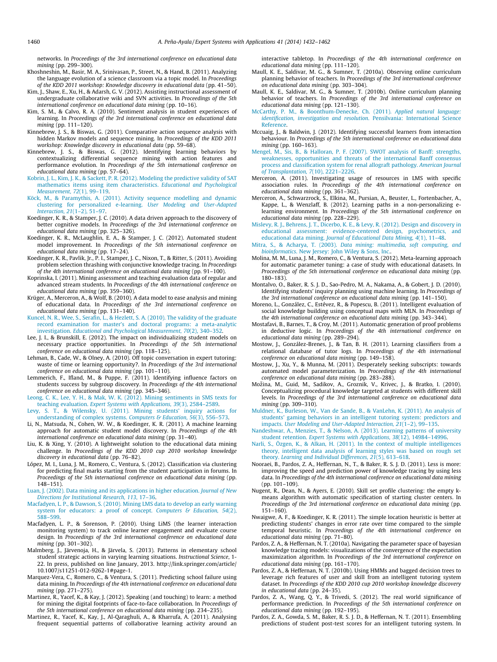<span id="page-28-0"></span>networks. In Proceedings of the 3rd international conference on educational data mining (pp. 299–300).

Khoshneshin, M., Basir, M. A., Srinivasan, P., Street, N., & Hand, B. (2011). Analyzing the language evolution of a science classroom via a topic model. In Proceedings of the KDD 2011 workshop: Knowledge discovery in educational data (pp. 41–50).

- Kim, J., Shaw, E., Xu, H., & Adarsh, G. V. (2012). Assisting instructional assessment of undergraduate collaborative wiki and SVN activities. In Proceedings of the 5th international conference on educational data mining (pp. 10–16).
- Kim, S. M., & Calvo, R. A. (2010). Sentiment analysis in student experiences of learning. In Proceedings of the 3rd international conference on educational data mining (pp. 111-120).
- Kinnebrew, J. S., & Biswas, G. (2011). Comparative action sequence analysis with hidden Markov models and sequence mining. In Proceedings of the KDD 2011 workshop: Knowledge discovery in educational data (pp. 59–68).
- Kinnebrew, J. S., & Biswas, G. (2012). Identifying learning behaviors by contextualizing differential sequence mining with action features and performance evolution. In Proceedings of the 5th international conference on educational data mining (pp. 57–64).
- [Kobrin, J. L., Kim, J. K., & Sackett, P. R. \(2012\). Modeling the predictive validity of SAT](http://refhub.elsevier.com/S0957-4174(13)00663-5/h0190) [mathematics items using item characteristics.](http://refhub.elsevier.com/S0957-4174(13)00663-5/h0190) Educational and Psychological [Measurement, 72](http://refhub.elsevier.com/S0957-4174(13)00663-5/h0190)(1), 99–119.
- [Köck, M., & Paramythis, A. \(2011\). Activity sequence modelling and dynamic](http://refhub.elsevier.com/S0957-4174(13)00663-5/h0195) [clustering for personalized e-learning.](http://refhub.elsevier.com/S0957-4174(13)00663-5/h0195) User Modeling and User-Adapted [Interaction, 21](http://refhub.elsevier.com/S0957-4174(13)00663-5/h0195)(1–2), 51–97.
- Koedinger, K. R., & Stamper, J. C. (2010). A data driven approach to the discovery of better cognitive models. In Proceedings of the 3rd international conference on educational data mining (pp. 325–326).
- Koedinger, K. R., McLaughlin, E. A., & Stamper, J. C. (2012). Automated student model improvement. In Proceedings of the 5th international conference on educational data mining (pp. 17–24).
- Koedinger, K. R., Pavlik, Jr., P. I., Stamper, J. C., Nixon, T., & Ritter, S. (2011). Avoiding problem selection thrashing with conjunctive knowledge tracing. In Proceedings of the 4th international conference on educational data mining (pp. 91–100).
- Koprinska, I. (2011). Mining assessment and teaching evaluation data of regular and advanced stream students. In Proceedings of the 4th international conference on educational data mining (pp. 359–360).
- Krüger, A., Merceron, A., & Wolf, B. (2010). A data model to ease analysis and mining of educational data. In Proceedings of the 3rd international conference on educational data mining (pp. 131–140).
- [Kuncel, N. R., Wee, S., Serafin, L., & Hezlett, S. A. \(2010\). The validity of the graduate](http://refhub.elsevier.com/S0957-4174(13)00663-5/h0200) [record examination for master's and doctoral programs: a meta-analytic](http://refhub.elsevier.com/S0957-4174(13)00663-5/h0200) investigation. [Educational and Psychological Measurement, 70](http://refhub.elsevier.com/S0957-4174(13)00663-5/h0200)(2), 340–352.
- Lee, J. I., & Brunskill, E. (2012). The impact on individualizing student models on necessary practice opportunities. In Proceedings of the 5th international conference on educational data mining (pp. 118-125).
- Lehman, B., Cade, W., & Olney, A. (2010). Off topic conversation in expert tutoring: waste of time or learning opportunity?. In Proceedings of the 3rd international conference on educational data mining (pp. 101–110).
- Lemmerich, F., Ifland, M., & Puppe, F. (2011). Identifying influence factors on students success by subgroup discovery. In Proceedings of the 4th international
- conference on educational data mining (pp. 345–346). [Leong, C. K., Lee, Y. H., & Mak, W. K. \(2012\). Mining sentiments in SMS texts for](http://refhub.elsevier.com/S0957-4174(13)00663-5/h0205) teaching evaluation. [Expert Systems with Applications, 39](http://refhub.elsevier.com/S0957-4174(13)00663-5/h0205)(3), 2584–2589.
- [Levy, S. T., & Wilensky, U. \(2011\). Mining students' inquiry actions for](http://refhub.elsevier.com/S0957-4174(13)00663-5/h0210) [understanding of complex systems.](http://refhub.elsevier.com/S0957-4174(13)00663-5/h0210) Computers & Education, 56(3), 556–573.
- Li, N., Matsuda, N., Cohen, W. W., & Koedinger, K. R. (2011). A machine learning approach for automatic student model discovery. In Proceedings of the 4th international conference on educational data mining (pp. 31–40).
- Liu, K. & Xing, Y. (2010). A lightweight solution to the educational data mining challenge. In Proceedings of the KDD 2010 cup 2010 workshop knowledge discovery in educational data (pp. 76–82).
- López, M. I., Luna, J. M., Romero, C., Ventura, S. (2012). Classification via clustering for predicting final marks starting from the student participation in forums. In Proceedings of the 5th international conference on educational data mining (pp. 148–151).
- [Luan, J. \(2002\). Data mining and its applications in higher education.](http://refhub.elsevier.com/S0957-4174(13)00663-5/h0215) Journal of New [Directions for Institutional Research, 113](http://refhub.elsevier.com/S0957-4174(13)00663-5/h0215), 17–36.
- [Macfadyen, L. P., & Dawson, S. \(2010\). Mining LMS data to develop an early warning](http://refhub.elsevier.com/S0957-4174(13)00663-5/h0220) [system for educators: a proof of concept.](http://refhub.elsevier.com/S0957-4174(13)00663-5/h0220) Computers  $\mathcal G$  Education, 54(2), [588–599](http://refhub.elsevier.com/S0957-4174(13)00663-5/h0220).
- Macfadyen, L. P., & Sorenson, P. (2010). Using LiMS (the learner interaction monitoring system) to track online learner engagement and evaluate course design. In Proceedings of the 3rd international conference on educational data mining (pp. 301–302).
- Malmberg, J., Järvenoja, H., & Järvela, S. (2013). Patterns in elementary school student strategic actions in varying learning situations. Instructional Science, 1-22. In press, published on line January, 2013. http://link.springer.com/article/ 10.1007/s11251-012-9262-1#page-1.
- Marquez-Vera, C., Romero, C., & Ventura, S. (2011). Predicting school failure using data mining. In Proceedings of the 4th international conference on educational data mining (pp. 271–275).
- Martinez, R., Yacef, K., & Kay, J. (2012). Speaking (and touching) to learn: a method for mining the digital footprints of face-to-face collaboration. In Proceedings of the 5th international conference on educational data mining (pp. 234–235).
- Martinez, R., Yacef, K., Kay, J., Al-Qaraghuli, A., & Kharrufa, A. (2011). Analysing frequent sequential patterns of collaborative learning activity around an

interactive tabletop. In Proceedings of the 4th international conference on educational data mining (pp. 111–120).

- Maull, K. E., Saldivar, M. G., & Sumner, T. (2010a). Observing online curriculum planning behavior of teachers. In Proceedings of the 3rd international conference on educational data mining (pp. 303–304).
- Maull, K. E., Saldivar, M. G., & Sumner, T. (2010b). Online curriculum planning behavior of teachers. In Proceedings of the 3rd international conference on educational data mining (pp. 121–130).
- [McCarthy, P. M., & Boonthum-Denecke, Ch. \(2011\).](http://refhub.elsevier.com/S0957-4174(13)00663-5/h0225) Applied natural language: [identification, investigation and resolution](http://refhub.elsevier.com/S0957-4174(13)00663-5/h0225). Pensilvania: International Science [Reference](http://refhub.elsevier.com/S0957-4174(13)00663-5/h0225).
- Mccuaig, J., & Baldwin, J. (2012). Identifying successful learners from interaction behaviour. In Proceedings of the 5th international conference on educational data mining (pp. 160–163).
- [Mengel, M., Sis, B., & Halloran, P. F. \(2007\). SWOT analysis of Banff: strengths,](http://refhub.elsevier.com/S0957-4174(13)00663-5/h0230) [weaknesses, opportunities and threats of the international Banff consensus](http://refhub.elsevier.com/S0957-4174(13)00663-5/h0230) [process and classification system for renal allograft pathology.](http://refhub.elsevier.com/S0957-4174(13)00663-5/h0230) American Journal [of Transplantation, 7](http://refhub.elsevier.com/S0957-4174(13)00663-5/h0230)(10), 2221–2226.
- Merceron, A. (2011). Investigating usage of resources in LMS with specific association rules. In Proceedings of the 4th international conference on educational data mining (pp. 361–362).
- Merceron, A., Schwarzrock, S., Elkina, M., Pursian, A., Beuster, L., Fortenbacher, A., Kappe, L., & Wenzlaff, B. (2012). Learning paths in a non-personalizing elearning environment. In Proceedings of the 5th international conference on educational data mining (pp. 228–229).
- [Mislevy, R. J., Behrens, J. T., Dicerbo, K. E., & Levy, R. \(2012\). Design and discovery in](http://refhub.elsevier.com/S0957-4174(13)00663-5/h0235) educational assessment: evidence-centered design, psychometrics, educational data mining. [Journal of Educational Data Mining, 4](http://refhub.elsevier.com/S0957-4174(13)00663-5/h0235)(1), 11–48.
- Mitra, S., & Acharya, T. (2003). [Data mining: multimedia, soft computing, and](http://refhub.elsevier.com/S0957-4174(13)00663-5/h0240) bioinformatics[. New Jersey: John Wiley & Sons, Inc..](http://refhub.elsevier.com/S0957-4174(13)00663-5/h0240)
- Molina, M. M., Luna, J. M., Romero, C., & Ventura, S. (2012). Meta-learning approach for automatic parameter tuning: a case of study with educational datasets. In Proceedings of the 5th international conference on educational data mining (pp. 180–183).
- Montalvo, O., Baker, R. S. J. D., Sao-Pedro, M. A., Nakama, A., & Gobert, J. D. (2010). Identifying students' inquiry planning using machine learning. In Proceedings of the 3rd international conference on educational data mining (pp. 141–150).
- Moreno, L., González, C., Estévez, R., & Popescu, B. (2011). Intelligent evaluation of social knowledge building using conceptual maps with MLN. In Proceedings of the 4th international conference on educational data mining (pp. 343–344).
- Mostafavi, B., Barnes, T., & Croy, M. (2011). Automatic generation of proof problems in deductive logic. In Proceedings of the 4th international conference on educational data mining (pp. 289–294).
- Mostow, J., González-Brenes, J., & Tan, B. H. (2011). Learning classifiers from a relational database of tutor logs. In Proceedings of the 4th international conference on educational data mining (pp. 149–158).
- Mostow, J., Xu, Y., & Munna, M. (2011). Desperately seeking subscripts: towards automated model parameterization. In Proceedings of the 4th international conference on educational data mining (pp. 283–288).
- Možina, M., Guid, M., Sadikov, A., Groznik, V., Krivec, J., & Bratko, I. (2010). Conceptualizing procedural knowledge targeted at students with different skill levels. In Proceedings of the 3rd international conference on educational data mining (pp. 309–310).
- [Muldner, K., Burleson, W., Van de Sande, B., & VanLehn, K. \(2011\). An analysis of](http://refhub.elsevier.com/S0957-4174(13)00663-5/h0245) [students' gaming behaviors in an intelligent tutoring system: predictors and](http://refhub.elsevier.com/S0957-4174(13)00663-5/h0245) impacts. [User Modeling and User-Adapted Interaction, 21](http://refhub.elsevier.com/S0957-4174(13)00663-5/h0245)(1–2), 99–135.
- [Nandeshwar, A., Menzies, T., & Nelson, A. \(2013\). Learning patterns of university](http://refhub.elsevier.com/S0957-4174(13)00663-5/h0250) student retention. [Expert Systems with Applications, 38](http://refhub.elsevier.com/S0957-4174(13)00663-5/h0250)(12), 14984–14996.
- [Narli, S., Özgen, K., & Alkan, H. \(2011\). In the context of multiple intelligences](http://refhub.elsevier.com/S0957-4174(13)00663-5/h0255) [theory, intelligent data analysis of learning styles was based on rough set](http://refhub.elsevier.com/S0957-4174(13)00663-5/h0255) theory. [Learning and Individual Differences, 21](http://refhub.elsevier.com/S0957-4174(13)00663-5/h0255)(5), 613–618.
- Nooraei, B., Pardos, Z. A., Heffernan, N., T., & Baker, R. S. J. D. (2011). Less is more: improving the speed and prediction power of knowledge tracing by using less data. In Proceedings of the 4th international conference on educational data mining (pp. 101–109).
- Nugent, R., Dean, N., & Ayers, E. (2010). Skill set profile clustering: the empty kmeans algorithm with automatic specification of starting cluster centers. In Proceedings of the 3rd international conference on educational data mining (pp. 151–160).
- Nwaigwe, A. F., & Koedinger, K. R. (2011). The simple location heuristic is better at predicting students' changes in error rate over time compared to the simple temporal heuristic. In Proceedings of the 4th international conference on educational data mining (pp. 71–80).
- Pardos, Z. A., & Heffernan, N. T. (2010a). Navigating the parameter space of bayesian knowledge tracing models: visualizations of the convergence of the expectation maximization algorithm. In Proceedings of the 3rd international conference on educational data mining (pp. 161–170).
- Pardos, Z. A., & Heffernan, N. T. (2010b). Using HMMs and bagged decision trees to leverage rich features of user and skill from an intelligent tutoring system dataset. In Proceedings of the KDD 2010 cup 2010 workshop knowledge discovery in educational data (pp. 24–35). Pardos, Z. A., Wang, Q. Y., & Trivedi, S. (2012). The real world significance of
- performance prediction. In Proceedings of the 5th international conference on educational data mining (pp. 192–195).
- Pardos, Z. A., Gowda, S. M., Baker, R. S. J. D., & Heffernan, N. T. (2011). Ensembling predictions of student post-test scores for an intelligent tutoring system. In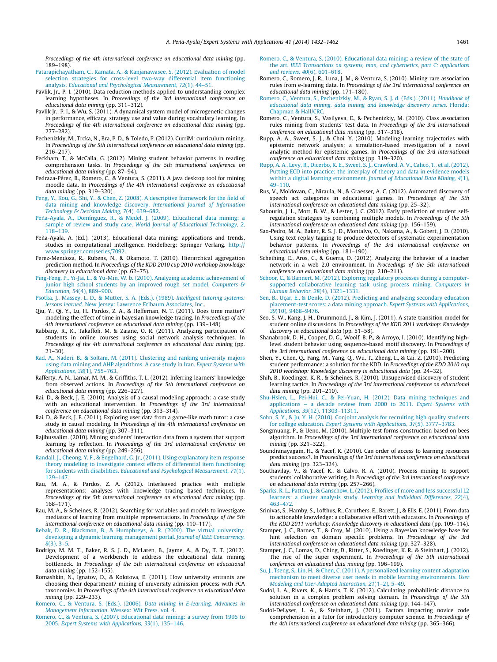<span id="page-29-0"></span>Proceedings of the 4th international conference on educational data mining (pp. 189–198).

- [Patarapichayatham, C., Kamata, A., & Kanjanawasee, S. \(2012\). Evaluation of model](http://refhub.elsevier.com/S0957-4174(13)00663-5/h0260) [selection strategies for cross-level two-way differential item functioning](http://refhub.elsevier.com/S0957-4174(13)00663-5/h0260) analysis. [Educational and Psychological Measurement, 72](http://refhub.elsevier.com/S0957-4174(13)00663-5/h0260)(1), 44–51.
- Pavlik, Jr., P. I. (2010). Data reduction methods applied to understanding complex learning hypotheses. In Proceedings of the 3rd international conference on educational data mining (pp. 311–312).
- Pavlik Jr., P. I., & Wu, S. (2011). A dynamical system model of microgenetic changes in performance, efficacy, strategy use and value during vocabulary learning. In Proceedings of the 4th international conference on educational data mining (pp. 277–282).
- Pechenizkiy, M., Trcka, N., Bra, P. D., & Toledo, P. (2012). CurriM: curriculum mining. In Proceedings of the 5th international conference on educational data mining (pp. 216–217).
- Peckham, T., & McCalla, G. (2012). Mining student behavior patterns in reading comprehension tasks. In Proceedings of the 5th international conference on educational data mining (pp. 87–94).
- Pedraza-Pérez, R., Romero, C., & Ventura, S. (2011). A java desktop tool for mining moodle data. In Proceedings of the 4th international conference on educational data mining (pp. 319–320).
- [Peng, Y., Kou, G., Shi, Y., & Chen, Z. \(2008\). A descriptive framework for the field of](http://refhub.elsevier.com/S0957-4174(13)00663-5/h0265) [data mining and knowledge discovery.](http://refhub.elsevier.com/S0957-4174(13)00663-5/h0265) International Journal of Information [Technology & Decision Making, 7](http://refhub.elsevier.com/S0957-4174(13)00663-5/h0265)(4), 639-682.
- [Peña-Ayala, A., Domínguez, R., & Medel, J. \(2009\). Educational data mining: a](http://refhub.elsevier.com/S0957-4174(13)00663-5/h0270) sample of review and study case. [World Journal of Educational Technology, 2](http://refhub.elsevier.com/S0957-4174(13)00663-5/h0270), [118–139](http://refhub.elsevier.com/S0957-4174(13)00663-5/h0270).
- Peña-Ayala, A. (Ed.). (2013). Educational data mining: applications and trends, studies in computational intelligence. Heidelberg: Springer Verlang. [http://](http://www.springer.com/series/7092) [www.springer.com/series/7092](http://www.springer.com/series/7092).
- Perez-Mendoza, R., Rubens, N., & Okamoto, T. (2010). Hierarchical aggregation prediction method. In Proceedings of the KDD 2010 cup 2010 workshop knowledge discovery in educational data (pp. 62–75).
- [Ping-Feng, P., Yi-Jia, L., & Yu-Min, W. b. \(2010\). Analyzing academic achievement of](http://refhub.elsevier.com/S0957-4174(13)00663-5/h0275) [junior high school students by an improved rough set model.](http://refhub.elsevier.com/S0957-4174(13)00663-5/h0275) Computers & [Education, 54](http://refhub.elsevier.com/S0957-4174(13)00663-5/h0275)(4), 889–900.
- [Psotka, J., Massey, L. D., & Mutter, S. A. \(Eds.\). \(1989\).](http://refhub.elsevier.com/S0957-4174(13)00663-5/h0280) Intelligent tutoring systems: lessons learned[. New Jersey: Lawrence Erlbaum Associates, Inc..](http://refhub.elsevier.com/S0957-4174(13)00663-5/h0280)
- Qiu, Y., Qi, Y., Lu, H., Pardos, Z. A., & Heffernan, N. T. (2011). Does time matter? modeling the effect of time in bayesian knowledge tracing. In Proceedings of the 4th international conference on educational data mining (pp. 139–148).
- Rabbany, R., K., Takaffoli, M. & Zaiane, O. R. (2011). Analyzing participation of students in online courses using social network analysis techniques. In Proceedings of the 4th international conference on educational data mining (pp.  $21 - 30$
- [Rad, A., Naderi, B., & Soltani, M. \(2011\). Clustering and ranking university majors](http://refhub.elsevier.com/S0957-4174(13)00663-5/h0285) [using data mining and AHP algorithms. A case study in Iran.](http://refhub.elsevier.com/S0957-4174(13)00663-5/h0285) Expert Systems with [Applications, 38](http://refhub.elsevier.com/S0957-4174(13)00663-5/h0285)(1), 755–763.
- Rafferty, A. N., Lamar, M. M., & Griffiths, T. L. (2012). Inferring learners' knowledge from observed actions. In Proceedings of the 5th international conference on educational data mining (pp. 226–227).
- Rai, D., & Beck, J. E. (2010). Analysis of a causal modeling approach: a case study with an educational intervention. In Proceedings of the 3rd international
- conference on educational data mining (pp. 313–314). Rai, D., & Beck, J. E. (2011). Exploring user data from a game-like math tutor: a case study in causal modeling. In Proceedings of the 4th international conference on educational data mining (pp. 307–311).
- Rajibussalim. (2010). Mining students' interaction data from a system that support learning by reflection. In Proceedings of the 3rd international conference on educational data mining (pp. 249–256).
- [Randall, J., Cheong, Y. F., & Engelhard, G. Jr., \(2011\). Using explanatory item response](http://refhub.elsevier.com/S0957-4174(13)00663-5/h0290) [theory modeling to investigate context effects of differential item functioning](http://refhub.elsevier.com/S0957-4174(13)00663-5/h0290) for students with disabilities. [Educational and Psychological Measurement, 71](http://refhub.elsevier.com/S0957-4174(13)00663-5/h0290)(1), [129–147](http://refhub.elsevier.com/S0957-4174(13)00663-5/h0290).
- Rau, M. A., & Pardos, Z. A. (2012). Interleaved practice with multiple representations: analyses with knowledge tracing based techniques. In Proceedings of the 5th international conference on educational data mining (pp. 168–171).
- Rau, M. A., & Scheines, R. (2012). Searching for variables and models to investigate mediators of learning from multiple representations. In Proceedings of the 5th international conference on educational data mining (pp. 110–117).
- [Rebak, D. R., Blackmon, B., & Humphreys, A. R. \(2000\). The virtual university:](http://refhub.elsevier.com/S0957-4174(13)00663-5/h0295) [developing a dynamic learning management portal.](http://refhub.elsevier.com/S0957-4174(13)00663-5/h0295) Journal of IEEE Concurrency, 8[\(3\), 3–5.](http://refhub.elsevier.com/S0957-4174(13)00663-5/h0295)
- Rodrigo, M. M. T., Baker, R. S. J. D., McLaren, B., Jayme, A., & Dy, T. T. (2012). Development of a workbench to address the educational data mining bottleneck. In Proceedings of the 5th international conference on educational data mining (pp. 152–155).
- Romashkin, N., Ignatov, D., & Kolotova, E. (2011). How university entrants are choosing their department? mining of university admission process with FCA taxonomies. In Proceedings of the 4th international conference on educational data mining (pp. 229–233).
- [Romero, C., & Ventura, S. \(Eds.\). \(2006\).](http://refhub.elsevier.com/S0957-4174(13)00663-5/h0300) Data mining in E-learning. Advances in Management Information[. Wessex: Wit Press. vol. 4](http://refhub.elsevier.com/S0957-4174(13)00663-5/h0300).
- [Romero, C., & Ventura, S. \(2007\). Educational data mining: a survey from 1995 to](http://refhub.elsevier.com/S0957-4174(13)00663-5/h0305) 2005. [Expert Systems with Applications, 33](http://refhub.elsevier.com/S0957-4174(13)00663-5/h0305)(1), 135–146.
- [Romero, C., & Ventura, S. \(2010\). Educational data mining: a review of the state of](http://refhub.elsevier.com/S0957-4174(13)00663-5/h0310) the art. [IEEE Transactions on systems, man, and cybernetics, part C: applications](http://refhub.elsevier.com/S0957-4174(13)00663-5/h0310) [and reviews, 40](http://refhub.elsevier.com/S0957-4174(13)00663-5/h0310)(6), 601–618.
- Romero, C., Romero, J. R., Luna, J. M., & Ventura, S. (2010). Mining rare association rules from e-learning data. In Proceedings of the 3rd international conference on educational data mining (pp. 171–180).
- [Romero, C., Ventura, S., Pechenizkiy, M., & Ryan, S. J. d. \(Eds.\). \(2011\).](http://refhub.elsevier.com/S0957-4174(13)00663-5/h0315) Handbook of [educational data mining, data mining and knowledge discovery series](http://refhub.elsevier.com/S0957-4174(13)00663-5/h0315). Florida: [Chapman & Hall/CRC](http://refhub.elsevier.com/S0957-4174(13)00663-5/h0315).
- Romero, C., Ventura, S., Vasilyeva, E., & Pechenizkiy, M. (2010). Class association rules mining from students' test data. In Proceedings of the 3rd international conference on educational data mining (pp. 317–318).
- Rupp, A. A., Sweet, S. J., & Choi, Y. (2010). Modeling learning trajectories with epistemic network analysis: a simulation-based investigation of a novel analytic method for epistemic games. In Proceedings of the 3rd international conference on educational data mining (pp. 319–320).
- [Rupp, A. A., Levy, R., Dicerbo, K. E., Sweet, S. J., Crawford, A. V., Calico, T., et al. \(2012\).](http://refhub.elsevier.com/S0957-4174(13)00663-5/h0320) [Putting ECD into practice: the interplay of theory and data in evidence models](http://refhub.elsevier.com/S0957-4174(13)00663-5/h0320) [within a digital learning environment.](http://refhub.elsevier.com/S0957-4174(13)00663-5/h0320) Journal of Educational Data Mining, 4(1), [49–110](http://refhub.elsevier.com/S0957-4174(13)00663-5/h0320).
- Rus, V., Moldovan, C., Niraula, N., & Graesser, A. C. (2012). Automated discovery of speech act categories in educational games. In Proceedings of the 5th international conference on educational data mining (pp. 25–32).
- Sabourin, J. L., Mott, B. W., & Lester, J. C. (2012). Early prediction of student selfregulation strategies by combining multiple models. In Proceedings of the 5th international conference on educational data mining (pp. 156–159).
- Sao-Pedro, M. A., Baker, R. S. J. D., Montalvo, O., Nakama, A., & Gobert, J. D. (2010). Using text replay tagging to produce detectors of systematic experimentation behavior patterns. In Proceedings of the 3rd international conference on educational data mining (pp. 181–190).
- Scheihing, E., Aros, C., & Guerra, D. (2012). Analyzing the behavior of a teacher network in a web 2.0 environment. In Proceedings of the 5th international conference on educational data mining (pp. 210–211).
- [Schoor, C., & Bannert, M. \(2012\). Exploring regulatory processes during a computer](http://refhub.elsevier.com/S0957-4174(13)00663-5/h0325)[supported collaborative learning task using process mining.](http://refhub.elsevier.com/S0957-4174(13)00663-5/h0325) Computers in [Human Behavior, 28](http://refhub.elsevier.com/S0957-4174(13)00663-5/h0325)(4), 1321–1331.
- [Sen, B., Uçar, E., & Denle, D. \(2012\). Predicting and analyzing secondary education](http://refhub.elsevier.com/S0957-4174(13)00663-5/h0330) [placement-test scores: a data mining approach.](http://refhub.elsevier.com/S0957-4174(13)00663-5/h0330) Expert Systems with Applications, 39[\(10\), 9468–9476](http://refhub.elsevier.com/S0957-4174(13)00663-5/h0330).
- Seo, S. W., Kang, J. H., Drummond, J., & Kim, J. (2011). A state transition model for student online discussions. In Proceedings of the KDD 2011 workshop: Knowledge discovery in educational data (pp. 51–58).
- Shanabrook, D. H., Cooper, D. G., Woolf, B. P., & Arroyo, I. (2010). Identifying highlevel student behavior using sequence-based motif discovery. In Proceedings of the 3rd international conference on educational data mining (pp. 191–200).
- Shen, Y., Chen, Q., Fang, M., Yang, Q., Wu, T., Zheng, L., & Cai, Z. (2010). Predicting student performance: a solution for the KDD. In Proceedings of the KDD 2010 cup 2010 workshop: Knowledge discovery in educational data (pp. 24–32).
- Shih, B., Koedinger, K. R., & Scheines, R. (2010). Unsupervised discovery of student learning tactics. In Proceedings of the 3rd international conference on educational data mining (pp. 201–210).
- [Shu-Hsien, L., Pei-Hui, C., & Pei-Yuan, H. \(2012\). Data mining techniques and](http://refhub.elsevier.com/S0957-4174(13)00663-5/h0335) [applications – a decade review from 2000 to 2011.](http://refhub.elsevier.com/S0957-4174(13)00663-5/h0335) Expert Systems with Applications, 39[\(12\), 11303–11311.](http://refhub.elsevier.com/S0957-4174(13)00663-5/h0335)
- [Sohn, S. Y., & Ju, Y. H. \(2010\). Conjoint analysis for recruiting high quality students](http://refhub.elsevier.com/S0957-4174(13)00663-5/h0340) for college education. [Expert Systems with Applications, 37](http://refhub.elsevier.com/S0957-4174(13)00663-5/h0340)(5), 3777–3783.
- Songmuang, P., & Ueno, M. (2010). Multiple test forms construction based on bees algorithm. In Proceedings of the 3rd international conference on educational data mining (pp. 321–322).
- Soundranayagam, H., & Yacef, K. (2010). Can order of access to learning resources predict success?. In Proceedings of the 3rd international conference on educational
- data mining (pp. 323–324). Southavilay, V., & Yacef, K., & Calvo, R. A. (2010). Process mining to support students' collaborative writing. In Proceedings of the 3rd international conference
- on educational data mining (pp. 257–266). [Sparks, R. L., Patton, J., & Ganschow, L. \(2012\). Profiles of more and less successful L2](http://refhub.elsevier.com/S0957-4174(13)00663-5/h0345) learners: a cluster analysis study. [Learning and Individual Differences, 22](http://refhub.elsevier.com/S0957-4174(13)00663-5/h0345)(4), [463–472](http://refhub.elsevier.com/S0957-4174(13)00663-5/h0345).
- Srinivas, S., Hamby, S., Lofthus, R., Caruthers, E., Barett, J., & Ells, E. (2011). From data to actionable knowledge: a collaborative effort with educators. In Proceedings of the KDD 2011 workshop: Knowledge discovery in educational data (pp. 109–114).
- Stamper, J. C., Barnes, T., & Croy, M. (2010). Using a Bayesian knowledge base for hint selection on domain specific problems. In Proceedings of the 3rd international conference on educational data mining (pp. 327–328).
- Stamper, J. C., Lomas, D., Ching, D., Ritter, S., Koedinger, K. R., & Steinhart, J. (2012). The rise of the super experiment. In Proceedings of the 5th international conference on educational data mining (pp. 196–199).
- [Su, J., Tseng, S., Lin, H., & Chen, C. \(2011\). A personalized learning content adaptation](http://refhub.elsevier.com/S0957-4174(13)00663-5/h0350) [mechanism to meet diverse user needs in mobile learning environments.](http://refhub.elsevier.com/S0957-4174(13)00663-5/h0350) User [Modeling and User-Adapted Interaction, 21](http://refhub.elsevier.com/S0957-4174(13)00663-5/h0350)(1–2), 5–49.
- Sudol, L. A., Rivers, K., & Harris, T. K. (2012). Calculating probabilistic distance to solution in a complex problem solving domain. In Proceedings of the 5th international conference on educational data mining (pp. 144–147).
- Sudol-DeLyser, L. A., & Steinhart, J. (2011). Factors impacting novice code comprehension in a tutor for introductory computer science. In Proceedings of the 4th international conference on educational data mining (pp. 365–366).